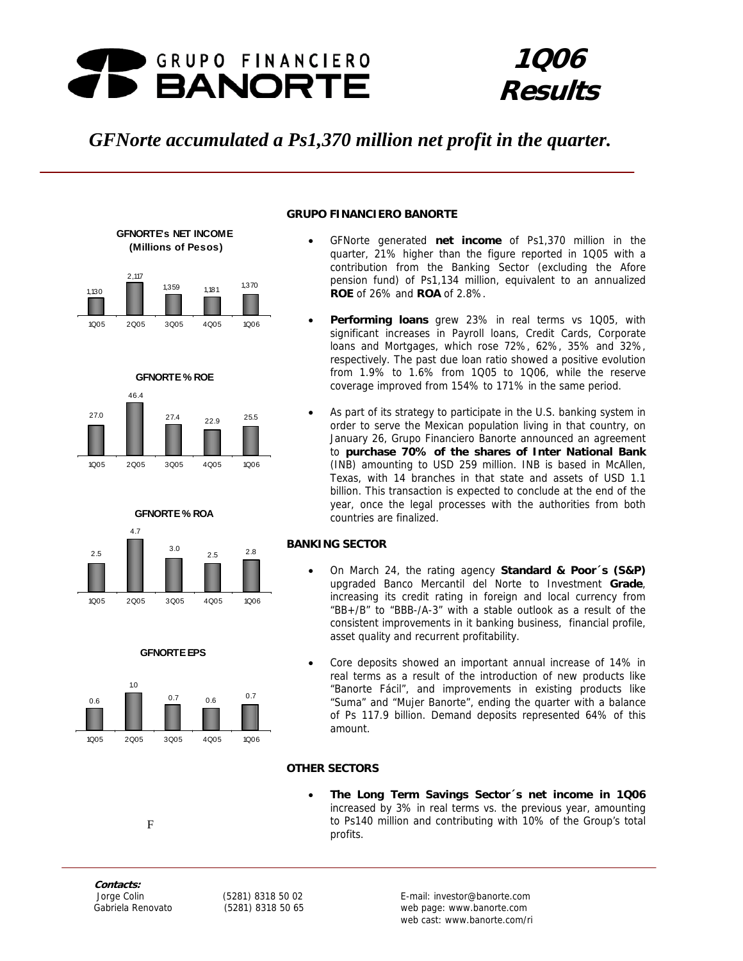

# **1Q06 Results**

# *GFNorte accumulated a Ps1,370 million net profit in the quarter.*













# **GRUPO FINANCIERO BANORTE**

- GFNorte generated **net income** of Ps1,370 million in the quarter, 21% higher than the figure reported in 1Q05 with a contribution from the Banking Sector (excluding the Afore pension fund) of Ps1,134 million, equivalent to an annualized **ROE** of 26% and **ROA** of 2.8%.
- **Performing loans** grew 23% in real terms vs 1Q05, with significant increases in Payroll loans, Credit Cards, Corporate loans and Mortgages, which rose 72%, 62%, 35% and 32%, respectively. The past due loan ratio showed a positive evolution from 1.9% to 1.6% from 1Q05 to 1Q06, while the reserve coverage improved from 154% to 171% in the same period.
- As part of its strategy to participate in the U.S. banking system in order to serve the Mexican population living in that country, on January 26, Grupo Financiero Banorte announced an agreement to **purchase 70% of the shares of Inter National Bank** (INB) amounting to USD 259 million. INB is based in McAllen, Texas, with 14 branches in that state and assets of USD 1.1 billion. This transaction is expected to conclude at the end of the year, once the legal processes with the authorities from both countries are finalized.

# **BANKING SECTOR**

- On March 24, the rating agency **Standard & Poor´s (S&P)**  upgraded Banco Mercantil del Norte to Investment **Grade**, increasing its credit rating in foreign and local currency from "BB+/B" to "BBB-/A-3" with a stable outlook as a result of the consistent improvements in it banking business, financial profile, asset quality and recurrent profitability.
- Core deposits showed an important annual increase of 14% in real terms as a result of the introduction of new products like "Banorte Fácil", and improvements in existing products like "Suma" and "Mujer Banorte", ending the quarter with a balance of Ps 117.9 billion. Demand deposits represented 64% of this amount.

# **OTHER SECTORS**

• **The Long Term Savings Sector´s net income in 1Q06**  increased by 3% in real terms vs. the previous year, amounting to Ps140 million and contributing with 10% of the Group's total profits.

**Contacts:** 

F

Figures are presented in constant pesos set at the close of March, 2003 1 web cast: www.banorte.com/ri Jorge Colin (5281) 8318 50 02 E-mail: investor@banorte.com Gabriela Renovato (5281) 8318 50 65 web page: www.banorte.com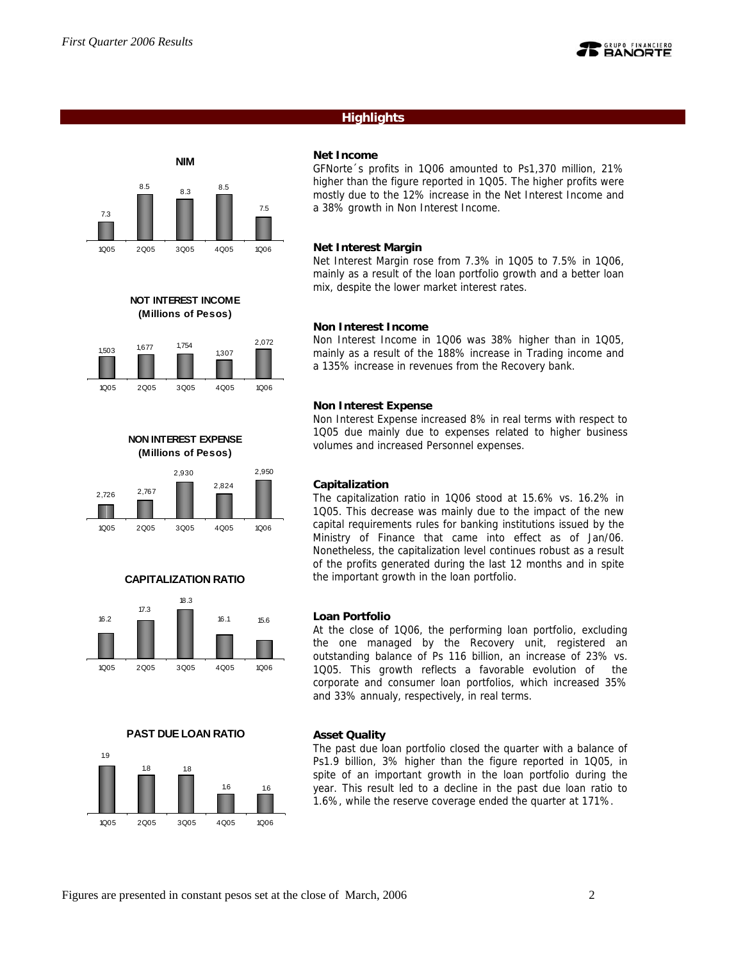7.3



# **Highlights**

# **NIM** 8.5 8.3 8.5 7.5



**NOT INTEREST INCOME (Millions of Pesos)**



**NON INTEREST EXPENSE (Millions of Pesos)**



# **CAPITALIZATION RATIO**



**PAST DUE LOAN RATIO**



### **Net Income**

GFNorte´s profits in 1Q06 amounted to Ps1,370 million, 21% higher than the figure reported in 1Q05. The higher profits were mostly due to the 12% increase in the Net Interest Income and a 38% growth in Non Interest Income.

### **Net Interest Margin**

Net Interest Margin rose from 7.3% in 1Q05 to 7.5% in 1Q06, mainly as a result of the loan portfolio growth and a better loan mix, despite the lower market interest rates.

### **Non Interest Income**

Non Interest Income in 1Q06 was 38% higher than in 1Q05, mainly as a result of the 188% increase in Trading income and a 135% increase in revenues from the Recovery bank.

### **Non Interest Expense**

Non Interest Expense increased 8% in real terms with respect to 1Q05 due mainly due to expenses related to higher business volumes and increased Personnel expenses.

### **Capitalization**

The capitalization ratio in 1Q06 stood at 15.6% vs. 16.2% in 1Q05. This decrease was mainly due to the impact of the new capital requirements rules for banking institutions issued by the Ministry of Finance that came into effect as of Jan/06. Nonetheless, the capitalization level continues robust as a result of the profits generated during the last 12 months and in spite the important growth in the loan portfolio.

### **Loan Portfolio**

At the close of 1Q06, the performing loan portfolio, excluding the one managed by the Recovery unit, registered an outstanding balance of Ps 116 billion, an increase of 23% vs. 1Q05. This growth reflects a favorable evolution of the corporate and consumer loan portfolios, which increased 35% and 33% annualy, respectively, in real terms.

#### **Asset Quality**

The past due loan portfolio closed the quarter with a balance of Ps1.9 billion, 3% higher than the figure reported in 1Q05, in spite of an important growth in the loan portfolio during the year. This result led to a decline in the past due loan ratio to 1.6%, while the reserve coverage ended the quarter at 171%.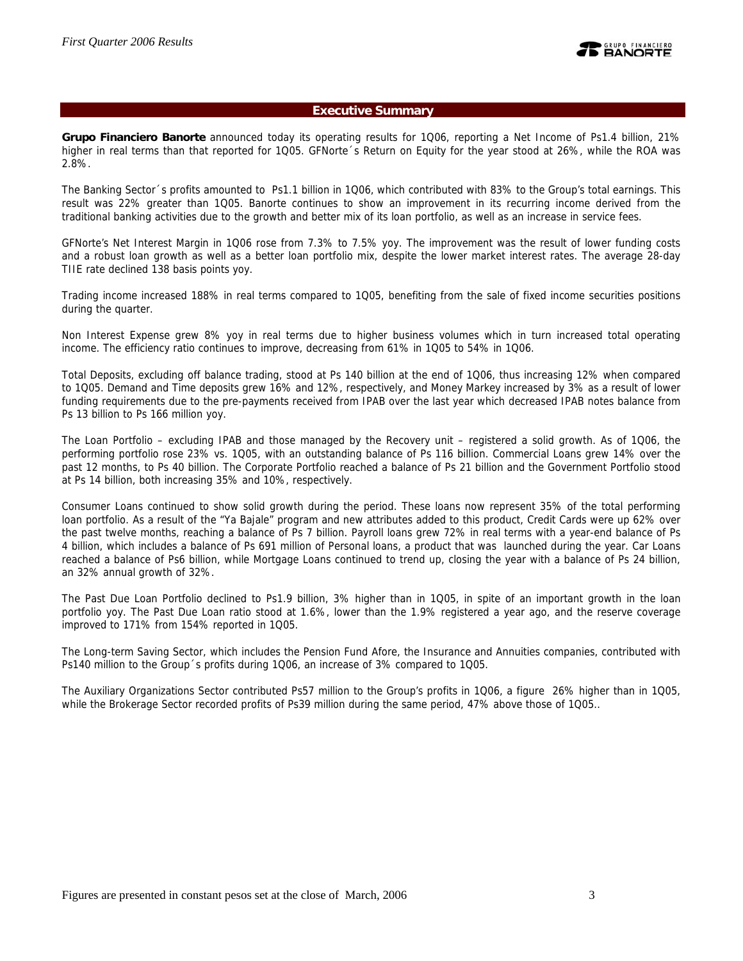### **Executive Summary**

**Grupo Financiero Banorte** announced today its operating results for 1Q06, reporting a Net Income of Ps1.4 billion, 21% higher in real terms than that reported for 1Q05. GFNorte´s Return on Equity for the year stood at 26%, while the ROA was 2.8%.

The Banking Sector´s profits amounted to Ps1.1 billion in 1Q06, which contributed with 83% to the Group's total earnings. This result was 22% greater than 1Q05. Banorte continues to show an improvement in its recurring income derived from the traditional banking activities due to the growth and better mix of its loan portfolio, as well as an increase in service fees.

GFNorte's Net Interest Margin in 1Q06 rose from 7.3% to 7.5% yoy. The improvement was the result of lower funding costs and a robust loan growth as well as a better loan portfolio mix, despite the lower market interest rates. The average 28-day TIIE rate declined 138 basis points yoy.

Trading income increased 188% in real terms compared to 1Q05, benefiting from the sale of fixed income securities positions during the quarter.

Non Interest Expense grew 8% yoy in real terms due to higher business volumes which in turn increased total operating income. The efficiency ratio continues to improve, decreasing from 61% in 1Q05 to 54% in 1Q06.

Total Deposits, excluding off balance trading, stood at Ps 140 billion at the end of 1Q06, thus increasing 12% when compared to 1Q05. Demand and Time deposits grew 16% and 12%, respectively, and Money Markey increased by 3% as a result of lower funding requirements due to the pre-payments received from IPAB over the last year which decreased IPAB notes balance from Ps 13 billion to Ps 166 million yoy.

The Loan Portfolio – excluding IPAB and those managed by the Recovery unit – registered a solid growth. As of 1Q06, the performing portfolio rose 23% vs. 1Q05, with an outstanding balance of Ps 116 billion. Commercial Loans grew 14% over the past 12 months, to Ps 40 billion. The Corporate Portfolio reached a balance of Ps 21 billion and the Government Portfolio stood at Ps 14 billion, both increasing 35% and 10%, respectively.

Consumer Loans continued to show solid growth during the period. These loans now represent 35% of the total performing loan portfolio. As a result of the "Ya Bajale" program and new attributes added to this product, Credit Cards were up 62% over the past twelve months, reaching a balance of Ps 7 billion. Payroll loans grew 72% in real terms with a year-end balance of Ps 4 billion, which includes a balance of Ps 691 million of Personal loans, a product that was launched during the year. Car Loans reached a balance of Ps6 billion, while Mortgage Loans continued to trend up, closing the year with a balance of Ps 24 billion, an 32% annual growth of 32%.

The Past Due Loan Portfolio declined to Ps1.9 billion, 3% higher than in 1Q05, in spite of an important growth in the loan portfolio yoy. The Past Due Loan ratio stood at 1.6%, lower than the 1.9% registered a year ago, and the reserve coverage improved to 171% from 154% reported in 1Q05.

The Long-term Saving Sector, which includes the Pension Fund Afore, the Insurance and Annuities companies, contributed with Ps140 million to the Group´s profits during 1Q06, an increase of 3% compared to 1Q05.

The Auxiliary Organizations Sector contributed Ps57 million to the Group's profits in 1Q06, a figure 26% higher than in 1Q05, while the Brokerage Sector recorded profits of Ps39 million during the same period, 47% above those of 1Q05..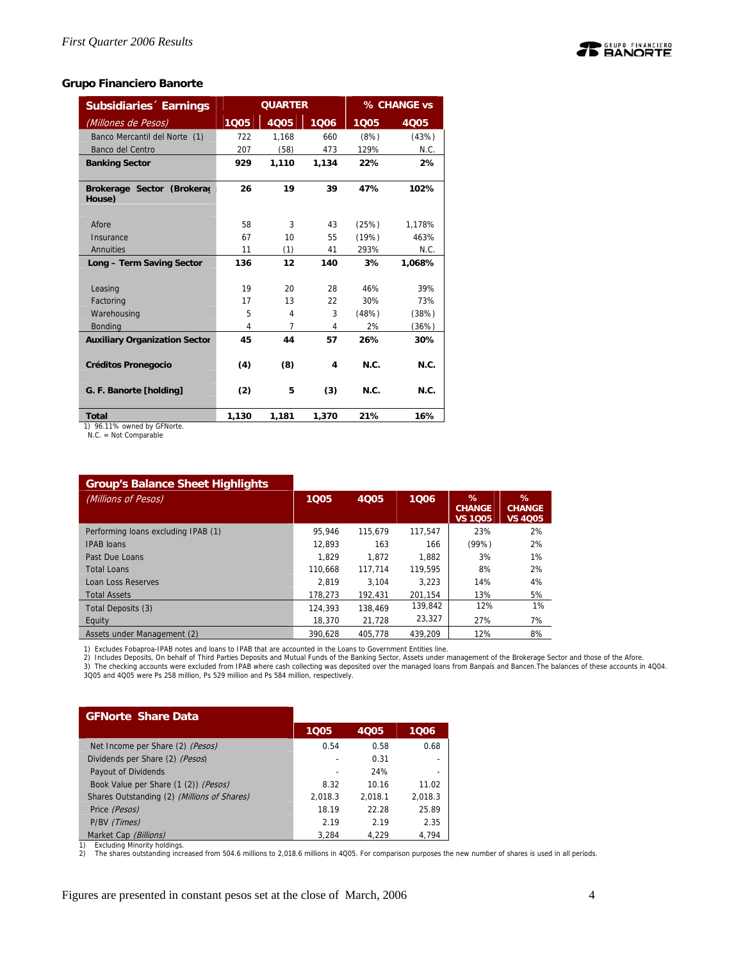

### **Grupo Financiero Banorte**

| <b>Subsidiaries Earnings</b>         |       | <b>QUARTER</b> |       |       | % CHANGE vs |
|--------------------------------------|-------|----------------|-------|-------|-------------|
| (Millones de Pesos)                  | 1005  | 4Q05           | 1006  | 1005  | 4Q05        |
| Banco Mercantil del Norte (1)        | 722   | 1,168          | 660   | (8%)  | (43%)       |
| Banco del Centro                     | 207   | (58)           | 473   | 129%  | N.C.        |
| <b>Banking Sector</b>                | 929   | 1.110          | 1.134 | 22%   | 2%          |
| Brokerage Sector (Brokerad<br>House) | 26    | 19             | 39    | 47%   | 102%        |
| Afore                                | 58    | 3              | 43    | (25%) | 1,178%      |
| Insurance                            | 67    | 10             | 55    | (19%) | 463%        |
| Annuities                            | 11    | (1)            | 41    | 293%  | N.C.        |
| Long - Term Saving Sector            | 136   | 12             | 140   | 3%    | 1,068%      |
|                                      |       |                |       |       |             |
| Leasing                              | 19    | 20             | 28    | 46%   | 39%         |
| Factoring                            | 17    | 13             | 22    | 30%   | 73%         |
| Warehousing                          | 5     | 4              | 3     | (48%) | (38%)       |
| <b>Bonding</b>                       | 4     | $\overline{7}$ | 4     | 2%    | (36%)       |
| <b>Auxiliary Organization Sector</b> | 45    | 44             | 57    | 26%   | 30%         |
| <b>Créditos Pronegocio</b>           | (4)   | (8)            | 4     | N.C.  | N.C.        |
| G. F. Banorte [holding]              | (2)   | 5              | (3)   | N.C.  | N.C.        |
| <b>Total</b><br>$\sim$ $ \sim$       | 1,130 | 1,181          | 1,370 | 21%   | 16%         |

1) 96.11% owned by GFNorte. N.C. = Not Comparable

# **Group's Balance Sheet Highlights**

| <b>Si dap 3 Baranoc Oncer i Ingiliigi its</b> |         |             |         |                                      |                                      |
|-----------------------------------------------|---------|-------------|---------|--------------------------------------|--------------------------------------|
| (Millions of Pesos)                           | 1005    | <b>4Q05</b> | 1006    | %<br><b>CHANGE</b><br><b>VS 1Q05</b> | %<br><b>CHANGE</b><br><b>VS 4005</b> |
| Performing loans excluding IPAB (1)           | 95.946  | 115.679     | 117.547 | 23%                                  | 2%                                   |
| <b>IPAB loans</b>                             | 12.893  | 163         | 166     | (99%)                                | 2%                                   |
| Past Due Loans                                | 1.829   | 1.872       | 1.882   | 3%                                   | 1%                                   |
| <b>Total Loans</b>                            | 110.668 | 117.714     | 119.595 | 8%                                   | 2%                                   |
| Loan Loss Reserves                            | 2.819   | 3.104       | 3.223   | 14%                                  | 4%                                   |
| <b>Total Assets</b>                           | 178.273 | 192.431     | 201.154 | 13%                                  | 5%                                   |
| Total Deposits (3)                            | 124,393 | 138.469     | 139,842 | 12%                                  | $1\%$                                |
| Equity                                        | 18,370  | 21.728      | 23,327  | 27%                                  | 7%                                   |
| Assets under Management (2)                   | 390.628 | 405.778     | 439.209 | 12%                                  | 8%                                   |

1) Excludes Fobaproa-IPAB notes and loans to IPAB that are accounted in the Loans to Government Entities line.<br>2) Includes Deposits, On behalf of Third Parties Deposits and Mutual Funds of the Banking Sector and those of t

3Q05 and 4Q05 were Ps 258 million, Ps 529 million and Ps 584 million, respectively.

| <b>GFNorte Share Data</b>                   |                          |             |         |
|---------------------------------------------|--------------------------|-------------|---------|
|                                             | 1005                     | <b>4Q05</b> | 1006    |
| Net Income per Share (2) (Pesos)            | 0.54                     | 0.58        | 0.68    |
| Dividends per Share (2) (Pesos)             | $\overline{a}$           | 0.31        |         |
| Payout of Dividends                         | $\overline{\phantom{a}}$ | 24%         |         |
| Book Value per Share (1 (2)) (Pesos)        | 8.32                     | 10.16       | 11.02   |
| Shares Outstanding (2) (Millions of Shares) | 2,018.3                  | 2.018.1     | 2,018.3 |
| Price (Pesos)                               | 18.19                    | 22.28       | 25.89   |
| P/BV (Times)                                | 2.19                     | 2.19        | 2.35    |
| Market Cap (Billions)                       | 3.284                    | 4.229       | 4.794   |

Market Cap *(Billions)*<br>1) Excluding Minority holdings.<br>2) The shares outstanding increased from 504.6 millions to 2,018.6 millions in 4Q05. For comparison purposes the new number of shares is used in all periods.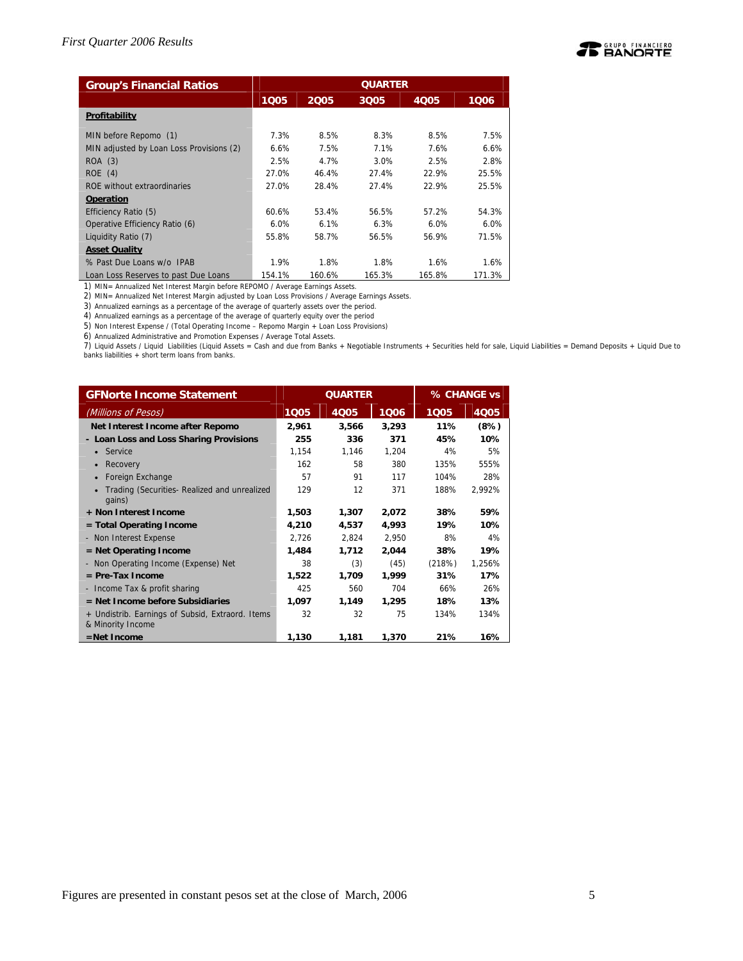

| <b>Group's Financial Ratios</b>          | <b>QUARTER</b> |        |        |        |        |  |  |  |
|------------------------------------------|----------------|--------|--------|--------|--------|--|--|--|
|                                          | 1005           | 2005   | 3005   | 4005   | 1006   |  |  |  |
| Profitability                            |                |        |        |        |        |  |  |  |
| MIN before Repomo (1)                    | 7.3%           | 8.5%   | 8.3%   | 8.5%   | 7.5%   |  |  |  |
| MIN adjusted by Loan Loss Provisions (2) | 6.6%           | 7.5%   | 7.1%   | 7.6%   | 6.6%   |  |  |  |
| ROA (3)                                  | 2.5%           | 4.7%   | 3.0%   | 2.5%   | 2.8%   |  |  |  |
| ROE(4)                                   | 27.0%          | 46.4%  | 27.4%  | 22.9%  | 25.5%  |  |  |  |
| ROE without extraordinaries              | 27.0%          | 28.4%  | 27.4%  | 22.9%  | 25.5%  |  |  |  |
| <b>Operation</b>                         |                |        |        |        |        |  |  |  |
| Efficiency Ratio (5)                     | 60.6%          | 53.4%  | 56.5%  | 57.2%  | 54.3%  |  |  |  |
| Operative Efficiency Ratio (6)           | $6.0\%$        | 6.1%   | 6.3%   | 6.0%   | 6.0%   |  |  |  |
| Liquidity Ratio (7)                      | 55.8%          | 58.7%  | 56.5%  | 56.9%  | 71.5%  |  |  |  |
| <b>Asset Quality</b>                     |                |        |        |        |        |  |  |  |
| % Past Due Loans w/o IPAB                | 1.9%           | 1.8%   | 1.8%   | 1.6%   | 1.6%   |  |  |  |
| Loan Loss Reserves to past Due Loans     | 154.1%         | 160.6% | 165.3% | 165.8% | 171.3% |  |  |  |

1) MIN= Annualized Net Interest Margin before REPOMO / Average Earnings Assets. 2) MIN= Annualized Net Interest Margin adjusted by Loan Loss Provisions / Average Earnings Assets.

3) Annualized earnings as a percentage of the average of quarterly assets over the period.

4) Annualized earnings as a percentage of the average of quarterly equity over the period

5) Non Interest Expense / (Total Operating Income – Repomo Margin + Loan Loss Provisions)

6) Annualized Administrative and Promotion Expenses / Average Total Assets.

7) Liquid Assets / Liquid Liabilities (Liquid Assets = Cash and due from Banks + Negotiable Instruments + Securities held for sale, Liquid Liabilities = Demand Deposits + Liquid Due to banks liabilities + short term loans from banks.

| <b>GFNorte Income Statement</b>                                       |       | <b>QUARTER</b> |       | % CHANGE vs |        |  |
|-----------------------------------------------------------------------|-------|----------------|-------|-------------|--------|--|
| (Millions of Pesos)                                                   | 1005  | 4Q05           | 1006  | 1Q05        | 4Q05   |  |
| Net Interest Income after Repomo                                      | 2,961 | 3,566          | 3,293 | 11%         | (8%)   |  |
| - Loan Loss and Loss Sharing Provisions                               | 255   | 336            | 371   | 45%         | 10%    |  |
| Service                                                               | 1,154 | 1,146          | 1,204 | 4%          | 5%     |  |
| Recovery                                                              | 162   | 58             | 380   | 135%        | 555%   |  |
| Foreign Exchange                                                      | 57    | 91             | 117   | 104%        | 28%    |  |
| Trading (Securities- Realized and unrealized<br>gains)                | 129   | 12             | 371   | 188%        | 2.992% |  |
| + Non Interest Income                                                 | 1,503 | 1,307          | 2,072 | 38%         | 59%    |  |
| = Total Operating Income                                              | 4,210 | 4,537          | 4,993 | 19%         | 10%    |  |
| - Non Interest Expense                                                | 2,726 | 2,824          | 2,950 | 8%          | 4%     |  |
| $=$ Net Operating Income                                              | 1,484 | 1,712          | 2,044 | 38%         | 19%    |  |
| - Non Operating Income (Expense) Net                                  | 38    | (3)            | (45)  | (218%)      | 1,256% |  |
| $=$ Pre-Tax Income                                                    | 1,522 | 1,709          | 1,999 | 31%         | 17%    |  |
| - Income Tax & profit sharing                                         | 425   | 560            | 704   | 66%         | 26%    |  |
| $=$ Net Income before Subsidiaries                                    | 1.097 | 1.149          | 1,295 | 18%         | 13%    |  |
| + Undistrib. Earnings of Subsid, Extraord. Items<br>& Minority Income | 32    | 32             | 75    | 134%        | 134%   |  |
| $=$ Net Income                                                        | 1.130 | 1,181          | 1,370 | 21%         | 16%    |  |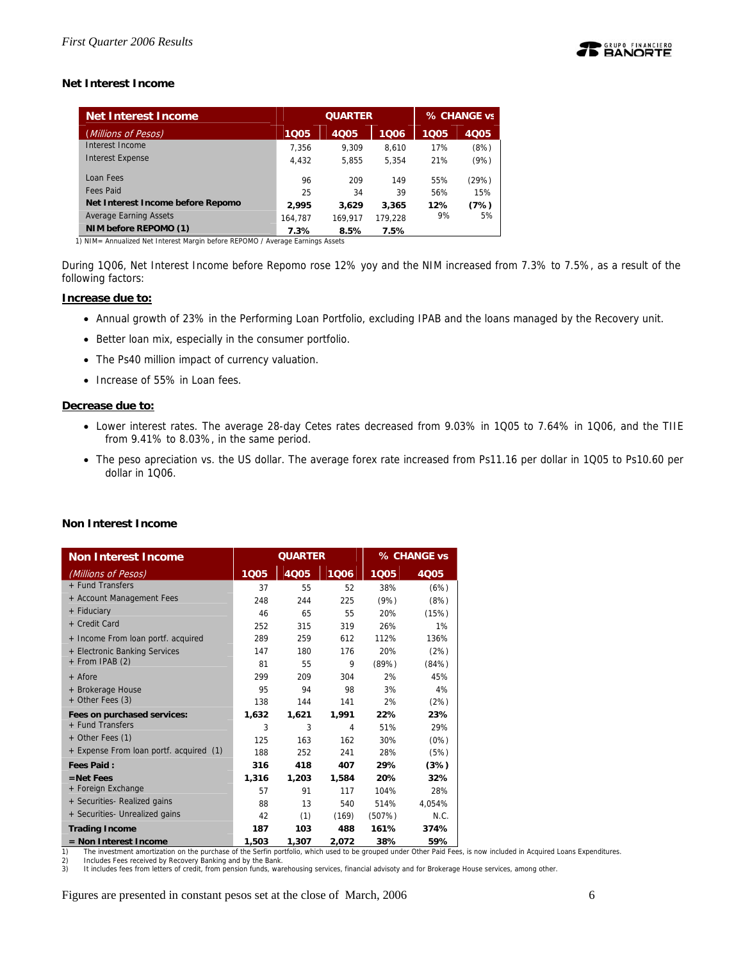

# **Net Interest Income**

| Net Interest Income               |         | <b>QUARTER</b> | % CHANGE vs |      |             |
|-----------------------------------|---------|----------------|-------------|------|-------------|
| (Millions of Pesos)               | 1005    | 4005           | 1006        | 1Q05 | <b>4Q05</b> |
| Interest Income                   | 7.356   | 9.309          | 8.610       | 17%  | (8%)        |
| <b>Interest Expense</b>           | 4.432   | 5.855          | 5.354       | 21%  | (9%)        |
| Loan Fees                         | 96      | 209            | 149         | 55%  | (29%)       |
| <b>Fees Paid</b>                  | 25      | 34             | 39          | 56%  | 15%         |
| Net Interest Income before Repomo | 2.995   | 3.629          | 3,365       | 12%  | (7%)        |
| <b>Average Earning Assets</b>     | 164.787 | 169.917        | 179.228     | 9%   | 5%          |
| NIM before REPOMO (1)             | 7.3%    | 8.5%           | 7.5%        |      |             |

During 1Q06, Net Interest Income before Repomo rose 12% yoy and the NIM increased from 7.3% to 7.5%, as a result of the following factors:

### **Increase due to:**

- Annual growth of 23% in the Performing Loan Portfolio, excluding IPAB and the loans managed by the Recovery unit.
- Better loan mix, especially in the consumer portfolio.
- The Ps40 million impact of currency valuation.
- Increase of 55% in Loan fees.

### **Decrease due to:**

- Lower interest rates. The average 28-day Cetes rates decreased from 9.03% in 1Q05 to 7.64% in 1Q06, and the TIIE from 9.41% to 8.03%, in the same period.
- The peso apreciation vs. the US dollar. The average forex rate increased from Ps11.16 per dollar in 1Q05 to Ps10.60 per dollar in 1Q06.

# **Non Interest Income**

| <b>Non Interest Income</b>              |       | <b>QUARTER</b> |       |        | % CHANGE vs |
|-----------------------------------------|-------|----------------|-------|--------|-------------|
| (Millions of Pesos)                     | 1005  | 4Q05           | 1006  | 1005   | <b>4Q05</b> |
| + Fund Transfers                        | 37    | 55             | 52    | 38%    | (6%)        |
| + Account Management Fees               | 248   | 244            | 225   | (9%)   | (8%)        |
| + Fiduciary                             | 46    | 65             | 55    | 20%    | (15%)       |
| + Credit Card                           | 252   | 315            | 319   | 26%    | 1%          |
| + Income From loan portf. acquired      | 289   | 259            | 612   | 112%   | 136%        |
| + Electronic Banking Services           | 147   | 180            | 176   | 20%    | (2%)        |
| + From IPAB (2)                         | 81    | 55             | 9     | (89%)  | (84%)       |
| $+$ Afore                               | 299   | 209            | 304   | 2%     | 45%         |
| + Brokerage House                       | 95    | 94             | 98    | 3%     | 4%          |
| + Other Fees (3)                        | 138   | 144            | 141   | 2%     | (2%)        |
| Fees on purchased services:             | 1,632 | 1,621          | 1,991 | 22%    | 23%         |
| + Fund Transfers                        | 3     | 3              | 4     | 51%    | 29%         |
| + Other Fees (1)                        | 125   | 163            | 162   | 30%    | (0%)        |
| + Expense From loan portf. acquired (1) | 188   | 252            | 241   | 28%    | (5%)        |
| <b>Fees Paid:</b>                       | 316   | 418            | 407   | 29%    | (3%)        |
| $=$ Net Fees                            | 1,316 | 1,203          | 1,584 | 20%    | 32%         |
| + Foreign Exchange                      | 57    | 91             | 117   | 104%   | 28%         |
| + Securities- Realized gains            | 88    | 13             | 540   | 514%   | 4,054%      |
| + Securities- Unrealized gains          | 42    | (1)            | (169) | (507%) | N.C.        |
| <b>Trading Income</b>                   | 187   | 103            | 488   | 161%   | 374%        |
| $=$ Non Interest Income                 | 1,503 | 1,307          | 2,072 | 38%    | 59%         |

1) The investment amortization on the purchase of the Serfin portfolio, which used to be grouped under Other Paid Fees, is now included in Acquired Loans Expenditures.<br>2) Includes Fees received by Recovery Banking and by t

Includes Fees received by Recovery Banking and by the Bank.

3) It includes fees from letters of credit, from pension funds, warehousing services, financial advisoty and for Brokerage House services, among other.

Figures are presented in constant pesos set at the close of March, 2006 6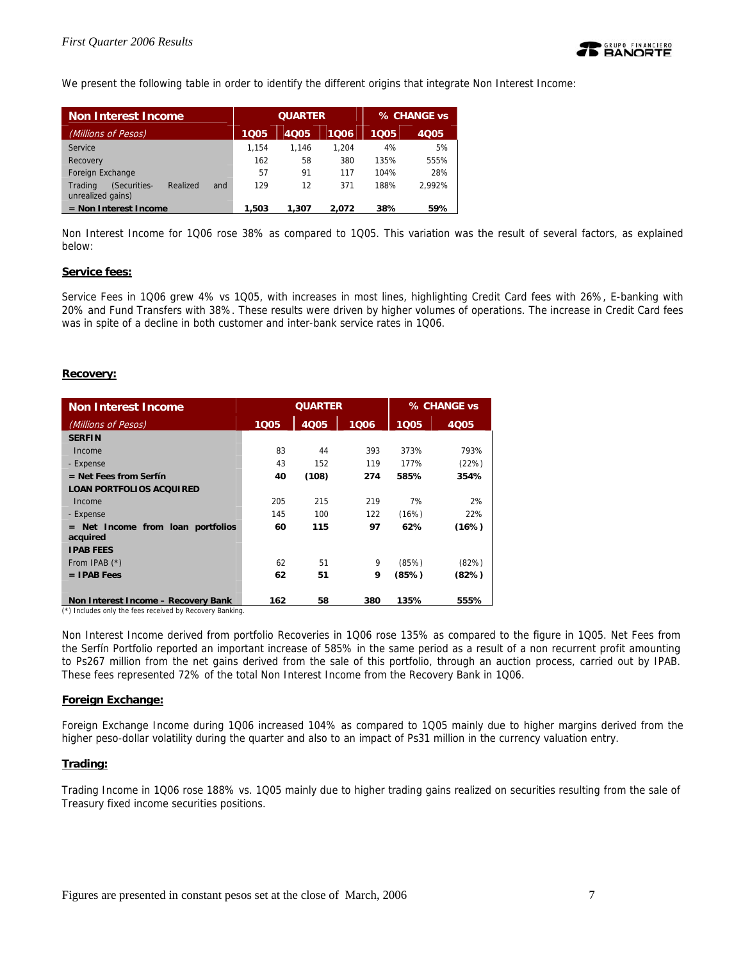We present the following table in order to identify the different origins that integrate Non Interest Income:

| <b>Non Interest Income</b>                                      | <b>QUARTER</b> |       |       | % CHANGE vs |             |  |
|-----------------------------------------------------------------|----------------|-------|-------|-------------|-------------|--|
| (Millions of Pesos)                                             | 1005           | 4005  | 1006  | 1005        | <b>4005</b> |  |
| Service                                                         | 1.154          | 1.146 | 1.204 | 4%          | 5%          |  |
| Recovery                                                        | 162            | 58    | 380   | 135%        | 555%        |  |
| Foreign Exchange                                                | 57             | 91    | 117   | 104%        | 28%         |  |
| (Securities-<br>Realized<br>Trading<br>and<br>unrealized gains) | 129            | 12    | 371   | 188%        | 2.992%      |  |
| $=$ Non Interest Income                                         | 1,503          | 1,307 | 2.072 | 38%         | 59%         |  |

Non Interest Income for 1Q06 rose 38% as compared to 1Q05. This variation was the result of several factors, as explained below:

### **Service fees:**

Service Fees in 1Q06 grew 4% vs 1Q05, with increases in most lines, highlighting Credit Card fees with 26%, E-banking with 20% and Fund Transfers with 38%. These results were driven by higher volumes of operations. The increase in Credit Card fees was in spite of a decline in both customer and inter-bank service rates in 1Q06.

### **Recovery:**

| <b>Non Interest Income</b>                         |                  | <b>QUARTER</b> | % CHANGE vs |       |       |
|----------------------------------------------------|------------------|----------------|-------------|-------|-------|
| (Millions of Pesos)                                | 1 <sub>Q05</sub> | 4005           | 1006        | 1005  | 4Q05  |
| <b>SERFIN</b>                                      |                  |                |             |       |       |
| Income                                             | 83               | 44             | 393         | 373%  | 793%  |
| - Expense                                          | 43               | 152            | 119         | 177%  | (22%) |
| $=$ Net Fees from Serfín                           | 40               | (108)          | 274         | 585%  | 354%  |
| <b>LOAN PORTFOLIOS ACQUIRED</b>                    |                  |                |             |       |       |
| Income                                             | 205              | 215            | 219         | 7%    | 2%    |
| - Expense                                          | 145              | 100            | 122         | (16%) | 22%   |
| Net Income from loan portfolios<br>$=$<br>acquired | 60               | 115            | 97          | 62%   | (16%) |
| <b>IPAB FEES</b>                                   |                  |                |             |       |       |
| From IPAB (*)                                      | 62               | 51             | 9           | (85%) | (82%) |
| $=$ IPAB Fees                                      | 62               | 51             | 9           | (85%) | (82%) |
|                                                    |                  |                |             |       |       |
| Non Interest Income - Recovery Bank                | 162              | 58             | 380         | 135%  | 555%  |

(\*) Includes only the fees received by Recovery Banking.

Non Interest Income derived from portfolio Recoveries in 1Q06 rose 135% as compared to the figure in 1Q05. Net Fees from the Serfín Portfolio reported an important increase of 585% in the same period as a result of a non recurrent profit amounting to Ps267 million from the net gains derived from the sale of this portfolio, through an auction process, carried out by IPAB. These fees represented 72% of the total Non Interest Income from the Recovery Bank in 1Q06.

#### **Foreign Exchange:**

Foreign Exchange Income during 1Q06 increased 104% as compared to 1Q05 mainly due to higher margins derived from the higher peso-dollar volatility during the quarter and also to an impact of Ps31 million in the currency valuation entry.

### **Trading:**

Trading Income in 1Q06 rose 188% vs. 1Q05 mainly due to higher trading gains realized on securities resulting from the sale of Treasury fixed income securities positions.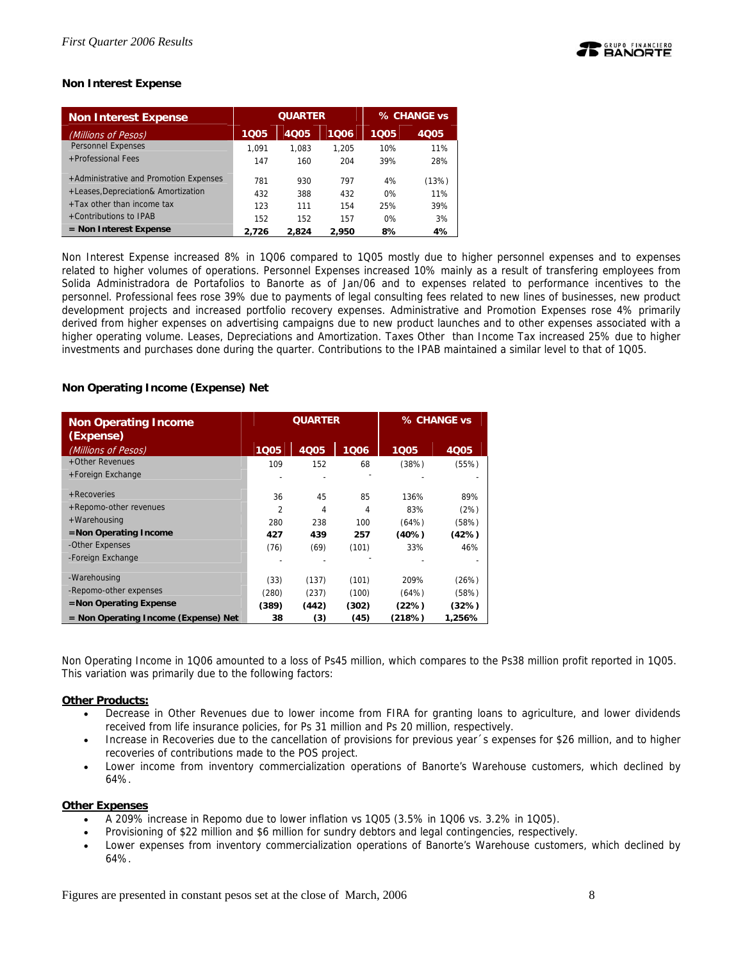

# **Non Interest Expense**

| <b>Non Interest Expense</b>            |       | <b>QUARTER</b> | % CHANGE vs |      |             |
|----------------------------------------|-------|----------------|-------------|------|-------------|
| (Millions of Pesos)                    | 1Q05  | 4005           | 1006        | 1005 | <b>4Q05</b> |
| <b>Personnel Expenses</b>              | 1.091 | 1.083          | 1.205       | 10%  | 11%         |
| +Professional Fees                     | 147   | 160            | 204         | 39%  | 28%         |
| +Administrative and Promotion Expenses | 781   | 930            | 797         | 4%   | (13%)       |
| +Leases, Depreciation& Amortization    | 432   | 388            | 432         | 0%   | 11%         |
| $+$ Tax other than income tax          | 123   | 111            | 154         | 25%  | 39%         |
| +Contributions to IPAB                 | 152   | 152            | 157         | 0%   | 3%          |
| $=$ Non Interest Expense               | 2.726 | 2.824          | 2,950       | 8%   | 4%          |

Non Interest Expense increased 8% in 1Q06 compared to 1Q05 mostly due to higher personnel expenses and to expenses related to higher volumes of operations. Personnel Expenses increased 10% mainly as a result of transfering employees from Solida Administradora de Portafolios to Banorte as of Jan/06 and to expenses related to performance incentives to the personnel. Professional fees rose 39% due to payments of legal consulting fees related to new lines of businesses, new product development projects and increased portfolio recovery expenses. Administrative and Promotion Expenses rose 4% primarily derived from higher expenses on advertising campaigns due to new product launches and to other expenses associated with a higher operating volume. Leases, Depreciations and Amortization. Taxes Other than Income Tax increased 25% due to higher investments and purchases done during the quarter. Contributions to the IPAB maintained a similar level to that of 1Q05.

### **Non Operating Income (Expense) Net**

| <b>Non Operating Income</b><br>(Expense) |                | <b>QUARTER</b> | % CHANGE vs |        |        |
|------------------------------------------|----------------|----------------|-------------|--------|--------|
| (Millions of Pesos)                      | 1005           | 4005           | 1006        | 1005   | 4Q05   |
| +Other Revenues                          | 109            | 152            | 68          | (38%)  | (55%)  |
| +Foreign Exchange                        |                |                |             |        |        |
| + Recoveries                             | 36             | 45             | 85          | 136%   | 89%    |
| +Repomo-other revenues                   | $\overline{2}$ | 4              | 4           | 83%    | (2%)   |
| +Warehousing                             | 280            | 238            | 100         | (64%)  | (58%)  |
| $=$ Non Operating Income                 | 427            | 439            | 257         | (40%)  | (42%)  |
| -Other Expenses                          | (76)           | (69)           | (101)       | 33%    | 46%    |
| -Foreign Exchange                        |                |                |             |        |        |
| -Warehousing                             | (33)           | (137)          | (101)       | 209%   | (26%)  |
| -Repomo-other expenses                   | (280)          | (237)          | (100)       | (64%)  | (58%)  |
| $=$ Non Operating Expense                | (389)          | (442)          | (302)       | (22%)  | (32%)  |
| = Non Operating Income (Expense) Net     | 38             | (3)            | (45)        | (218%) | 1.256% |

Non Operating Income in 1Q06 amounted to a loss of Ps45 million, which compares to the Ps38 million profit reported in 1Q05. This variation was primarily due to the following factors:

### **Other Products:**

- Decrease in Other Revenues due to lower income from FIRA for granting loans to agriculture, and lower dividends received from life insurance policies, for Ps 31 million and Ps 20 million, respectively.
- Increase in Recoveries due to the cancellation of provisions for previous year´s expenses for \$26 million, and to higher recoveries of contributions made to the POS project.
- Lower income from inventory commercialization operations of Banorte's Warehouse customers, which declined by 64%.

### **Other Expenses**

- A 209% increase in Repomo due to lower inflation vs 1Q05 (3.5% in 1Q06 vs. 3.2% in 1Q05).
- Provisioning of \$22 million and \$6 million for sundry debtors and legal contingencies, respectively.
- Lower expenses from inventory commercialization operations of Banorte's Warehouse customers, which declined by 64%.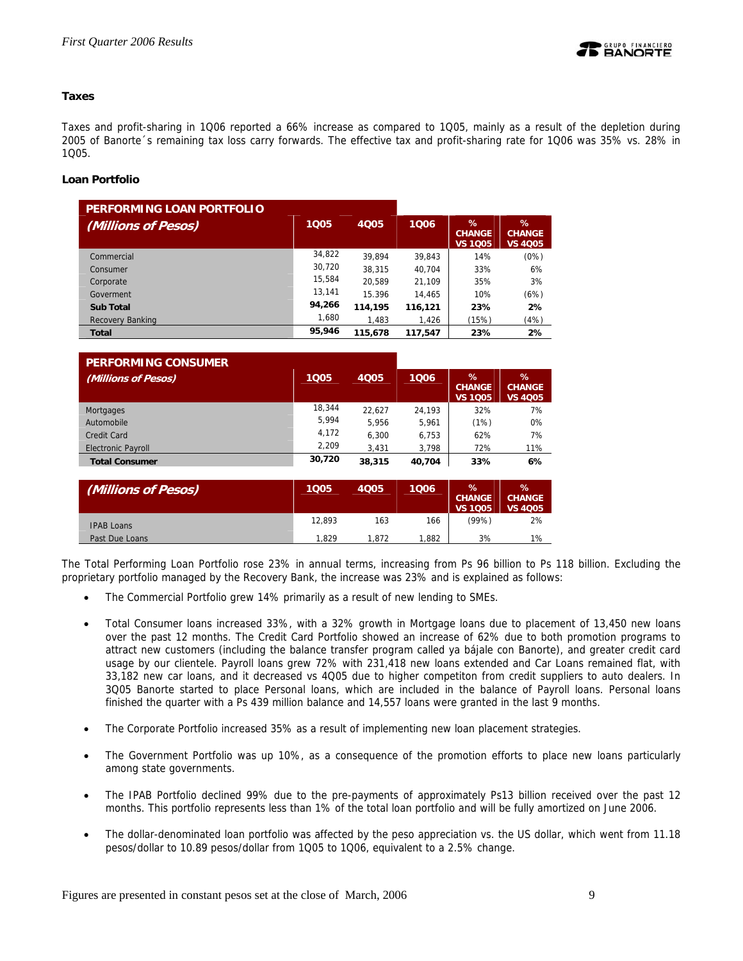

# **Taxes**

Taxes and profit-sharing in 1Q06 reported a 66% increase as compared to 1Q05, mainly as a result of the depletion during 2005 of Banorte´s remaining tax loss carry forwards. The effective tax and profit-sharing rate for 1Q06 was 35% vs. 28% in 1Q05.

# **Loan Portfolio**

| PERFORMING LOAN PORTFOLIO |        |             |         |                                         |                                      |
|---------------------------|--------|-------------|---------|-----------------------------------------|--------------------------------------|
| (Millions of Pesos)       | 1005   | <b>4Q05</b> | 1006    | $\%$<br><b>CHANGE</b><br><b>VS 1Q05</b> | %<br><b>CHANGE</b><br><b>VS 4Q05</b> |
| Commercial                | 34,822 | 39.894      | 39.843  | 14%                                     | (0%)                                 |
| Consumer                  | 30,720 | 38,315      | 40.704  | 33%                                     | 6%                                   |
| Corporate                 | 15.584 | 20.589      | 21.109  | 35%                                     | 3%                                   |
| Goverment                 | 13,141 | 15.396      | 14.465  | 10%                                     | (6%)                                 |
| <b>Sub Total</b>          | 94,266 | 114,195     | 116,121 | 23%                                     | 2%                                   |
| Recovery Banking          | 1,680  | 1.483       | 1.426   | (15%)                                   | (4%)                                 |
| <b>Total</b>              | 95,946 | 115,678     | 117,547 | 23%                                     | 2%                                   |

| <b>PERFORMING CONSUMER</b> |        |        |        |                                         |                                         |
|----------------------------|--------|--------|--------|-----------------------------------------|-----------------------------------------|
| (Millions of Pesos)        | 1005   | 4005   | 1006   | $\%$<br><b>CHANGE</b><br><b>VS 1005</b> | $\%$<br><b>CHANGE</b><br><b>VS 4Q05</b> |
| Mortgages                  | 18.344 | 22,627 | 24.193 | 32%                                     | 7%                                      |
| Automobile                 | 5.994  | 5.956  | 5.961  | (1%)                                    | 0%                                      |
| Credit Card                | 4,172  | 6.300  | 6,753  | 62%                                     | 7%                                      |
| <b>Electronic Payroll</b>  | 2.209  | 3,431  | 3.798  | 72%                                     | 11%                                     |
| <b>Total Consumer</b>      | 30,720 | 38,315 | 40.704 | 33%                                     | 6%                                      |

| (Millions of Pesos) | 1005   | <b>4Q05</b> | 1006  | $\%$<br><b>CHANGE</b><br><b>VS 1005</b> | ℅<br><b>CHANGE</b><br><b>VS 4005</b> |
|---------------------|--------|-------------|-------|-----------------------------------------|--------------------------------------|
| <b>IPAB Loans</b>   | 12.893 | 163         | 166   | (99%)                                   | 2%                                   |
| Past Due Loans      | 1.829  | 1.872       | 1.882 | 3%                                      | $1\%$                                |

The Total Performing Loan Portfolio rose 23% in annual terms, increasing from Ps 96 billion to Ps 118 billion. Excluding the proprietary portfolio managed by the Recovery Bank, the increase was 23% and is explained as follows:

- The Commercial Portfolio grew 14% primarily as a result of new lending to SMEs.
- Total Consumer loans increased 33%, with a 32% growth in Mortgage loans due to placement of 13,450 new loans over the past 12 months. The Credit Card Portfolio showed an increase of 62% due to both promotion programs to attract new customers (including the balance transfer program called ya bájale con Banorte), and greater credit card usage by our clientele. Payroll loans grew 72% with 231,418 new loans extended and Car Loans remained flat, with 33,182 new car loans, and it decreased vs 4Q05 due to higher competiton from credit suppliers to auto dealers. In 3Q05 Banorte started to place Personal loans, which are included in the balance of Payroll loans. Personal loans finished the quarter with a Ps 439 million balance and 14,557 loans were granted in the last 9 months.
- The Corporate Portfolio increased 35% as a result of implementing new loan placement strategies.
- The Government Portfolio was up 10%, as a consequence of the promotion efforts to place new loans particularly among state governments.
- The IPAB Portfolio declined 99% due to the pre-payments of approximately Ps13 billion received over the past 12 months. This portfolio represents less than 1% of the total loan portfolio and will be fully amortized on June 2006.
- The dollar-denominated loan portfolio was affected by the peso appreciation vs. the US dollar, which went from 11.18 pesos/dollar to 10.89 pesos/dollar from 1Q05 to 1Q06, equivalent to a 2.5% change.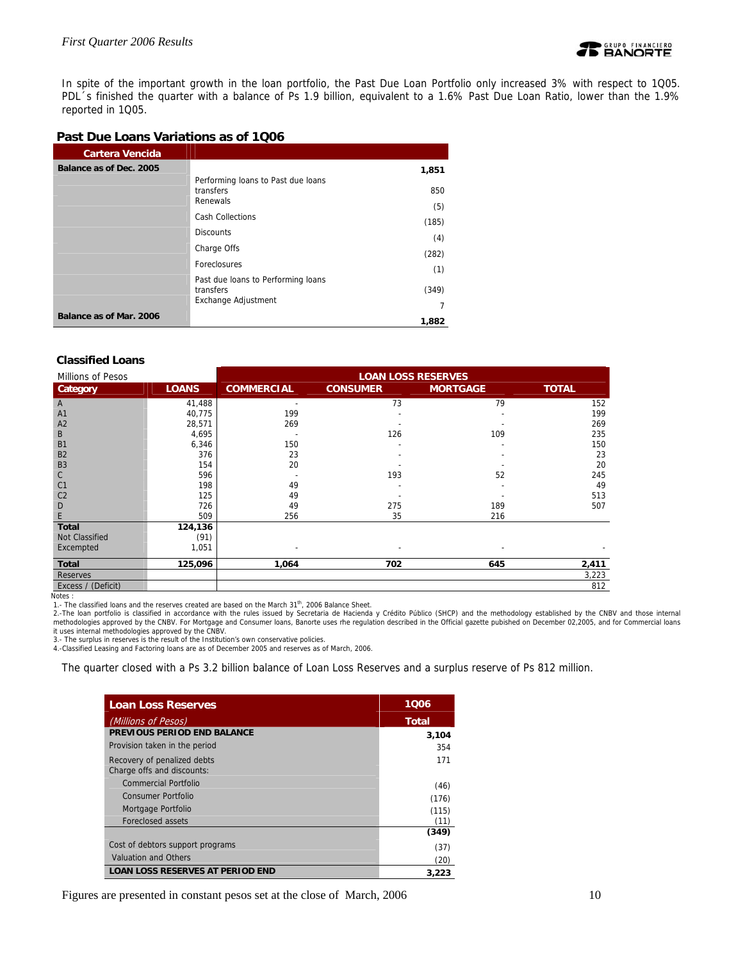

In spite of the important growth in the loan portfolio, the Past Due Loan Portfolio only increased 3% with respect to 1Q05. PDL´s finished the quarter with a balance of Ps 1.9 billion, equivalent to a 1.6% Past Due Loan Ratio, lower than the 1.9% reported in 1Q05.

# **Past Due Loans Variations as of 1Q06**

| Cartera Vencida         |                                                                        |            |
|-------------------------|------------------------------------------------------------------------|------------|
| Balance as of Dec. 2005 |                                                                        | 1,851      |
|                         | Performing loans to Past due loans<br>transfers<br>Renewals            | 850<br>(5) |
|                         | <b>Cash Collections</b>                                                | (185)      |
|                         | <b>Discounts</b>                                                       | (4)        |
|                         | Charge Offs                                                            | (282)      |
|                         | <b>Foreclosures</b>                                                    | (1)        |
|                         | Past due loans to Performing loans<br>transfers<br>Exchange Adjustment | (349)      |
| Balance as of Mar. 2006 |                                                                        | 7          |
|                         |                                                                        | 1,882      |

### **Classified Loans**

| <b>Millions of Pesos</b>       |                 | <b>LOAN LOSS RESERVES</b> |                 |                 |              |
|--------------------------------|-----------------|---------------------------|-----------------|-----------------|--------------|
| Category                       | <b>LOANS</b>    | <b>COMMERCIAL</b>         | <b>CONSUMER</b> | <b>MORTGAGE</b> | <b>TOTAL</b> |
| Α                              | 41,488          |                           | 73              | 79              | 152          |
| A1                             | 40,775          | 199                       |                 |                 | 199          |
| A <sub>2</sub>                 | 28,571          | 269                       |                 |                 | 269          |
| B                              | 4,695           |                           | 126             | 109             | 235          |
| B1                             | 6,346           | 150                       |                 |                 | 150          |
| <b>B2</b>                      | 376             | 23                        |                 |                 | 23           |
| B <sub>3</sub>                 | 154             | 20                        |                 |                 | 20           |
| C                              | 596             | $\overline{\phantom{a}}$  | 193             | 52              | 245          |
| C <sub>1</sub>                 | 198             | 49                        |                 |                 | 49           |
| C <sub>2</sub>                 | 125             | 49                        |                 |                 | 513          |
| D                              | 726             | 49                        | 275             | 189             | 507          |
| E                              | 509             | 256                       | 35              | 216             |              |
| <b>Total</b><br>Not Classified | 124,136<br>(91) |                           |                 |                 |              |
| Excempted                      | 1,051           | $\overline{\phantom{0}}$  |                 |                 |              |
|                                |                 |                           |                 |                 |              |
| <b>Total</b>                   | 125,096         | 1,064                     | 702             | 645             | 2,411        |
| <b>Reserves</b>                |                 |                           |                 |                 | 3,223        |
| Excess / (Deficit)             |                 |                           |                 |                 | 812          |

Notes :

1.- The classified loans and the reserves created are based on the March 31<sup>th</sup>, 2006 Balance Sheet.<br>2.-The loan portfolio is classified in accordance with the rules issued by Secretaria de Hacienda y Crédito Público (SHCP

3.- The surplus in reserves is the result of the Institution's own conservative policies.

4.-Classified Leasing and Factoring loans are as of December 2005 and reserves as of March, 2006.

The quarter closed with a Ps 3.2 billion balance of Loan Loss Reserves and a surplus reserve of Ps 812 million.

| <b>Loan Loss Reserves</b>                                 | 1006         |
|-----------------------------------------------------------|--------------|
| (Millions of Pesos)                                       | <b>Total</b> |
| PREVIOUS PERIOD END BALANCE                               | 3,104        |
| Provision taken in the period                             | 354          |
| Recovery of penalized debts<br>Charge offs and discounts: | 171          |
| Commercial Portfolio                                      | (46)         |
| Consumer Portfolio                                        | (176)        |
| Mortgage Portfolio                                        | (115)        |
| Foreclosed assets                                         | (11)         |
|                                                           | (349)        |
| Cost of debtors support programs                          | (37)         |
| Valuation and Others                                      | (20)         |
| <b>LOAN LOSS RESERVES AT PERIOD END</b>                   | 3,223        |

Figures are presented in constant pesos set at the close of March, 2006 10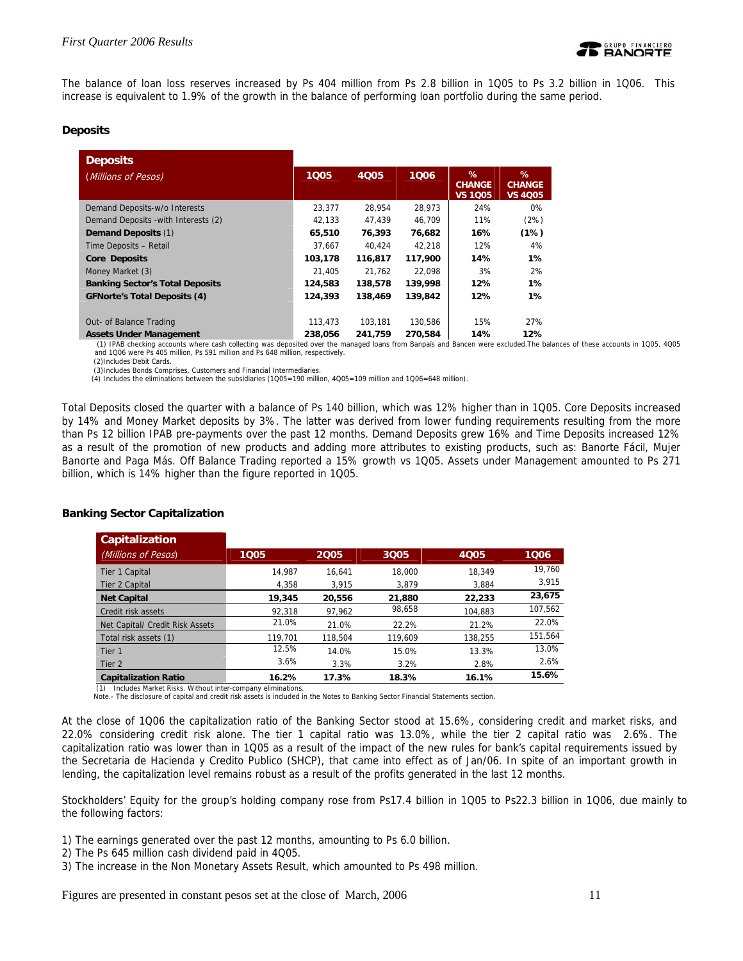

The balance of loan loss reserves increased by Ps 404 million from Ps 2.8 billion in 1Q05 to Ps 3.2 billion in 1Q06. This increase is equivalent to 1.9% of the growth in the balance of performing loan portfolio during the same period.

### **Deposits**

| <b>Deposits</b>                        |         |             |         |                                      |                                      |
|----------------------------------------|---------|-------------|---------|--------------------------------------|--------------------------------------|
| (Millions of Pesos)                    | 1005    | <b>4Q05</b> | 1006    | %<br><b>CHANGE</b><br><b>VS 1Q05</b> | %<br><b>CHANGE</b><br><b>VS 4005</b> |
| Demand Deposits-w/o Interests          | 23,377  | 28.954      | 28,973  | 24%                                  | 0%                                   |
| Demand Deposits - with Interests (2)   | 42.133  | 47.439      | 46.709  | 11%                                  | (2%)                                 |
| <b>Demand Deposits (1)</b>             | 65,510  | 76,393      | 76,682  | 16%                                  | (1%)                                 |
| Time Deposits - Retail                 | 37.667  | 40.424      | 42.218  | 12%                                  | 4%                                   |
| <b>Core Deposits</b>                   | 103,178 | 116,817     | 117,900 | 14%                                  | 1%                                   |
| Money Market (3)                       | 21.405  | 21.762      | 22.098  | 3%                                   | 2%                                   |
| <b>Banking Sector's Total Deposits</b> | 124,583 | 138,578     | 139,998 | 12%                                  | 1%                                   |
| <b>GFNorte's Total Deposits (4)</b>    | 124,393 | 138,469     | 139,842 | 12%                                  | $1\%$                                |
| Out- of Balance Trading                | 113,473 | 103.181     | 130.586 | 15%                                  | 27%                                  |
| <b>Assets Under Management</b>         | 238.056 | 241.759     | 270.584 | 14%                                  | 12%                                  |

 (1) IPAB checking accounts where cash collecting was deposited over the managed loans from Banpaís and Bancen were excluded.The balances of these accounts in 1Q05. 4Q05 and 1Q06 were Ps 405 million, Ps 591 million and Ps 648 million, respectively.

(2)Includes Debit Cards.

(3)Includes Bonds Comprises, Customers and Financial Intermediaries.

(4) Includes the eliminations between the subsidiaries (1Q05=190 million, 4Q05=109 million and 1Q06=648 million).

Total Deposits closed the quarter with a balance of Ps 140 billion, which was 12% higher than in 1Q05. Core Deposits increased by 14% and Money Market deposits by 3%. The latter was derived from lower funding requirements resulting from the more than Ps 12 billion IPAB pre-payments over the past 12 months. Demand Deposits grew 16% and Time Deposits increased 12% as a result of the promotion of new products and adding more attributes to existing products, such as: Banorte Fácil, Mujer Banorte and Paga Más. Off Balance Trading reported a 15% growth vs 1Q05. Assets under Management amounted to Ps 271 billion, which is 14% higher than the figure reported in 1Q05.

| <b>Capitalization</b>           |         |         |         |             |         |
|---------------------------------|---------|---------|---------|-------------|---------|
| (Millions of Pesos)             | 1005    | 2005    | 3Q05    | <b>4Q05</b> | 1006    |
| Tier 1 Capital                  | 14.987  | 16.641  | 18,000  | 18.349      | 19,760  |
| Tier 2 Capital                  | 4.358   | 3.915   | 3.879   | 3.884       | 3.915   |
| <b>Net Capital</b>              | 19,345  | 20.556  | 21,880  | 22,233      | 23,675  |
| Credit risk assets              | 92.318  | 97.962  | 98,658  | 104.883     | 107,562 |
| Net Capital/ Credit Risk Assets | 21.0%   | 21.0%   | 22.2%   | 21.2%       | 22.0%   |
| Total risk assets (1)           | 119.701 | 118,504 | 119,609 | 138.255     | 151,564 |
| Tier 1                          | 12.5%   | 14.0%   | 15.0%   | 13.3%       | 13.0%   |
| Tier 2                          | 3.6%    | 3.3%    | 3.2%    | 2.8%        | 2.6%    |
| <b>Capitalization Ratio</b>     | 16.2%   | 17.3%   | 18.3%   | 16.1%       | 15.6%   |

### **Banking Sector Capitalization**

(1) Includes Market Risks. Without inter-company eliminations.

Note.- The disclosure of capital and credit risk assets is included in the Notes to Banking Sector Financial Statements section.

At the close of 1Q06 the capitalization ratio of the Banking Sector stood at 15.6%, considering credit and market risks, and 22.0% considering credit risk alone. The tier 1 capital ratio was 13.0%, while the tier 2 capital ratio was 2.6%. The capitalization ratio was lower than in 1Q05 as a result of the impact of the new rules for bank's capital requirements issued by the Secretaria de Hacienda y Credito Publico (SHCP), that came into effect as of Jan/06. In spite of an important growth in lending, the capitalization level remains robust as a result of the profits generated in the last 12 months.

Stockholders' Equity for the group's holding company rose from Ps17.4 billion in 1Q05 to Ps22.3 billion in 1Q06, due mainly to the following factors:

- 1) The earnings generated over the past 12 months, amounting to Ps 6.0 billion.
- 2) The Ps 645 million cash dividend paid in 4Q05.
- 3) The increase in the Non Monetary Assets Result, which amounted to Ps 498 million.

Figures are presented in constant pesos set at the close of March, 2006 11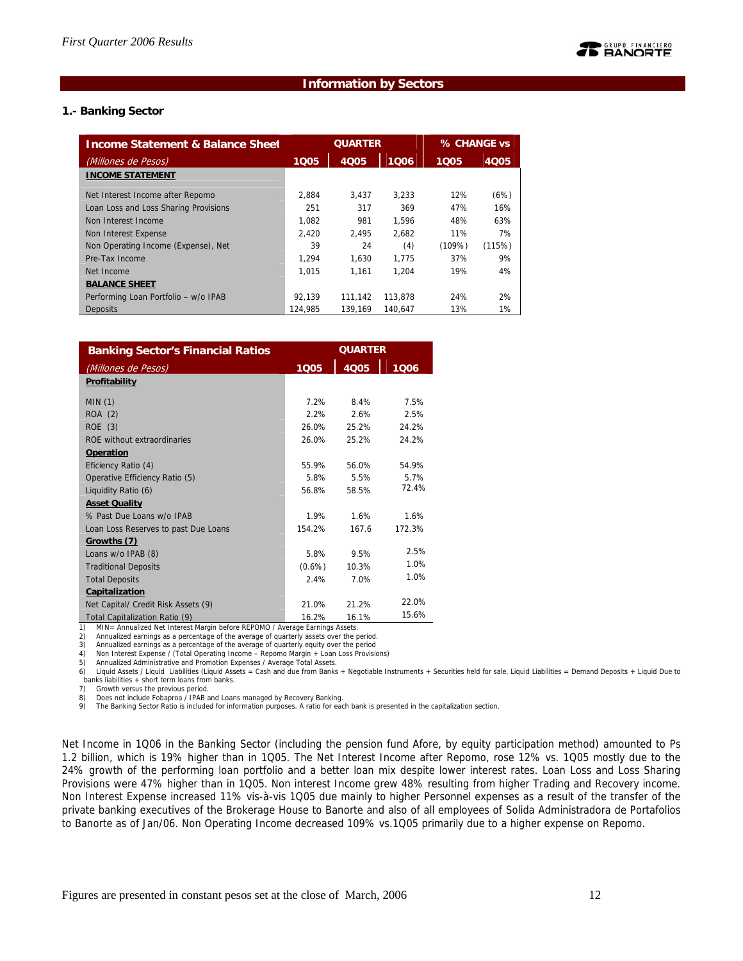### **Information by Sectors**

### **1.- Banking Sector**

| <b>Income Statement &amp; Balance Sheet</b> | <b>QUARTER</b> |         |         |        | % CHANGE vs |  |
|---------------------------------------------|----------------|---------|---------|--------|-------------|--|
| (Millones de Pesos)                         | 1005           | 4005    | 1006    | 1005   | 4005        |  |
| <b>INCOME STATEMENT</b>                     |                |         |         |        |             |  |
| Net Interest Income after Repomo            | 2.884          | 3.437   | 3.233   | 12%    | (6%)        |  |
| Loan Loss and Loss Sharing Provisions       | 251            | 317     | 369     | 47%    | 16%         |  |
| Non Interest Income                         | 1.082          | 981     | 1.596   | 48%    | 63%         |  |
| Non Interest Expense                        | 2.420          | 2.495   | 2.682   | 11%    | 7%          |  |
| Non Operating Income (Expense), Net         | 39             | 24      | (4)     | (109%) | (115%)      |  |
| Pre-Tax Income                              | 1.294          | 1.630   | 1.775   | 37%    | 9%          |  |
| Net Income                                  | 1.015          | 1.161   | 1.204   | 19%    | 4%          |  |
| <b>BALANCE SHEET</b>                        |                |         |         |        |             |  |
| Performing Loan Portfolio - w/o IPAB        | 92.139         | 111.142 | 113.878 | 24%    | 2%          |  |
| <b>Deposits</b>                             | 124.985        | 139.169 | 140.647 | 13%    | 1%          |  |

| <b>Banking Sector's Financial Ratios</b>                                                                            |           | <b>QUARTER</b> |        |
|---------------------------------------------------------------------------------------------------------------------|-----------|----------------|--------|
| (Millones de Pesos)                                                                                                 | 1005      | 4Q05           | 1006   |
| Profitability                                                                                                       |           |                |        |
| MIN(1)                                                                                                              | 7.2%      | 8.4%           | 7.5%   |
| ROA (2)                                                                                                             | 2.2%      | 2.6%           | 2.5%   |
| ROE(3)                                                                                                              | 26.0%     | 25.2%          | 24.2%  |
| ROE without extraordinaries                                                                                         | 26.0%     | 25.2%          | 24.2%  |
| Operation                                                                                                           |           |                |        |
| Eficiency Ratio (4)                                                                                                 | 55.9%     | 56.0%          | 54.9%  |
| Operative Efficiency Ratio (5)                                                                                      | 5.8%      | 5.5%           | 5.7%   |
| Liquidity Ratio (6)                                                                                                 | 56.8%     | 58.5%          | 72.4%  |
| <b>Asset Quality</b>                                                                                                |           |                |        |
| % Past Due Loans w/o IPAB                                                                                           | 1.9%      | 1.6%           | 1.6%   |
| Loan Loss Reserves to past Due Loans                                                                                | 154.2%    | 167.6          | 172.3% |
| Growths (7)                                                                                                         |           |                |        |
| Loans w/o IPAB (8)                                                                                                  | 5.8%      | 9.5%           | 2.5%   |
| <b>Traditional Deposits</b>                                                                                         | $(0.6\%)$ | 10.3%          | 1.0%   |
| <b>Total Deposits</b>                                                                                               | 2.4%      | 7.0%           | 1.0%   |
| Capitalization                                                                                                      |           |                |        |
| Net Capital/ Credit Risk Assets (9)                                                                                 | 21.0%     | 21.2%          | 22.0%  |
| Total Capitalization Ratio (9)<br>MIN- Annualized Net Interest Margin before REDOMO / Average Farnings Assets<br>1١ | 16.2%     | 16.1%          | 15.6%  |

1) MIN= Annualized Net Interest Margin before REPOMO / Average Earnings Assets.

2) Annualized earnings as a percentage of the average of quarterly assets over the period.

3) Annualized earnings as a percentage of the average of quarterly equity over the period 4) Non Interest Expense / (Total Operating Income – Repomo Margin + Loan Loss Provisions)

5) Annualized Administrative and Promotion Expenses / Average Total Assets.

6) Liquid Assets / Liquid Liabilities (Liquid Assets = Cash and due from Banks + Negotiable Instruments + Securities held for sale, Liquid Liabilities = Demand Deposits + Liquid Due to<br>banks liabilities + short term loans

7) Growth versus the previous period.

8) Does not include Fobaproa / IPAB and Loans managed by Recovery Banking.<br>9) The Banking Sector Ratio is included for information purposes. A ratio for eac

The Banking Sector Ratio is included for information purposes. A ratio for each bank is presented in the capitalization section.

Net Income in 1Q06 in the Banking Sector (including the pension fund Afore, by equity participation method) amounted to Ps 1.2 billion, which is 19% higher than in 1Q05. The Net Interest Income after Repomo, rose 12% vs. 1Q05 mostly due to the 24% growth of the performing loan portfolio and a better loan mix despite lower interest rates. Loan Loss and Loss Sharing Provisions were 47% higher than in 1Q05. Non interest Income grew 48% resulting from higher Trading and Recovery income. Non Interest Expense increased 11% vis-à-vis 1Q05 due mainly to higher Personnel expenses as a result of the transfer of the private banking executives of the Brokerage House to Banorte and also of all employees of Solida Administradora de Portafolios to Banorte as of Jan/06. Non Operating Income decreased 109% vs.1Q05 primarily due to a higher expense on Repomo.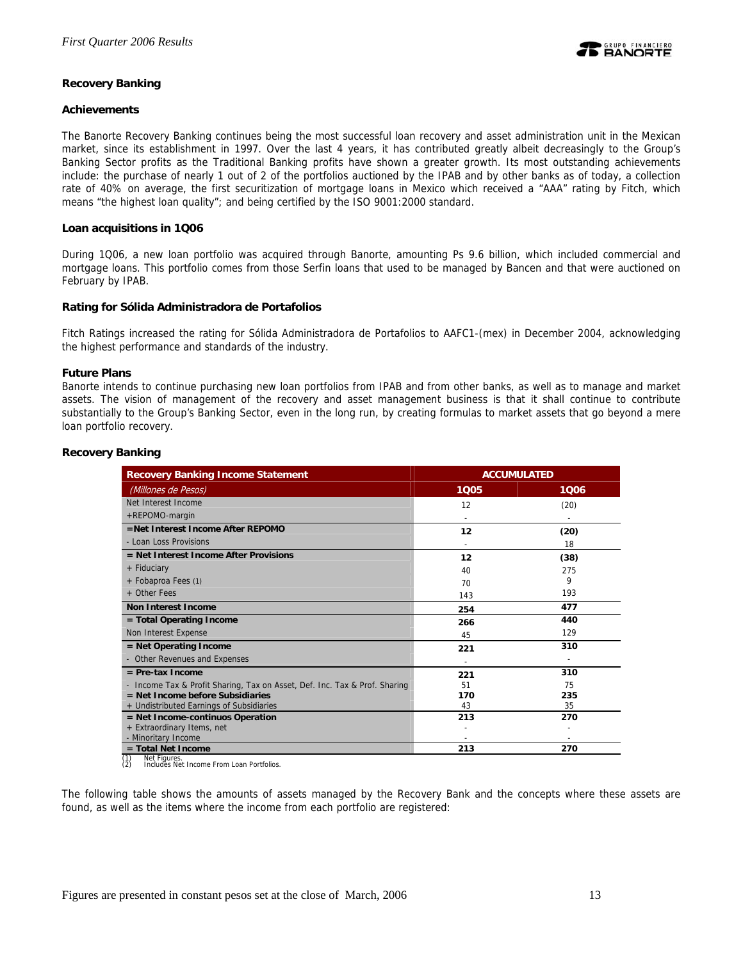

### **Recovery Banking**

### **Achievements**

The Banorte Recovery Banking continues being the most successful loan recovery and asset administration unit in the Mexican market, since its establishment in 1997. Over the last 4 years, it has contributed greatly albeit decreasingly to the Group's Banking Sector profits as the Traditional Banking profits have shown a greater growth. Its most outstanding achievements include: the purchase of nearly 1 out of 2 of the portfolios auctioned by the IPAB and by other banks as of today, a collection rate of 40% on average, the first securitization of mortgage loans in Mexico which received a "AAA" rating by Fitch, which means "the highest loan quality"; and being certified by the ISO 9001:2000 standard.

### **Loan acquisitions in 1Q06**

During 1Q06, a new loan portfolio was acquired through Banorte, amounting Ps 9.6 billion, which included commercial and mortgage loans. This portfolio comes from those Serfin loans that used to be managed by Bancen and that were auctioned on February by IPAB.

### **Rating for Sólida Administradora de Portafolios**

Fitch Ratings increased the rating for Sólida Administradora de Portafolios to AAFC1-(mex) in December 2004, acknowledging the highest performance and standards of the industry.

### **Future Plans**

Banorte intends to continue purchasing new loan portfolios from IPAB and from other banks, as well as to manage and market assets. The vision of management of the recovery and asset management business is that it shall continue to contribute substantially to the Group's Banking Sector, even in the long run, by creating formulas to market assets that go beyond a mere loan portfolio recovery.

| <b>Recovery Banking Income Statement</b><br><b>ACCUMULATED</b>             |      |                          |
|----------------------------------------------------------------------------|------|--------------------------|
| (Millones de Pesos)                                                        | 1005 | 1006                     |
| Net Interest Income                                                        | 12   | (20)                     |
| +REPOMO-margin                                                             |      | $\overline{\phantom{a}}$ |
| $=$ Net Interest Income After RFPOMO                                       | 12   | (20)                     |
| - Loan Loss Provisions                                                     |      | 18                       |
| $=$ Net Interest Income After Provisions                                   | 12   | (38)                     |
| + Fiduciary                                                                | 40   | 275                      |
| + Fobaproa Fees (1)                                                        | 70   | 9                        |
| $+$ Other Fees                                                             | 143  | 193                      |
| Non Interest Income                                                        | 254  | 477                      |
| = Total Operating Income                                                   | 266  | 440                      |
| Non Interest Expense                                                       | 45   | 129                      |
| $=$ Net Operating Income                                                   | 221  | 310                      |
| - Other Revenues and Expenses                                              |      |                          |
| $=$ Pre-tax Income                                                         | 221  | 310                      |
| - Income Tax & Profit Sharing, Tax on Asset, Def. Inc. Tax & Prof. Sharing | 51   | 75                       |
| $=$ Net Income before Subsidiaries                                         | 170  | 235                      |
| + Undistributed Earnings of Subsidiaries                                   | 43   | 35                       |
| $=$ Net Income-continuos Operation                                         | 213  | 270                      |
| + Extraordinary Items, net                                                 |      |                          |
| - Minoritary Income                                                        |      |                          |
| $=$ Total Net Income                                                       | 213  | 270                      |

### **Recovery Banking**

(1) Net Figures. (2) Includes Net Income From Loan Portfolios.

The following table shows the amounts of assets managed by the Recovery Bank and the concepts where these assets are found, as well as the items where the income from each portfolio are registered: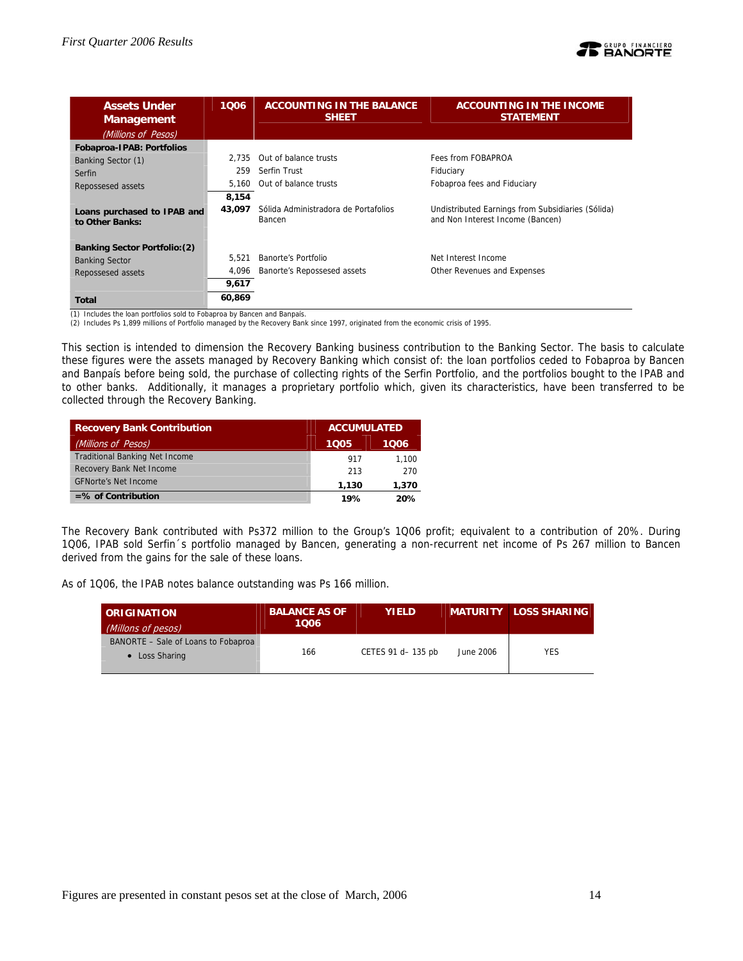

| <b>Assets Under</b><br><b>Management</b><br>(Millions of Pesos) | 1006   | <b>ACCOUNTING IN THE BALANCE</b><br><b>SHEET</b> | <b>ACCOUNTING IN THE INCOME</b><br><b>STATEMENT</b>                                   |
|-----------------------------------------------------------------|--------|--------------------------------------------------|---------------------------------------------------------------------------------------|
| Fobaproa-IPAB: Portfolios                                       |        |                                                  |                                                                                       |
| Banking Sector (1)                                              | 2.735  | Out of balance trusts                            | Fees from FOBAPROA                                                                    |
| Serfin                                                          | 259    | Serfin Trust                                     | Fiduciary                                                                             |
| Repossesed assets                                               | 5.160  | Out of balance trusts                            | Fobaproa fees and Fiduciary                                                           |
|                                                                 | 8,154  |                                                  |                                                                                       |
| Loans purchased to IPAB and<br>to Other Banks:                  | 43.097 | Sólida Administradora de Portafolios<br>Bancen   | Undistributed Earnings from Subsidiaries (Sólida)<br>and Non Interest Income (Bancen) |
| <b>Banking Sector Portfolio: (2)</b>                            |        |                                                  |                                                                                       |
| <b>Banking Sector</b>                                           | 5.521  | Banorte's Portfolio                              | Net Interest Income                                                                   |
| Repossesed assets                                               | 4.096  | Banorte's Repossesed assets                      | Other Revenues and Expenses                                                           |
|                                                                 | 9,617  |                                                  |                                                                                       |
| Total                                                           | 60,869 |                                                  |                                                                                       |

(1) Includes the loan portfolios sold to Fobaproa by Bancen and Banpaís.

(2) Includes Ps 1,899 millions of Portfolio managed by the Recovery Bank since 1997, originated from the economic crisis of 1995.

This section is intended to dimension the Recovery Banking business contribution to the Banking Sector. The basis to calculate these figures were the assets managed by Recovery Banking which consist of: the loan portfolios ceded to Fobaproa by Bancen and Banpaís before being sold, the purchase of collecting rights of the Serfin Portfolio, and the portfolios bought to the IPAB and to other banks. Additionally, it manages a proprietary portfolio which, given its characteristics, have been transferred to be collected through the Recovery Banking.

| <b>Recovery Bank Contribution</b>     | <b>ACCUMULATED</b> |       |
|---------------------------------------|--------------------|-------|
| (Millions of Pesos)                   | 1005               | 1006  |
| <b>Traditional Banking Net Income</b> | 917                | 1.100 |
| Recovery Bank Net Income              | 213                | 270   |
| <b>GFNorte's Net Income</b>           | 1,130              | 1,370 |
| $=$ % of Contribution                 | 19%                | 20%   |

The Recovery Bank contributed with Ps372 million to the Group's 1Q06 profit; equivalent to a contribution of 20%. During 1Q06, IPAB sold Serfin´s portfolio managed by Bancen, generating a non-recurrent net income of Ps 267 million to Bancen derived from the gains for the sale of these loans.

As of 1Q06, the IPAB notes balance outstanding was Ps 166 million.

| <b>ORIGINATION</b><br>(Millons of pesos)              | <b>BALANCE AS OF</b><br>1006 | <b>YIELD</b>       |           | <b>MATURITY LOSS SHARING</b> |
|-------------------------------------------------------|------------------------------|--------------------|-----------|------------------------------|
| BANORTE - Sale of Loans to Fobaproa<br>• Loss Sharing | 166                          | CETES 91 d- 135 pb | June 2006 | <b>YES</b>                   |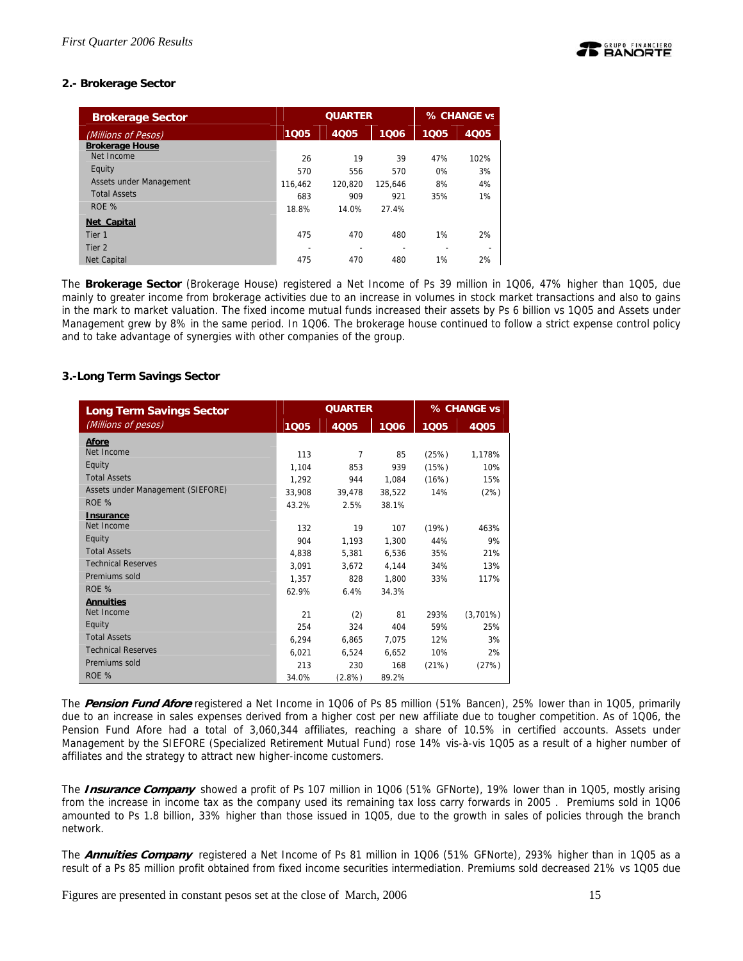# **2.- Brokerage Sector**

| <b>Brokerage Sector</b> |         | <b>QUARTER</b> | % CHANGE vs              |      |             |
|-------------------------|---------|----------------|--------------------------|------|-------------|
| (Millions of Pesos)     | 1005    | 4005           | 1006                     | 1005 | <b>4Q05</b> |
| <b>Brokerage House</b>  |         |                |                          |      |             |
| Net Income              | 26      | 19             | 39                       | 47%  | 102%        |
| Equity                  | 570     | 556            | 570                      | 0%   | 3%          |
| Assets under Management | 116.462 | 120.820        | 125.646                  | 8%   | 4%          |
| <b>Total Assets</b>     | 683     | 909            | 921                      | 35%  | 1%          |
| ROE %                   | 18.8%   | 14.0%          | 27.4%                    |      |             |
| Net Capital             |         |                |                          |      |             |
| Tier <sub>1</sub>       | 475     | 470            | 480                      | 1%   | 2%          |
| Tier <sub>2</sub>       |         |                | $\overline{\phantom{0}}$ |      |             |
| <b>Net Capital</b>      | 475     | 470            | 480                      | 1%   | 2%          |

The **Brokerage Sector** (Brokerage House) registered a Net Income of Ps 39 million in 1Q06, 47% higher than 1Q05, due mainly to greater income from brokerage activities due to an increase in volumes in stock market transactions and also to gains in the mark to market valuation. The fixed income mutual funds increased their assets by Ps 6 billion vs 1Q05 and Assets under Management grew by 8% in the same period. In 1Q06. The brokerage house continued to follow a strict expense control policy and to take advantage of synergies with other companies of the group.

### **3.-Long Term Savings Sector**

| <b>Long Term Savings Sector</b>   | <b>QUARTER</b> |                |        | % CHANGE vs |             |  |
|-----------------------------------|----------------|----------------|--------|-------------|-------------|--|
| (Millions of pesos)               | 1005           | 4Q05           | 1006   | 1005        | 4Q05        |  |
| <b>Afore</b>                      |                |                |        |             |             |  |
| Net Income                        | 113            | $\overline{7}$ | 85     | (25%)       | 1.178%      |  |
| Equity                            | 1,104          | 853            | 939    | (15%)       | 10%         |  |
| <b>Total Assets</b>               | 1.292          | 944            | 1.084  | (16%)       | 15%         |  |
| Assets under Management (SIEFORE) | 33,908         | 39,478         | 38.522 | 14%         | (2%)        |  |
| ROE %                             | 43.2%          | 2.5%           | 38.1%  |             |             |  |
| <b>Insurance</b>                  |                |                |        |             |             |  |
| Net Income                        | 132            | 19             | 107    | (19%)       | 463%        |  |
| Equity                            | 904            | 1.193          | 1,300  | 44%         | 9%          |  |
| <b>Total Assets</b>               | 4.838          | 5.381          | 6.536  | 35%         | 21%         |  |
| <b>Technical Reserves</b>         | 3.091          | 3.672          | 4,144  | 34%         | 13%         |  |
| Premiums sold                     | 1,357          | 828            | 1.800  | 33%         | 117%        |  |
| ROE %                             | 62.9%          | 6.4%           | 34.3%  |             |             |  |
| <b>Annuities</b>                  |                |                |        |             |             |  |
| Net Income                        | 21             | (2)            | 81     | 293%        | $(3,701\%)$ |  |
| Equity                            | 254            | 324            | 404    | 59%         | 25%         |  |
| <b>Total Assets</b>               | 6,294          | 6.865          | 7.075  | 12%         | 3%          |  |
| <b>Technical Reserves</b>         | 6.021          | 6,524          | 6.652  | 10%         | 2%          |  |
| Premiums sold                     | 213            | 230            | 168    | (21%)       | (27%)       |  |
| ROE %                             | 34.0%          | $(2.8\%)$      | 89.2%  |             |             |  |

The **Pension Fund Afore** registered a Net Income in 1Q06 of Ps 85 million (51% Bancen), 25% lower than in 1Q05, primarily due to an increase in sales expenses derived from a higher cost per new affiliate due to tougher competition. As of 1Q06, the Pension Fund Afore had a total of 3,060,344 affiliates, reaching a share of 10.5% in certified accounts. Assets under Management by the SIEFORE (Specialized Retirement Mutual Fund) rose 14% vis-à-vis 1Q05 as a result of a higher number of affiliates and the strategy to attract new higher-income customers.

The **Insurance Company** showed a profit of Ps 107 million in 1Q06 (51% GFNorte), 19% lower than in 1Q05, mostly arising from the increase in income tax as the company used its remaining tax loss carry forwards in 2005 . Premiums sold in 1Q06 amounted to Ps 1.8 billion, 33% higher than those issued in 1Q05, due to the growth in sales of policies through the branch network.

The **Annuities Company** registered a Net Income of Ps 81 million in 1Q06 (51% GFNorte), 293% higher than in 1Q05 as a result of a Ps 85 million profit obtained from fixed income securities intermediation. Premiums sold decreased 21% vs 1Q05 due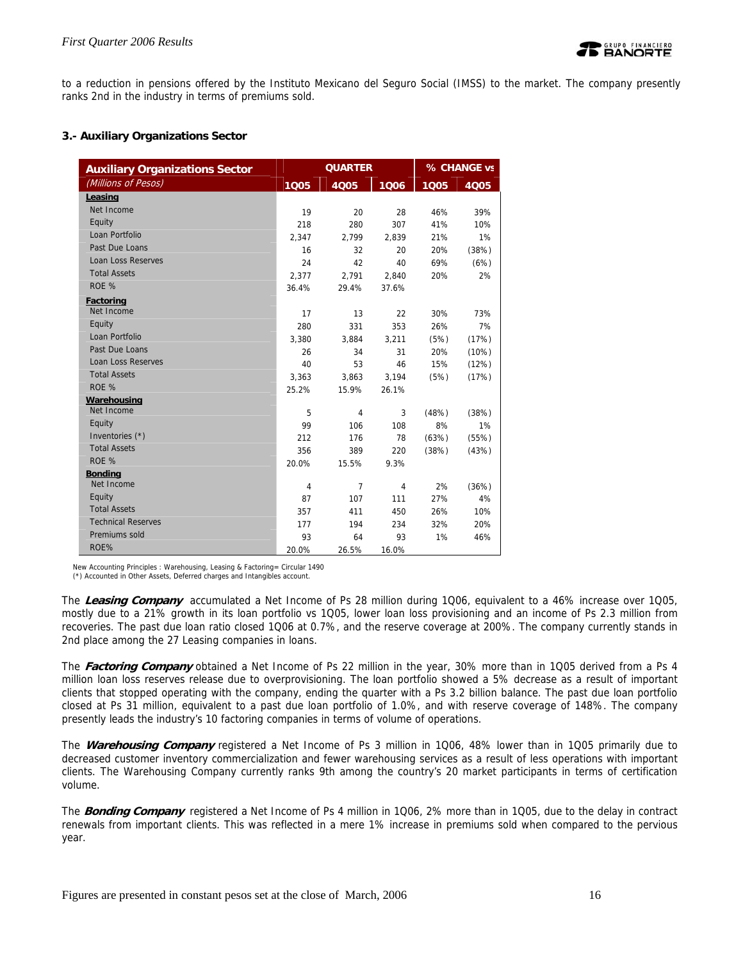to a reduction in pensions offered by the Instituto Mexicano del Seguro Social (IMSS) to the market. The company presently ranks 2nd in the industry in terms of premiums sold.

# **3.- Auxiliary Organizations Sector**

| <b>Auxiliary Organizations Sector</b> |                | <b>QUARTER</b> |       | % CHANGE vs |       |  |
|---------------------------------------|----------------|----------------|-------|-------------|-------|--|
| (Millions of Pesos)                   | 1Q05           | 4005           | 1006  | 1005        | 4Q05  |  |
| Leasing                               |                |                |       |             |       |  |
| Net Income                            | 19             | 20             | 28    | 46%         | 39%   |  |
| Equity                                | 218            | 280            | 307   | 41%         | 10%   |  |
| Loan Portfolio                        | 2.347          | 2.799          | 2.839 | 21%         | 1%    |  |
| Past Due Loans                        | 16             | 32             | 20    | 20%         | (38%) |  |
| <b>Loan Loss Reserves</b>             | 24             | 42             | 40    | 69%         | (6%)  |  |
| <b>Total Assets</b>                   | 2.377          | 2.791          | 2.840 | 20%         | 2%    |  |
| ROE %                                 | 36.4%          | 29.4%          | 37.6% |             |       |  |
| <b>Factoring</b>                      |                |                |       |             |       |  |
| Net Income                            | 17             | 13             | 22    | 30%         | 73%   |  |
| Equity                                | 280            | 331            | 353   | 26%         | 7%    |  |
| Loan Portfolio                        | 3,380          | 3,884          | 3,211 | (5%)        | (17%) |  |
| Past Due Loans                        | 26             | 34             | 31    | 20%         | (10%) |  |
| <b>Loan Loss Reserves</b>             | 40             | 53             | 46    | 15%         | (12%) |  |
| <b>Total Assets</b>                   | 3,363          | 3,863          | 3,194 | (5%)        | (17%) |  |
| ROE %                                 | 25.2%          | 15.9%          | 26.1% |             |       |  |
| Warehousing                           |                |                |       |             |       |  |
| Net Income                            | 5              | 4              | 3     | (48%)       | (38%) |  |
| Equity                                | 99             | 106            | 108   | 8%          | 1%    |  |
| Inventories (*)                       | 212            | 176            | 78    | (63%)       | (55%) |  |
| <b>Total Assets</b>                   | 356            | 389            | 220   | (38%)       | (43%) |  |
| ROE %                                 | 20.0%          | 15.5%          | 9.3%  |             |       |  |
| <b>Bonding</b>                        |                |                |       |             |       |  |
| Net Income                            | $\overline{4}$ | $\overline{7}$ | 4     | 2%          | (36%) |  |
| Equity                                | 87             | 107            | 111   | 27%         | 4%    |  |
| <b>Total Assets</b>                   | 357            | 411            | 450   | 26%         | 10%   |  |
| <b>Technical Reserves</b>             | 177            | 194            | 234   | 32%         | 20%   |  |
| Premiums sold                         | 93             | 64             | 93    | 1%          | 46%   |  |
| ROE%                                  | 20.0%          | 26.5%          | 16.0% |             |       |  |

New Accounting Principles : Warehousing, Leasing & Factoring= Circular 1490

(\*) Accounted in Other Assets, Deferred charges and Intangibles account.

The **Leasing Company** accumulated a Net Income of Ps 28 million during 1Q06, equivalent to a 46% increase over 1Q05, mostly due to a 21% growth in its loan portfolio vs 1Q05, lower loan loss provisioning and an income of Ps 2.3 million from recoveries. The past due loan ratio closed 1Q06 at 0.7%, and the reserve coverage at 200%. The company currently stands in 2nd place among the 27 Leasing companies in loans.

The **Factoring Company** obtained a Net Income of Ps 22 million in the year, 30% more than in 1Q05 derived from a Ps 4 million loan loss reserves release due to overprovisioning. The loan portfolio showed a 5% decrease as a result of important clients that stopped operating with the company, ending the quarter with a Ps 3.2 billion balance. The past due loan portfolio closed at Ps 31 million, equivalent to a past due loan portfolio of 1.0%, and with reserve coverage of 148%. The company presently leads the industry's 10 factoring companies in terms of volume of operations.

The **Warehousing Company** registered a Net Income of Ps 3 million in 1Q06, 48% lower than in 1Q05 primarily due to decreased customer inventory commercialization and fewer warehousing services as a result of less operations with important clients. The Warehousing Company currently ranks 9th among the country's 20 market participants in terms of certification volume.

The **Bonding Company** registered a Net Income of Ps 4 million in 1Q06, 2% more than in 1Q05, due to the delay in contract renewals from important clients. This was reflected in a mere 1% increase in premiums sold when compared to the pervious year.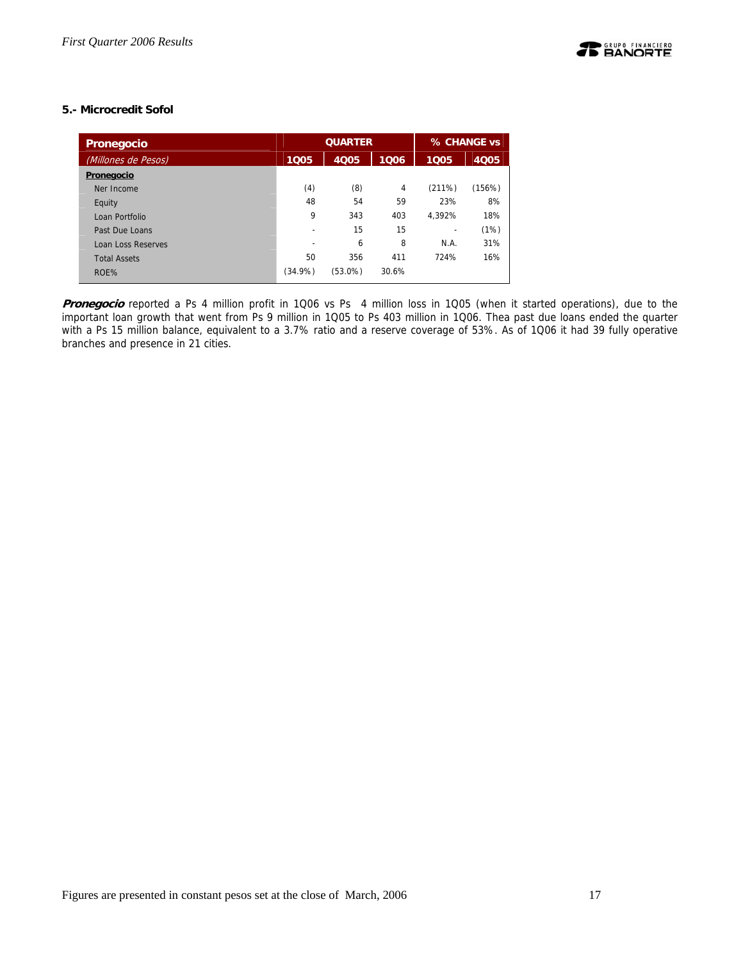# **5.- Microcredit Sofol**

| Pronegocio          |         | <b>QUARTER</b> | % CHANGE vs    |        |        |
|---------------------|---------|----------------|----------------|--------|--------|
| (Millones de Pesos) | 1005    | 4005           | 1005           | 4005   |        |
| Pronegocio          |         |                |                |        |        |
| Ner Income          | (4)     | (8)            | $\overline{4}$ | (211%) | (156%) |
| Equity              | 48      | 54             | 59             | 23%    | 8%     |
| Loan Portfolio      | 9       | 343            | 403            | 4.392% | 18%    |
| Past Due Loans      | ۰       | 15             | 15             |        | (1%)   |
| Loan Loss Reserves  | ۰       | 6              | 8              | N.A.   | 31%    |
| <b>Total Assets</b> | 50      | 356            | 411            | 724%   | 16%    |
| ROE%                | (34.9%) | (53.0%)        | 30.6%          |        |        |

**Pronegocio** reported a Ps 4 million profit in 1Q06 vs Ps 4 million loss in 1Q05 (when it started operations), due to the important loan growth that went from Ps 9 million in 1Q05 to Ps 403 million in 1Q06. Thea past due loans ended the quarter with a Ps 15 million balance, equivalent to a 3.7% ratio and a reserve coverage of 53%. As of 1Q06 it had 39 fully operative branches and presence in 21 cities.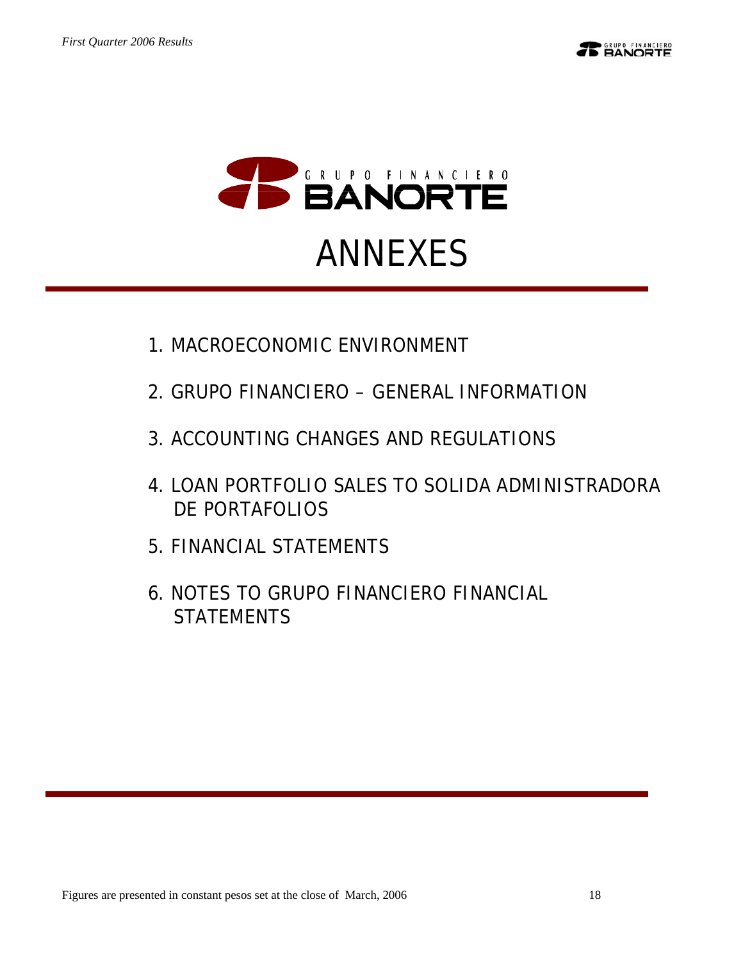

- 1.MACROECONOMIC ENVIRONMENT
- 2.GRUPO FINANCIERO GENERAL INFORMATION
- 3.ACCOUNTING CHANGES AND REGULATIONS
- 4.LOAN PORTFOLIO SALES TO SOLIDA ADMINISTRADORA DE PORTAFOLIOS
- 5.FINANCIAL STATEMENTS
- 6.NOTES TO GRUPO FINANCIERO FINANCIAL **STATEMENTS**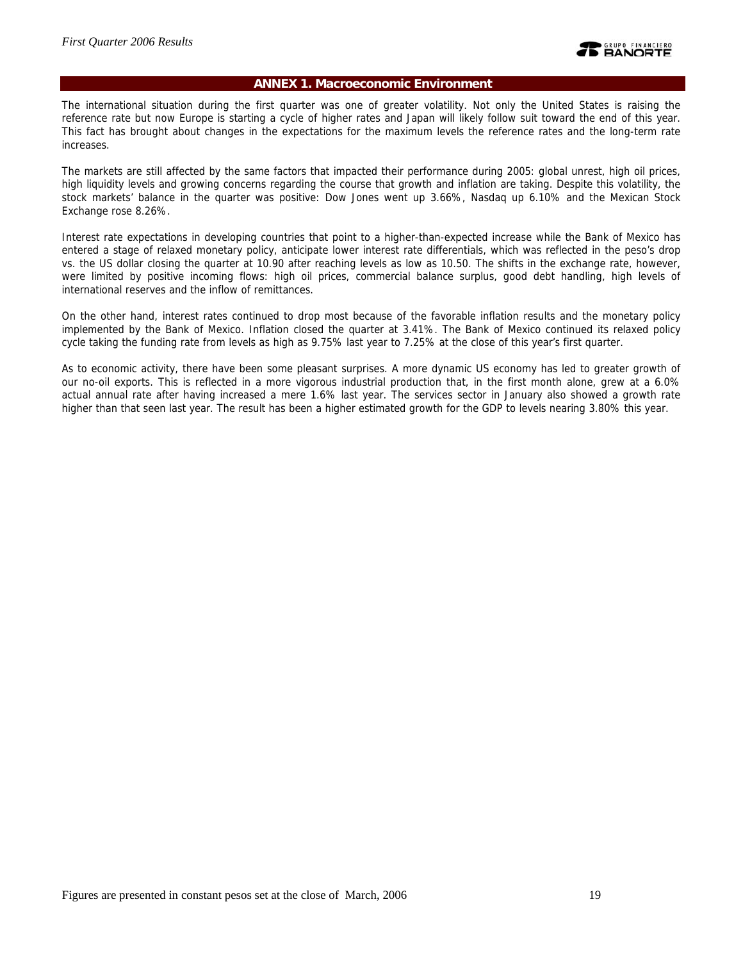### **ANNEX 1. Macroeconomic Environment**

The international situation during the first quarter was one of greater volatility. Not only the United States is raising the reference rate but now Europe is starting a cycle of higher rates and Japan will likely follow suit toward the end of this year. This fact has brought about changes in the expectations for the maximum levels the reference rates and the long-term rate increases.

The markets are still affected by the same factors that impacted their performance during 2005: global unrest, high oil prices, high liquidity levels and growing concerns regarding the course that growth and inflation are taking. Despite this volatility, the stock markets' balance in the quarter was positive: Dow Jones went up 3.66%, Nasdaq up 6.10% and the Mexican Stock Exchange rose 8.26%.

Interest rate expectations in developing countries that point to a higher-than-expected increase while the Bank of Mexico has entered a stage of relaxed monetary policy, anticipate lower interest rate differentials, which was reflected in the peso's drop vs. the US dollar closing the quarter at 10.90 after reaching levels as low as 10.50. The shifts in the exchange rate, however, were limited by positive incoming flows: high oil prices, commercial balance surplus, good debt handling, high levels of international reserves and the inflow of remittances.

On the other hand, interest rates continued to drop most because of the favorable inflation results and the monetary policy implemented by the Bank of Mexico. Inflation closed the quarter at 3.41%. The Bank of Mexico continued its relaxed policy cycle taking the funding rate from levels as high as 9.75% last year to 7.25% at the close of this year's first quarter.

As to economic activity, there have been some pleasant surprises. A more dynamic US economy has led to greater growth of our no-oil exports. This is reflected in a more vigorous industrial production that, in the first month alone, grew at a 6.0% actual annual rate after having increased a mere 1.6% last year. The services sector in January also showed a growth rate higher than that seen last year. The result has been a higher estimated growth for the GDP to levels nearing 3.80% this year.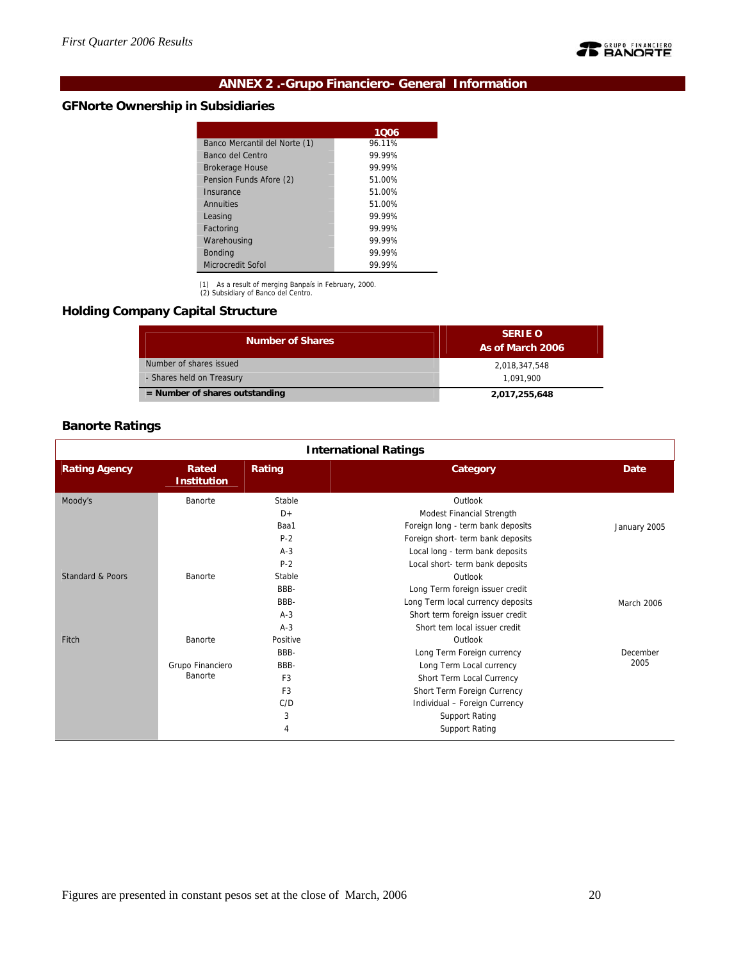

# **ANNEX 2 .-Grupo Financiero- General Information**

# **GFNorte Ownership in Subsidiaries**

| 1006   |
|--------|
| 96.11% |
| 99.99% |
| 99 99% |
| 51.00% |
| 51.00% |
| 51.00% |
| 99 99% |
| 99 99% |
| 99.99% |
| 99.99% |
| 99.99% |
|        |

(1) As a result of merging Banpaís in February, 2000. (2) Subsidiary of Banco del Centro.

# **Holding Company Capital Structure**

| <b>Number of Shares</b>          | <b>SERIE O</b><br>As of March 2006 |
|----------------------------------|------------------------------------|
| Number of shares issued          | 2,018,347,548                      |
| - Shares held on Treasury        | 1.091.900                          |
| $=$ Number of shares outstanding | 2,017,255,648                      |

# **Banorte Ratings**

| <b>International Ratings</b> |                             |                |                                   |              |  |  |  |  |
|------------------------------|-----------------------------|----------------|-----------------------------------|--------------|--|--|--|--|
| <b>Rating Agency</b>         | Rated<br><b>Institution</b> | Rating         | Category                          | Date         |  |  |  |  |
| Moody's                      | Banorte                     | Stable         | Outlook                           |              |  |  |  |  |
|                              |                             | $D+$           | Modest Financial Strength         |              |  |  |  |  |
|                              |                             | Baa1           | Foreign long - term bank deposits | January 2005 |  |  |  |  |
|                              |                             | $P-2$          | Foreign short- term bank deposits |              |  |  |  |  |
|                              |                             | $A-3$          | Local long - term bank deposits   |              |  |  |  |  |
|                              |                             | $P-2$          | Local short- term bank deposits   |              |  |  |  |  |
| Standard & Poors             | Banorte                     | Stable         | Outlook                           |              |  |  |  |  |
|                              |                             | BBB-           | Long Term foreign issuer credit   |              |  |  |  |  |
|                              |                             | BBB-           | Long Term local currency deposits | March 2006   |  |  |  |  |
|                              |                             | $A-3$          | Short term foreign issuer credit  |              |  |  |  |  |
|                              |                             | $A-3$          | Short tem local issuer credit     |              |  |  |  |  |
| Fitch                        | Banorte                     | Positive       | Outlook                           |              |  |  |  |  |
|                              |                             | BBB-           | Long Term Foreign currency        | December     |  |  |  |  |
|                              | Grupo Financiero            | BBB-           | Long Term Local currency          | 2005         |  |  |  |  |
|                              | Banorte                     | F <sub>3</sub> | Short Term Local Currency         |              |  |  |  |  |
|                              |                             | F <sub>3</sub> | Short Term Foreign Currency       |              |  |  |  |  |
|                              |                             | C/D            | Individual - Foreign Currency     |              |  |  |  |  |
|                              |                             | 3              | <b>Support Rating</b>             |              |  |  |  |  |
|                              |                             | 4              | <b>Support Rating</b>             |              |  |  |  |  |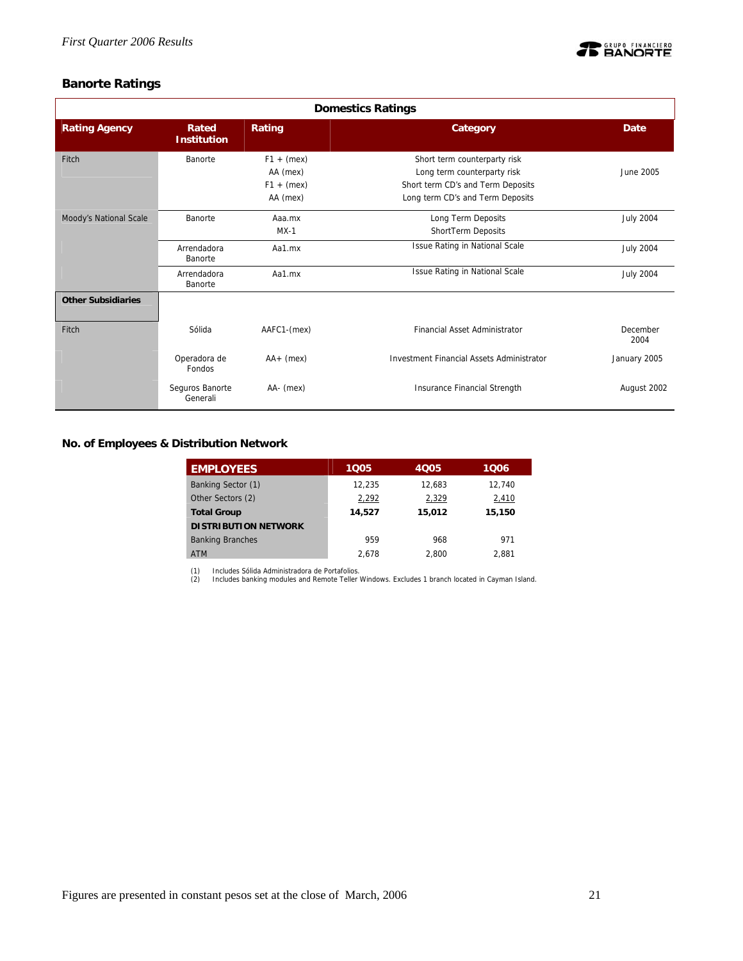

# **Banorte Ratings**

| <b>Domestics Ratings</b>  |                             |                                                      |                                                                                                                                      |                  |  |  |  |
|---------------------------|-----------------------------|------------------------------------------------------|--------------------------------------------------------------------------------------------------------------------------------------|------------------|--|--|--|
| <b>Rating Agency</b>      | Rated<br><b>Institution</b> | Rating                                               | Category                                                                                                                             | Date             |  |  |  |
| Fitch                     | Banorte                     | $F1 + (mex)$<br>AA (mex)<br>$F1 + (mex)$<br>AA (mex) | Short term counterparty risk<br>Long term counterparty risk<br>Short term CD's and Term Deposits<br>Long term CD's and Term Deposits | June 2005        |  |  |  |
| Moody's National Scale    | Banorte                     | Aaa.mx<br>$MX-1$                                     | Long Term Deposits<br>ShortTerm Deposits                                                                                             | <b>July 2004</b> |  |  |  |
|                           | Arrendadora<br>Banorte      | Aa1.mx                                               | <b>Issue Rating in National Scale</b>                                                                                                | <b>July 2004</b> |  |  |  |
|                           | Arrendadora<br>Banorte      | Aa1.mx                                               | Issue Rating in National Scale                                                                                                       | <b>July 2004</b> |  |  |  |
| <b>Other Subsidiaries</b> |                             |                                                      |                                                                                                                                      |                  |  |  |  |
| Fitch                     | Sólida                      | AAFC1-(mex)                                          | <b>Financial Asset Administrator</b>                                                                                                 | December<br>2004 |  |  |  |
|                           | Operadora de<br>Fondos      | $AA+$ (mex)                                          | <b>Investment Financial Assets Administrator</b>                                                                                     | January 2005     |  |  |  |
|                           | Seguros Banorte<br>Generali | AA- (mex)                                            | Insurance Financial Strength                                                                                                         | August 2002      |  |  |  |

**No. of Employees & Distribution Network** 

| <b>EMPLOYEES</b>            | 1005   | 4005   | 1006   |
|-----------------------------|--------|--------|--------|
| Banking Sector (1)          | 12.235 | 12,683 | 12,740 |
| Other Sectors (2)           | 2,292  | 2,329  | 2,410  |
| <b>Total Group</b>          | 14,527 | 15,012 | 15,150 |
| <b>DISTRIBUTION NETWORK</b> |        |        |        |
| <b>Banking Branches</b>     | 959    | 968    | 971    |
| <b>ATM</b>                  | 2.678  | 2.800  | 2.881  |

(1) Includes Sólida Administradora de Portafolios. (2) Includes banking modules and Remote Teller Windows. Excludes 1 branch located in Cayman Island.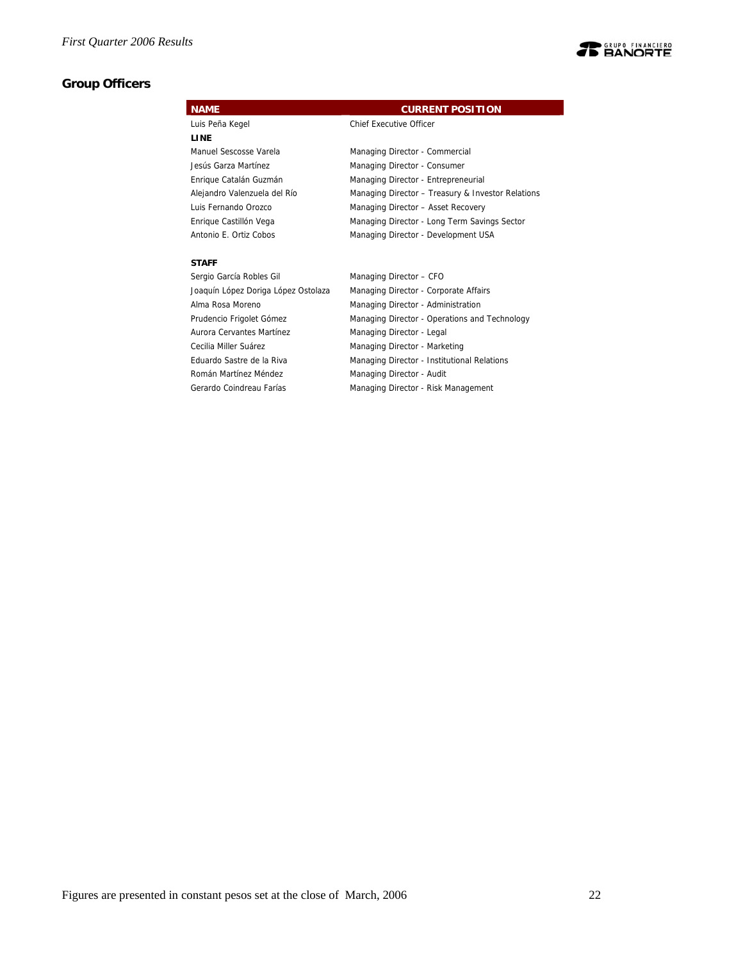# **Group Officers**



| <b>JULIAN OUTLIC MODICS OIL</b>     | $m$ anaying Director $-$ Cr O                 |
|-------------------------------------|-----------------------------------------------|
| Joaquín López Doriga López Ostolaza | Managing Director - Corporate Affairs         |
| Alma Rosa Moreno                    | Managing Director - Administration            |
| Prudencio Frigolet Gómez            | Managing Director - Operations and Technology |
| Aurora Cervantes Martínez           | Managing Director - Legal                     |
| Cecilia Miller Suárez               | Managing Director - Marketing                 |
| Eduardo Sastre de la Riva           | Managing Director - Institutional Relations   |
| Román Martínez Méndez               | Managing Director - Audit                     |
| Gerardo Coindreau Farías            | Managing Director - Risk Management           |
|                                     |                                               |

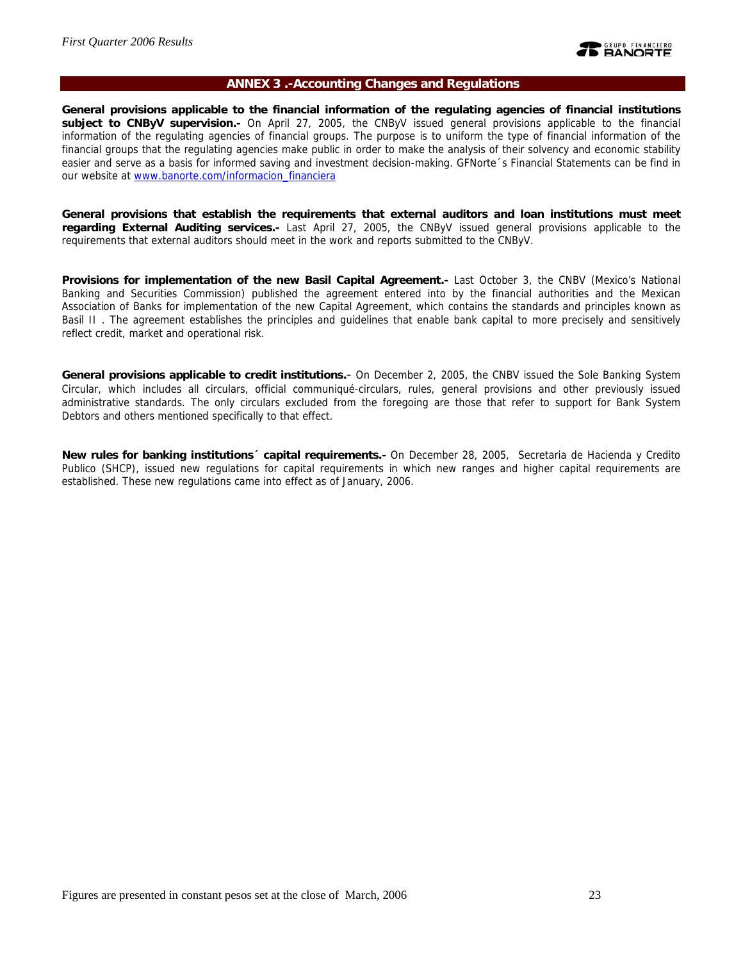

#### **ANNEX 3 .-Accounting Changes and Regulations**

**General provisions applicable to the financial information of the regulating agencies of financial institutions subject to CNByV supervision.-** On April 27, 2005, the CNByV issued general provisions applicable to the financial information of the regulating agencies of financial groups. The purpose is to uniform the type of financial information of the financial groups that the regulating agencies make public in order to make the analysis of their solvency and economic stability easier and serve as a basis for informed saving and investment decision-making. GFNorte´s Financial Statements can be find in our website at www.banorte.com/informacion\_financiera

**General provisions that establish the requirements that external auditors and loan institutions must meet regarding External Auditing services.-** Last April 27, 2005, the CNByV issued general provisions applicable to the requirements that external auditors should meet in the work and reports submitted to the CNByV.

**Provisions for implementation of the new Basil Capital Agreement.-** Last October 3, the CNBV (Mexico's National Banking and Securities Commission) published the agreement entered into by the financial authorities and the Mexican Association of Banks for implementation of the new Capital Agreement, which contains the standards and principles known as Basil II . The agreement establishes the principles and guidelines that enable bank capital to more precisely and sensitively reflect credit, market and operational risk.

**General provisions applicable to credit institutions.**- On December 2, 2005, the CNBV issued the Sole Banking System Circular, which includes all circulars, official communiqué-circulars, rules, general provisions and other previously issued administrative standards. The only circulars excluded from the foregoing are those that refer to support for Bank System Debtors and others mentioned specifically to that effect.

**New rules for banking institutions´ capital requirements.-** On December 28, 2005, Secretaria de Hacienda y Credito Publico (SHCP), issued new regulations for capital requirements in which new ranges and higher capital requirements are established. These new regulations came into effect as of January, 2006.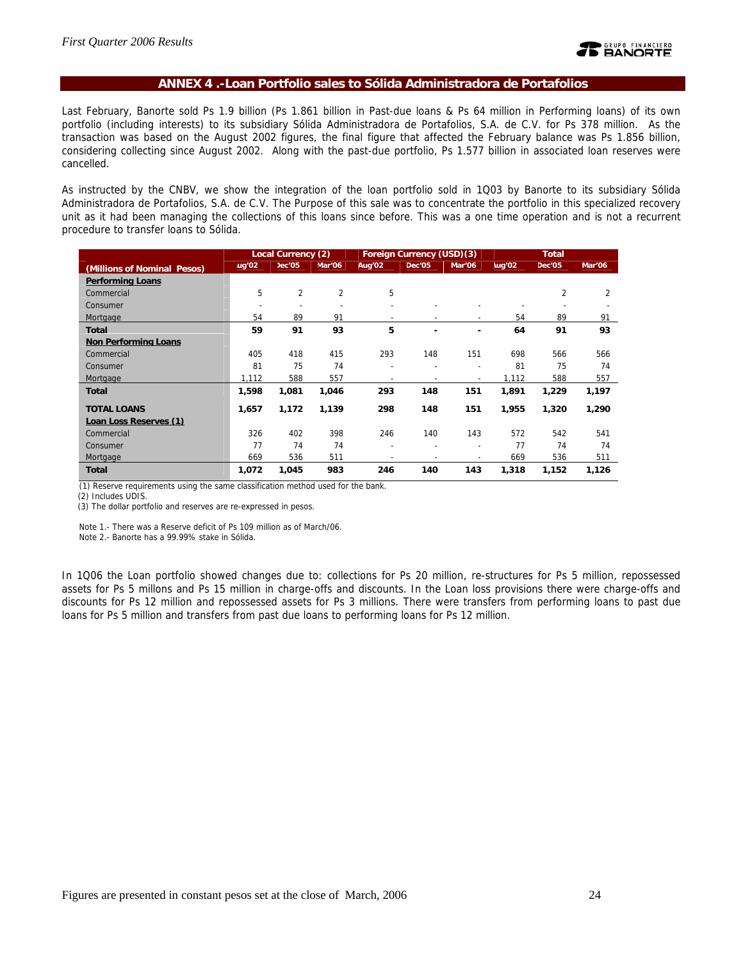### **ANNEX 4 .-Loan Portfolio sales to Sólida Administradora de Portafolios**

Last February, Banorte sold Ps 1.9 billion (Ps 1.861 billion in Past-due loans & Ps 64 million in Performing loans) of its own portfolio (including interests) to its subsidiary Sólida Administradora de Portafolios, S.A. de C.V. for Ps 378 million. As the transaction was based on the August 2002 figures, the final figure that affected the February balance was Ps 1.856 billion, considering collecting since August 2002. Along with the past-due portfolio, Ps 1.577 billion in associated loan reserves were cancelled.

As instructed by the CNBV, we show the integration of the loan portfolio sold in 1Q03 by Banorte to its subsidiary Sólida Administradora de Portafolios, S.A. de C.V. The Purpose of this sale was to concentrate the portfolio in this specialized recovery unit as it had been managing the collections of this loans since before. This was a one time operation and is not a recurrent procedure to transfer loans to Sólida.

|                             |                          | <b>Local Currency (2)</b> |                          |                          | Foreign Currency (USD)(3) |                          | <b>Total</b> |                |        |
|-----------------------------|--------------------------|---------------------------|--------------------------|--------------------------|---------------------------|--------------------------|--------------|----------------|--------|
| (Millions of Nominal Pesos) | ug'02                    | ec $'$ 05                 | Vlar'06                  | Aug'02                   | Dec'05                    | Mar'06                   | lug'02       | Dec'05         | Mar'06 |
| <b>Performing Loans</b>     |                          |                           |                          |                          |                           |                          |              |                |        |
| Commercial                  | 5                        | $\overline{2}$            | $\overline{2}$           | 5                        |                           |                          |              | 2              | 2      |
| Consumer                    | $\overline{\phantom{0}}$ |                           | $\overline{\phantom{0}}$ | $\overline{a}$           |                           |                          |              | $\overline{a}$ |        |
| Mortgage                    | 54                       | 89                        | 91                       | $\overline{\phantom{a}}$ |                           |                          | 54           | 89             | 91     |
| <b>Total</b>                | 59                       | 91                        | 93                       | 5                        | ۰                         | ٠                        | 64           | 91             | 93     |
| <b>Non Performing Loans</b> |                          |                           |                          |                          |                           |                          |              |                |        |
| Commercial                  | 405                      | 418                       | 415                      | 293                      | 148                       | 151                      | 698          | 566            | 566    |
| Consumer                    | 81                       | 75                        | 74                       | ÷                        | $\overline{\phantom{a}}$  | $\overline{\phantom{a}}$ | 81           | 75             | 74     |
| Mortgage                    | 1,112                    | 588                       | 557                      | $\overline{\phantom{a}}$ | ۰                         | $\overline{\phantom{a}}$ | 1,112        | 588            | 557    |
| <b>Total</b>                | 1,598                    | 1,081                     | 1,046                    | 293                      | 148                       | 151                      | 1.891        | 1,229          | 1,197  |
| <b>TOTAL LOANS</b>          | 1,657                    | 1,172                     | 1,139                    | 298                      | 148                       | 151                      | 1,955        | 1,320          | 1,290  |
| Loan Loss Reserves (1)      |                          |                           |                          |                          |                           |                          |              |                |        |
| Commercial                  | 326                      | 402                       | 398                      | 246                      | 140                       | 143                      | 572          | 542            | 541    |
| Consumer                    | 77                       | 74                        | 74                       | ۰                        | $\overline{\phantom{a}}$  | $\overline{\phantom{a}}$ | 77           | 74             | 74     |
| Mortgage                    | 669                      | 536                       | 511                      | ۰                        | $\overline{\phantom{0}}$  |                          | 669          | 536            | 511    |
| <b>Total</b>                | 1,072                    | 1,045                     | 983                      | 246                      | 140                       | 143                      | 1,318        | 1,152          | 1,126  |

(1) Reserve requirements using the same classification method used for the bank.

(2) Includes UDIS.

(3) The dollar portfolio and reserves are re-expressed in pesos.

Note 1.- There was a Reserve deficit of Ps 109 million as of March/06.

Note 2.- Banorte has a 99.99% stake in Sólida.

In 1Q06 the Loan portfolio showed changes due to: collections for Ps 20 million, re-structures for Ps 5 million, repossessed assets for Ps 5 millons and Ps 15 million in charge-offs and discounts. In the Loan loss provisions there were charge-offs and discounts for Ps 12 million and repossessed assets for Ps 3 millions. There were transfers from performing loans to past due loans for Ps 5 million and transfers from past due loans to performing loans for Ps 12 million.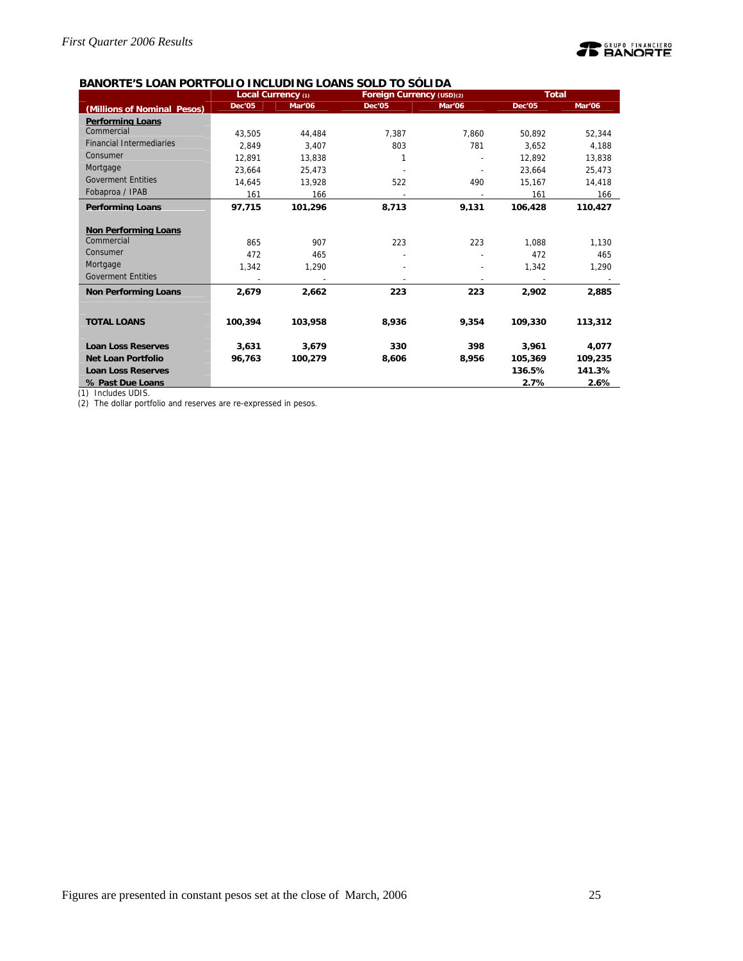

# **BANORTE'S LOAN PORTFOLIO INCLUDING LOANS SOLD TO SÓLIDA**

|                                 |               | Local Currency (1) | Foreign Currency (USD)(2) |        | <b>Total</b>  |         |  |  |
|---------------------------------|---------------|--------------------|---------------------------|--------|---------------|---------|--|--|
| (Millions of Nominal Pesos)     | <b>Dec'05</b> | Mar'06             | <b>Dec'05</b>             | Mar'06 | <b>Dec'05</b> | Mar'06  |  |  |
| <b>Performing Loans</b>         |               |                    |                           |        |               |         |  |  |
| Commercial                      | 43.505        | 44.484             | 7.387                     | 7.860  | 50.892        | 52.344  |  |  |
| <b>Financial Intermediaries</b> | 2.849         | 3.407              | 803                       | 781    | 3.652         | 4,188   |  |  |
| Consumer                        | 12,891        | 13.838             | 1                         |        | 12,892        | 13,838  |  |  |
| Mortgage                        | 23,664        | 25,473             |                           |        | 23,664        | 25,473  |  |  |
| <b>Goverment Entities</b>       | 14,645        | 13.928             | 522                       | 490    | 15,167        | 14,418  |  |  |
| Fobaproa / IPAB                 | 161           | 166                |                           |        | 161           | 166     |  |  |
| <b>Performing Loans</b>         | 97.715        | 101.296            | 8.713                     | 9.131  | 106.428       | 110.427 |  |  |
|                                 |               |                    |                           |        |               |         |  |  |
| <b>Non Performing Loans</b>     |               |                    |                           |        |               |         |  |  |
| Commercial                      | 865           | 907                | 223                       | 223    | 1,088         | 1,130   |  |  |
| Consumer                        | 472           | 465                |                           |        | 472           | 465     |  |  |
| Mortgage                        | 1,342         | 1.290              |                           |        | 1,342         | 1,290   |  |  |
| <b>Goverment Entities</b>       |               |                    |                           |        |               |         |  |  |
| <b>Non Performing Loans</b>     | 2,679         | 2,662              | 223                       | 223    | 2,902         | 2,885   |  |  |
|                                 |               |                    |                           |        |               |         |  |  |
| <b>TOTAL LOANS</b>              | 100,394       | 103,958            | 8,936                     | 9,354  | 109,330       | 113,312 |  |  |
| <b>Loan Loss Reserves</b>       | 3.631         | 3,679              | 330                       | 398    | 3.961         | 4,077   |  |  |
| <b>Net Loan Portfolio</b>       | 96,763        | 100,279            | 8,606                     | 8,956  | 105,369       | 109,235 |  |  |
| <b>Loan Loss Reserves</b>       |               |                    |                           |        | 136.5%        | 141.3%  |  |  |
| % Past Due Loans                |               |                    |                           |        | 2.7%          | 2.6%    |  |  |

(1) Includes UDIS.

(2) The dollar portfolio and reserves are re-expressed in pesos.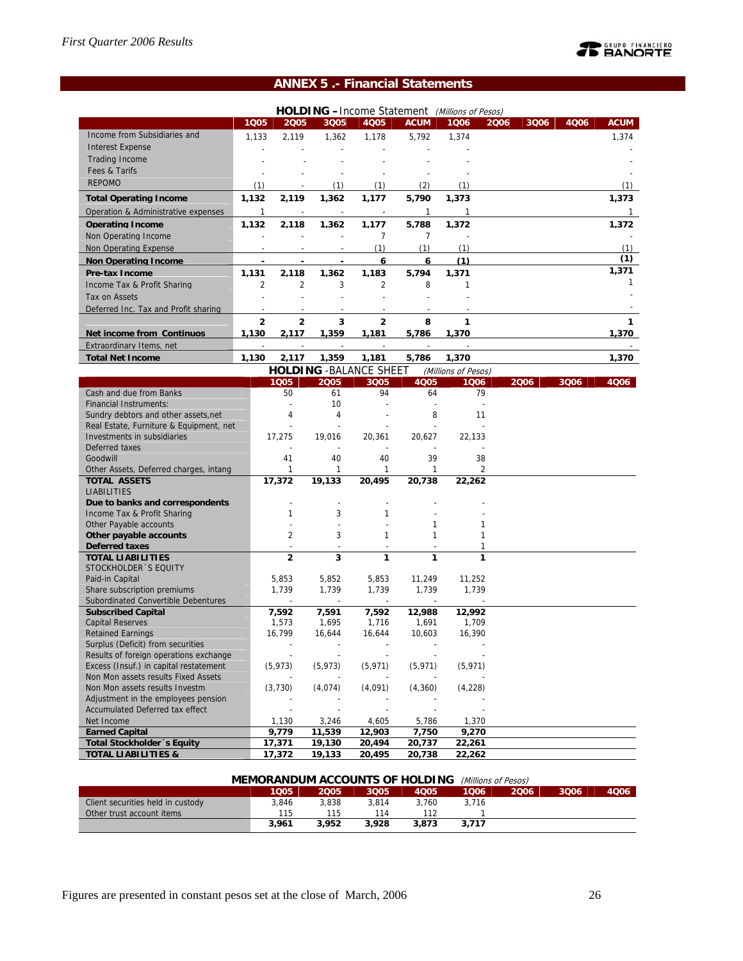# **PEANORTE**

# **ANNEX 5 .- Financial Statements**

|                                           |                |                |                          |                                |                | HOLDING -Income Statement (Millions of Pesos) |                |      |      |              |
|-------------------------------------------|----------------|----------------|--------------------------|--------------------------------|----------------|-----------------------------------------------|----------------|------|------|--------------|
|                                           | 1Q05           | 2005           | 3Q05                     | <b>4Q05</b>                    | <b>ACUM</b>    | 1006                                          | 2006           | 3Q06 | 4Q06 | <b>ACUM</b>  |
| Income from Subsidiaries and              | 1,133          | 2,119          | 1,362                    | 1,178                          | 5,792          | 1,374                                         |                |      |      | 1,374        |
| <b>Interest Expense</b>                   |                |                |                          |                                |                |                                               |                |      |      |              |
| <b>Trading Income</b>                     |                |                |                          |                                |                |                                               |                |      |      |              |
| Fees & Tarifs                             |                |                |                          |                                |                |                                               |                |      |      |              |
| <b>REPOMO</b>                             |                |                |                          |                                |                | (1)                                           |                |      |      |              |
|                                           | (1)            |                | (1)                      | (1)                            | (2)            |                                               |                |      |      | (1)          |
| <b>Total Operating Income</b>             | 1,132          | 2,119          | 1,362                    | 1,177                          | 5,790          | 1,373                                         |                |      |      | 1,373        |
| Operation & Administrative expenses       | $\mathbf{1}$   |                | $\overline{\phantom{a}}$ | ÷                              | 1              | 1                                             |                |      |      | $\mathbf{1}$ |
| <b>Operating Income</b>                   | 1.132          | 2.118          | 1.362                    | 1.177                          | 5.788          | 1.372                                         |                |      |      | 1.372        |
| Non Operating Income                      | $\overline{a}$ |                | L,                       | 7                              | $\overline{7}$ |                                               |                |      |      |              |
| Non Operating Expense                     |                |                | $\overline{a}$           | (1)                            | (1)            | (1)                                           |                |      |      | (1)          |
| Non Operating Income                      |                |                |                          | 6                              | 6              | (1)                                           |                |      |      | (1)          |
| <b>Pre-tax Income</b>                     | 1,131          | 2.118          | 1,362                    | 1,183                          | 5,794          | 1.371                                         |                |      |      | 1,371        |
| Income Tax & Profit Sharing               | $\overline{2}$ | $\overline{2}$ | 3                        | $\overline{2}$                 | 8              | $\mathbf{1}$                                  |                |      |      | 1            |
| Tax on Assets                             |                |                |                          |                                |                |                                               |                |      |      |              |
| Deferred Inc. Tax and Profit sharing      |                |                |                          |                                |                |                                               |                |      |      |              |
|                                           |                |                |                          |                                |                |                                               |                |      |      |              |
|                                           | $\mathbf{2}$   | $\mathbf{2}$   | 3                        | $\overline{\mathbf{2}}$        | 8              | 1                                             |                |      |      | 1            |
| <b>Net income from Continuos</b>          | 1,130          | 2,117          | 1,359                    | 1,181                          | 5,786          | 1,370                                         |                |      |      | 1,370        |
| <b>Extraordinary Items, net</b>           |                |                |                          |                                |                |                                               |                |      |      |              |
| <b>Total Net Income</b>                   | 1,130          | 2,117          | 1,359                    | 1,181                          | 5,786          | 1,370                                         |                |      |      | 1,370        |
|                                           |                |                |                          | <b>HOLDING - BALANCE SHEET</b> |                | (Millions of Pesos)                           |                |      |      |              |
|                                           |                | 1Q05           | 2005                     | 3Q05                           | <b>4Q05</b>    | 1006                                          |                | 2006 | 3006 | 4006         |
| Cash and due from Banks                   |                | 50             | 61                       | 94                             | 64             | 79                                            |                |      |      |              |
| <b>Financial Instruments:</b>             |                |                | 10                       |                                |                |                                               |                |      |      |              |
| Sundry debtors and other assets, net      |                | 4              | 4                        |                                | 8              | 11                                            |                |      |      |              |
| Real Estate, Furniture & Equipment, net   |                |                |                          |                                |                |                                               |                |      |      |              |
| Investments in subsidiaries               |                | 17,275         | 19,016                   | 20.361                         | 20.627         | 22,133                                        |                |      |      |              |
| Deferred taxes                            |                |                |                          |                                |                |                                               |                |      |      |              |
| Goodwill                                  |                | 41             | 40                       | 40                             | 39             | 38                                            |                |      |      |              |
| Other Assets, Deferred charges, intang    |                | $\mathbf{1}$   | 1                        | 1                              | 1              |                                               | $\overline{2}$ |      |      |              |
| <b>TOTAL ASSETS</b><br><b>LIABILITIES</b> |                | 17,372         | 19,133                   | 20,495                         | 20,738         | 22,262                                        |                |      |      |              |
| Due to banks and correspondents           |                |                | ÷                        |                                |                |                                               |                |      |      |              |
| Income Tax & Profit Sharing               |                | $\mathbf{1}$   | 3                        | $\mathbf{1}$                   |                |                                               |                |      |      |              |
| Other Payable accounts                    |                |                |                          |                                | 1              | 1                                             |                |      |      |              |
| Other payable accounts                    |                | $\overline{2}$ | 3                        | 1                              | 1              | 1                                             |                |      |      |              |
| <b>Deferred taxes</b>                     |                |                |                          |                                |                | 1                                             |                |      |      |              |
| <b>TOTAL LIABILITIES</b>                  |                | $\overline{2}$ | 3                        | 1                              | 1              | 1                                             |                |      |      |              |
| STOCKHOLDER 'S EQUITY                     |                |                |                          |                                |                |                                               |                |      |      |              |
| Paid-in Capital                           |                | 5.853          | 5,852                    | 5,853                          | 11,249         | 11,252                                        |                |      |      |              |
| Share subscription premiums               |                | 1,739          | 1,739                    | 1,739                          | 1,739          | 1,739                                         |                |      |      |              |
| Subordinated Convertible Debentures       |                |                |                          |                                |                |                                               |                |      |      |              |
| <b>Subscribed Capital</b>                 |                | 7,592          | 7,591                    | 7,592                          | 12,988         | 12,992                                        |                |      |      |              |
| <b>Capital Reserves</b>                   |                | 1,573          | 1,695                    | 1,716                          | 1,691          | 1,709                                         |                |      |      |              |
| <b>Retained Earnings</b>                  |                | 16,799         | 16,644                   | 16,644                         | 10,603         | 16,390                                        |                |      |      |              |
| Surplus (Deficit) from securities         |                |                |                          |                                |                |                                               |                |      |      |              |
| Results of foreign operations exchange    |                |                |                          |                                |                |                                               |                |      |      |              |
| Excess (Insuf.) in capital restatement    |                | (5, 973)       | (5, 973)                 | (5, 971)                       | (5, 971)       | (5, 971)                                      |                |      |      |              |
| Non Mon assets results Fixed Assets       |                |                |                          |                                |                |                                               |                |      |      |              |
| Non Mon assets results Investm            |                | (3,730)        | (4,074)                  | (4,091)                        | (4,360)        | (4,228)                                       |                |      |      |              |
| Adjustment in the employees pension       |                |                |                          |                                |                |                                               |                |      |      |              |
| Accumulated Deferred tax effect           |                |                |                          |                                |                |                                               |                |      |      |              |
| Net Income                                |                | 1,130          | 3,246                    | 4,605                          | 5,786          | 1,370                                         |                |      |      |              |
| <b>Earned Capital</b>                     |                | 9,779          | 11,539                   | 12,903                         | 7,750          | 9,270                                         |                |      |      |              |
| <b>Total Stockholder</b> 's Equity        |                | 17,371         | 19,130                   | 20,494                         | 20,737         | 22,261                                        |                |      |      |              |
| <b>TOTAL LIABILITIES &amp;</b>            |                | 17,372         | 19,133                   | 20,495                         | 20,738         | 22,262                                        |                |      |      |              |

### **MEMORANDUM ACCOUNTS OF HOLDING** (Millions of Pesos)

|                                   | 1Q05  | <b>2005</b> | 3005  | 4Q05  | 1006  | 2006 | 3006 | 4006 |
|-----------------------------------|-------|-------------|-------|-------|-------|------|------|------|
| Client securities held in custody | 3.846 | 3.838       | 3.814 | 3.760 | 3.716 |      |      |      |
| Other trust account items         | 115   | 115         |       |       |       |      |      |      |
|                                   | 3,961 | 3.952       | 3.928 | 3.873 | 3.717 |      |      |      |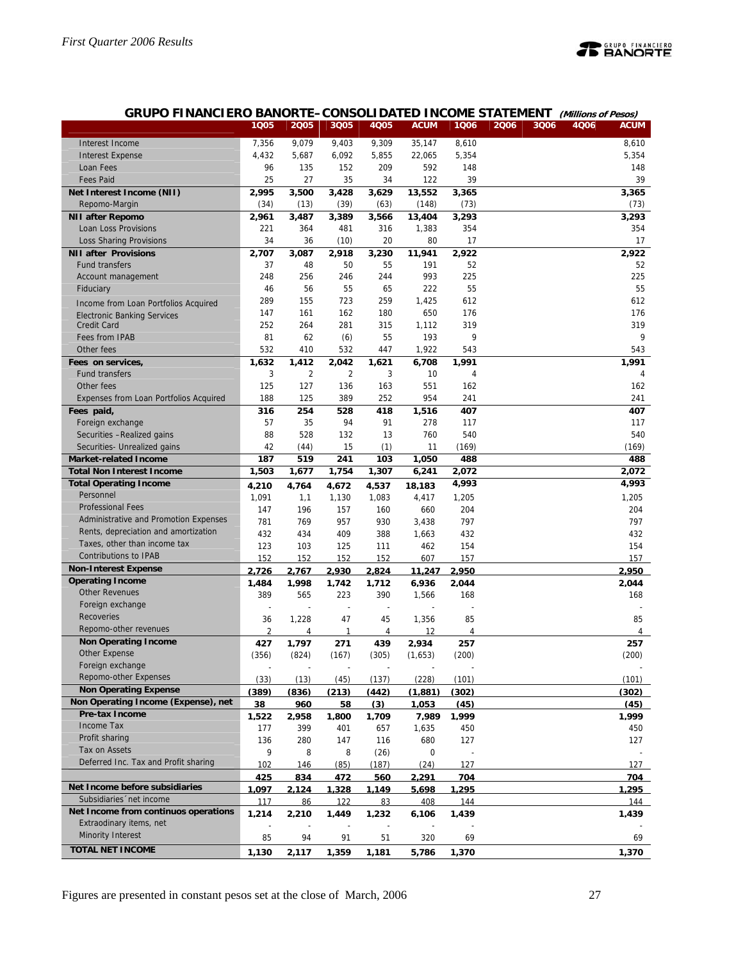

# **GRUPO FINANCIERO BANORTE–CONSOLIDATED INCOME STATEMENT (Millions of Pesos)**

|                                        | 1Q05           | 2005           | 3Q05           | 4Q05  | <b>ACUM</b> | 1006           | 2006 | 3Q06 | 4Q06 | <b>ACUM</b> |
|----------------------------------------|----------------|----------------|----------------|-------|-------------|----------------|------|------|------|-------------|
| Interest Income                        | 7,356          | 9,079          | 9,403          | 9,309 | 35,147      | 8,610          |      |      |      | 8,610       |
| <b>Interest Expense</b>                | 4,432          | 5,687          | 6,092          | 5,855 | 22,065      | 5,354          |      |      |      | 5,354       |
| Loan Fees                              | 96             | 135            | 152            | 209   | 592         | 148            |      |      |      | 148         |
| <b>Fees Paid</b>                       | 25             | 27             | 35             | 34    | 122         | 39             |      |      |      | 39          |
| Net Interest Income (NII)              | 2,995          | 3,500          | 3,428          | 3,629 | 13,552      | 3,365          |      |      |      | 3,365       |
| Repomo-Margin                          | (34)           | (13)           | (39)           | (63)  | (148)       | (73)           |      |      |      | (73)        |
| <b>NII after Repomo</b>                | 2,961          | 3,487          | 3,389          | 3,566 | 13,404      | 3,293          |      |      |      | 3,293       |
| Loan Loss Provisions                   | 221            | 364            | 481            | 316   | 1,383       | 354            |      |      |      | 354         |
| Loss Sharing Provisions                | 34             | 36             | (10)           | 20    | 80          | 17             |      |      |      | 17          |
| <b>NII after Provisions</b>            | 2,707          | 3,087          | 2,918          | 3,230 | 11,941      | 2,922          |      |      |      | 2.922       |
| <b>Fund transfers</b>                  | 37             | 48             | 50             | 55    | 191         | 52             |      |      |      | 52          |
| Account management                     | 248            | 256            | 246            | 244   | 993         | 225            |      |      |      | 225         |
| Fiduciary                              | 46             | 56             | 55             | 65    | 222         | 55             |      |      |      | 55          |
| Income from Loan Portfolios Acquired   | 289            | 155            | 723            | 259   | 1,425       | 612            |      |      |      | 612         |
| <b>Electronic Banking Services</b>     | 147            | 161            | 162            | 180   | 650         | 176            |      |      |      | 176         |
| Credit Card                            | 252            | 264            | 281            | 315   | 1,112       | 319            |      |      |      | 319         |
| Fees from IPAB                         | 81             | 62             | (6)            | 55    | 193         | 9              |      |      |      | 9           |
| Other fees                             | 532            | 410            | 532            | 447   | 1,922       | 543            |      |      |      | 543         |
| Fees on services,                      | 1,632          | 1,412          | 2,042          | 1,621 | 6,708       | 1,991          |      |      |      | 1,991       |
| <b>Fund transfers</b>                  | 3              | $\overline{2}$ | $\overline{2}$ | 3     | 10          | $\overline{4}$ |      |      |      | 4           |
| Other fees                             | 125            | 127            | 136            | 163   | 551         | 162            |      |      |      | 162         |
| Expenses from Loan Portfolios Acquired | 188            | 125            | 389            | 252   | 954         | 241            |      |      |      | 241         |
| Fees paid,                             | 316            | 254            | 528            | 418   | 1,516       | 407            |      |      |      | 407         |
| Foreign exchange                       | 57             | 35             | 94             | 91    | 278         | 117            |      |      |      | 117         |
| Securities - Realized gains            | 88             | 528            | 132            | 13    | 760         | 540            |      |      |      | 540         |
| Securities- Unrealized gains           | 42             | (44)           | 15             | (1)   | 11          | (169)          |      |      |      | (169)       |
| <b>Market-related Income</b>           | 187            | 519            | 241            | 103   | 1,050       | 488            |      |      |      | 488         |
| <b>Total Non Interest Income</b>       | 1,503          | 1,677          | 1,754          | 1,307 | 6,241       | 2,072          |      |      |      | 2,072       |
| <b>Total Operating Income</b>          | 4,210          | 4,764          | 4,672          | 4,537 | 18,183      | 4,993          |      |      |      | 4,993       |
| Personnel                              | 1,091          | 1,1            | 1,130          | 1,083 | 4,417       | 1,205          |      |      |      | 1,205       |
| <b>Professional Fees</b>               | 147            | 196            | 157            | 160   | 660         | 204            |      |      |      | 204         |
| Administrative and Promotion Expenses  | 781            | 769            | 957            | 930   | 3,438       | 797            |      |      |      | 797         |
| Rents, depreciation and amortization   | 432            | 434            | 409            | 388   | 1,663       | 432            |      |      |      | 432         |
| Taxes, other than income tax           | 123            | 103            | 125            | 111   | 462         | 154            |      |      |      | 154         |
| <b>Contributions to IPAB</b>           | 152            | 152            | 152            | 152   | 607         | 157            |      |      |      | 157         |
| <b>Non-Interest Expense</b>            | 2.726          | 2.767          | 2.930          | 2.824 | 11.247      | 2.950          |      |      |      | 2.950       |
| <b>Operating Income</b>                | 1.484          | 1.998          | 1.742          | 1.712 | 6.936       | 2.044          |      |      |      | 2.044       |
| <b>Other Revenues</b>                  | 389            | 565            | 223            | 390   | 1,566       | 168            |      |      |      | 168         |
| Foreign exchange                       |                |                |                |       |             |                |      |      |      |             |
| Recoveries                             | 36             | 1,228          | 47             | 45    | 1,356       | 85             |      |      |      | 85          |
| Repomo-other revenues                  | $\overline{2}$ | 4              | 1              | 4     | 12          | 4              |      |      |      | 4           |
| <b>Non Operating Income</b>            | 427            | 1.797          | 271            | 439   | 2.934       | 257            |      |      |      | 257         |
| Other Expense                          | (356)          | (824)          | (167)          | (305) | (1,653)     | (200)          |      |      |      | (200)       |
| Foreign exchange                       |                |                |                |       |             |                |      |      |      |             |
| Repomo-other Expenses                  | (33)           | (13)           | (45)           | (137) | (228)       | (101)          |      |      |      | (101)       |
| <b>Non Operating Expense</b>           | (389)          | (836)          | (213)          | (442) | (1.881)     | (302)          |      |      |      | (302)       |
| Non Operating Income (Expense), net    | 38             | 960            | 58             | (3)   | 1,053       | (45)           |      |      |      | (45)        |
| Pre-tax Income                         | 1.522          | 2.958          | 1.800          | 1.709 | 7.989       | 1.999          |      |      |      | 1.999       |
| Income Tax                             | 177            | 399            | 401            | 657   | 1,635       | 450            |      |      |      | 450         |
| Profit sharing                         | 136            | 280            | 147            | 116   | 680         | 127            |      |      |      | 127         |
| Tax on Assets                          | 9              | 8              | 8              | (26)  | 0           |                |      |      |      |             |
| Deferred Inc. Tax and Profit sharing   | 102            | 146            | (85)           | (187) | (24)        | 127            |      |      |      | 127         |
|                                        | 425            | 834            | <u>472</u>     | 560   | 2,291       | 704            |      |      |      | 704         |
| Net Income before subsidiaries         | 1.097          | 2.124          | 1.328          | 1.149 | 5.698       | 1.295          |      |      |      | 1.295       |
| Subsidiaries 'net income               | 117            | 86             | 122            | 83    | 408         | 144            |      |      |      | 144         |
| Net Income from continuos operations   | 1,214          | 2,210          | 1,449          | 1,232 | 6,106       | 1,439          |      |      |      | 1,439       |
| Extraodinary items, net                |                |                |                |       |             |                |      |      |      |             |
| <b>Minority Interest</b>               | 85             | 94             | 91             | 51    | 320         | 69             |      |      |      | 69          |
| <b>TOTAL NET INCOME</b>                | 1,130          | 2,117          | 1,359          | 1,181 | 5,786       | 1,370          |      |      |      | 1,370       |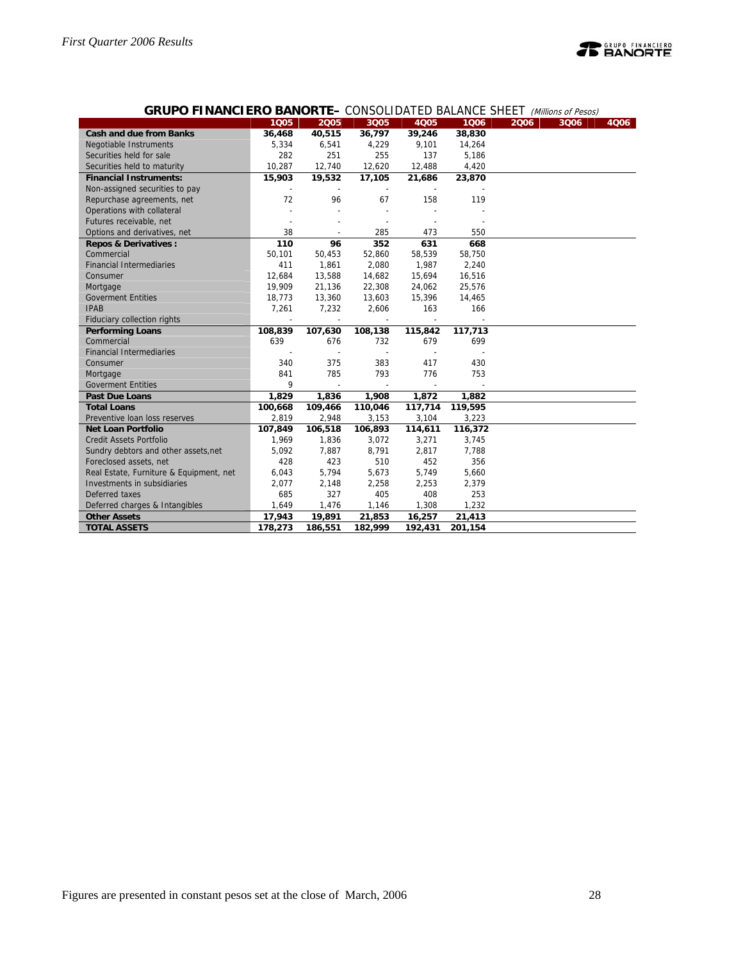

# **GRUPO FINANCIERO BANORTE–** CONSOLIDATED BALANCE SHEET (Millions of Pesos)

|                                                           | 1Q05         | 2005         | 3Q05                     | <b>4Q05</b>  | 1006    | <b>OONOOLIDINIED DIEINVOL ONEL I (Millions of Festis)</b><br>2006 | 3Q06 | 4Q06 |
|-----------------------------------------------------------|--------------|--------------|--------------------------|--------------|---------|-------------------------------------------------------------------|------|------|
| <b>Cash and due from Banks</b>                            |              |              |                          | 39,246       | 38,830  |                                                                   |      |      |
|                                                           | 36,468       | 40,515       | 36,797                   |              |         |                                                                   |      |      |
| <b>Negotiable Instruments</b><br>Securities held for sale | 5,334<br>282 | 6,541<br>251 | 4,229                    | 9,101<br>137 | 14,264  |                                                                   |      |      |
|                                                           |              |              | 255                      |              | 5,186   |                                                                   |      |      |
| Securities held to maturity                               | 10,287       | 12,740       | 12,620                   | 12,488       | 4,420   |                                                                   |      |      |
| <b>Financial Instruments:</b>                             | 15,903       | 19,532       | 17,105                   | 21,686       | 23,870  |                                                                   |      |      |
| Non-assigned securities to pay                            |              |              |                          |              |         |                                                                   |      |      |
| Repurchase agreements, net                                | 72           | 96           | 67                       | 158          | 119     |                                                                   |      |      |
| Operations with collateral                                |              |              |                          |              |         |                                                                   |      |      |
| Futures receivable, net                                   |              |              |                          |              |         |                                                                   |      |      |
| Options and derivatives, net                              | 38           |              | 285                      | 473          | 550     |                                                                   |      |      |
| <b>Repos &amp; Derivatives:</b>                           | 110          | 96           | 352                      | 631          | 668     |                                                                   |      |      |
| Commercial                                                | 50,101       | 50,453       | 52,860                   | 58,539       | 58,750  |                                                                   |      |      |
| <b>Financial Intermediaries</b>                           | 411          | 1,861        | 2,080                    | 1,987        | 2,240   |                                                                   |      |      |
| Consumer                                                  | 12,684       | 13,588       | 14,682                   | 15,694       | 16,516  |                                                                   |      |      |
| Mortgage                                                  | 19,909       | 21,136       | 22,308                   | 24,062       | 25,576  |                                                                   |      |      |
| <b>Goverment Entities</b>                                 | 18,773       | 13,360       | 13,603                   | 15,396       | 14,465  |                                                                   |      |      |
| <b>IPAB</b>                                               | 7,261        | 7,232        | 2,606                    | 163          | 166     |                                                                   |      |      |
| Fiduciary collection rights                               |              |              |                          |              |         |                                                                   |      |      |
| <b>Performing Loans</b>                                   | 108,839      | 107,630      | 108,138                  | 115,842      | 117,713 |                                                                   |      |      |
| Commercial                                                | 639          | 676          | 732                      | 679          | 699     |                                                                   |      |      |
| <b>Financial Intermediaries</b>                           |              |              |                          |              |         |                                                                   |      |      |
| Consumer                                                  | 340          | 375          | 383                      | 417          | 430     |                                                                   |      |      |
| Mortgage                                                  | 841          | 785          | 793                      | 776          | 753     |                                                                   |      |      |
| <b>Goverment Entities</b>                                 | 9            |              | $\overline{\phantom{a}}$ |              |         |                                                                   |      |      |
| <b>Past Due Loans</b>                                     | 1,829        | 1,836        | 1,908                    | 1,872        | 1,882   |                                                                   |      |      |
| <b>Total Loans</b>                                        | 100,668      | 109,466      | 110,046                  | 117,714      | 119,595 |                                                                   |      |      |
| Preventive loan loss reserves                             | 2,819        | 2,948        | 3,153                    | 3,104        | 3,223   |                                                                   |      |      |
| <b>Net Loan Portfolio</b>                                 | 107,849      | 106,518      | 106,893                  | 114,611      | 116,372 |                                                                   |      |      |
| <b>Credit Assets Portfolio</b>                            | 1,969        | 1,836        | 3,072                    | 3,271        | 3,745   |                                                                   |      |      |
| Sundry debtors and other assets, net                      | 5,092        | 7,887        | 8,791                    | 2,817        | 7,788   |                                                                   |      |      |
| Foreclosed assets, net                                    | 428          | 423          | 510                      | 452          | 356     |                                                                   |      |      |
| Real Estate, Furniture & Equipment, net                   | 6,043        | 5,794        | 5,673                    | 5,749        | 5,660   |                                                                   |      |      |
| Investments in subsidiaries                               | 2,077        | 2,148        | 2,258                    | 2,253        | 2,379   |                                                                   |      |      |
| Deferred taxes                                            | 685          | 327          | 405                      | 408          | 253     |                                                                   |      |      |
| Deferred charges & Intangibles                            | 1,649        | 1,476        | 1,146                    | 1,308        | 1,232   |                                                                   |      |      |
| <b>Other Assets</b>                                       | 17,943       | 19,891       | 21,853                   | 16,257       | 21,413  |                                                                   |      |      |
| <b>TOTAL ASSETS</b>                                       | 178,273      | 186,551      | 182,999                  | 192,431      | 201,154 |                                                                   |      |      |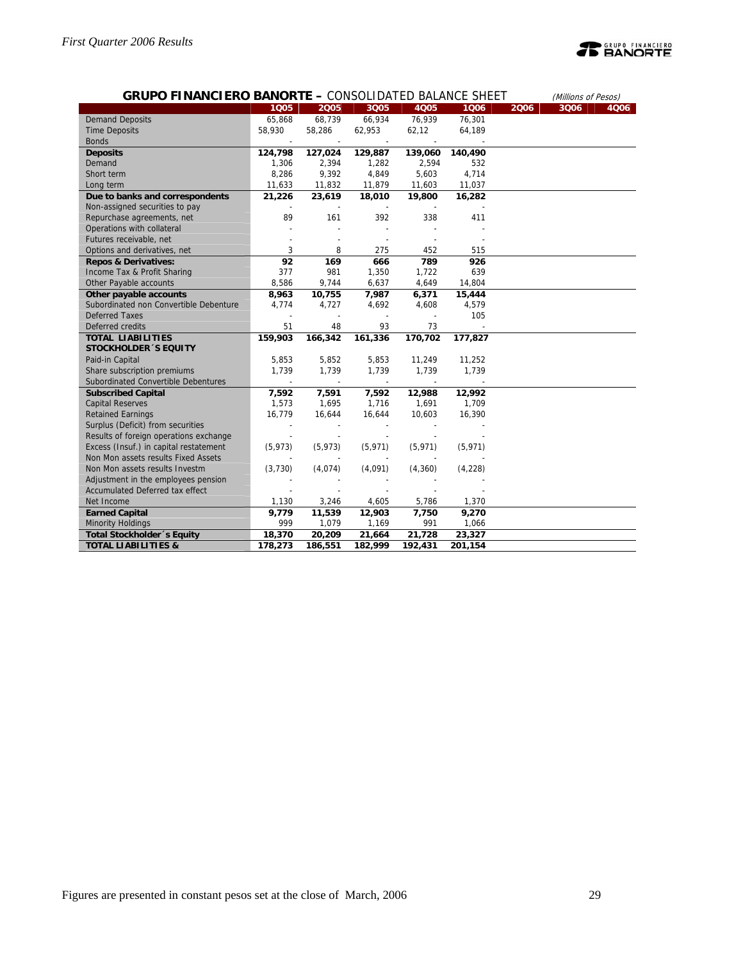# **PEANORTE**

| <b>GRUPO FINANCIERO BANORTE - CONSOLIDATED BALANCE SHEET</b> |                          |                          |                          |          |          |      | (Millions of Pesos) |      |
|--------------------------------------------------------------|--------------------------|--------------------------|--------------------------|----------|----------|------|---------------------|------|
|                                                              | 1005                     | 2005                     | 3Q05                     | 4005     | 1006     | 2006 | 3Q06                | 4Q06 |
| <b>Demand Deposits</b>                                       | 65,868                   | 68,739                   | 66,934                   | 76,939   | 76,301   |      |                     |      |
| <b>Time Deposits</b>                                         | 58,930                   | 58,286                   | 62,953                   | 62,12    | 64,189   |      |                     |      |
| <b>Bonds</b>                                                 |                          | $\overline{\phantom{a}}$ |                          |          |          |      |                     |      |
| <b>Deposits</b>                                              | 124,798                  | 127,024                  | 129,887                  | 139,060  | 140,490  |      |                     |      |
| Demand                                                       | 1,306                    | 2,394                    | 1,282                    | 2,594    | 532      |      |                     |      |
| Short term                                                   | 8,286                    | 9,392                    | 4,849                    | 5,603    | 4,714    |      |                     |      |
| Long term                                                    | 11,633                   | 11,832                   | 11,879                   | 11,603   | 11,037   |      |                     |      |
| Due to banks and correspondents                              | 21,226                   | 23,619                   | 18,010                   | 19,800   | 16,282   |      |                     |      |
| Non-assigned securities to pay                               |                          |                          |                          |          |          |      |                     |      |
| Repurchase agreements, net                                   | 89                       | 161                      | 392                      | 338      | 411      |      |                     |      |
| Operations with collateral                                   |                          |                          |                          |          |          |      |                     |      |
| Futures receivable, net                                      |                          |                          | $\overline{\phantom{a}}$ |          |          |      |                     |      |
| Options and derivatives, net                                 | 3                        | 8                        | 275                      | 452      | 515      |      |                     |      |
| <b>Repos &amp; Derivatives:</b>                              | 92                       | 169                      | 666                      | 789      | 926      |      |                     |      |
| Income Tax & Profit Sharing                                  | 377                      | 981                      | 1,350                    | 1,722    | 639      |      |                     |      |
| Other Payable accounts                                       | 8,586                    | 9,744                    | 6,637                    | 4,649    | 14,804   |      |                     |      |
| Other payable accounts                                       | 8,963                    | 10,755                   | 7,987                    | 6,371    | 15,444   |      |                     |      |
| Subordinated non Convertible Debenture                       | 4.774                    | 4.727                    | 4,692                    | 4,608    | 4,579    |      |                     |      |
| <b>Deferred Taxes</b>                                        |                          |                          |                          |          | 105      |      |                     |      |
| Deferred credits                                             | 51                       | 48                       | 93                       | 73       |          |      |                     |      |
| <b>TOTAL LIABILITIES</b>                                     | 159,903                  | 166,342                  | 161,336                  | 170,702  | 177,827  |      |                     |      |
| <b>STOCKHOLDER 'S EQUITY</b>                                 |                          |                          |                          |          |          |      |                     |      |
| Paid-in Capital                                              | 5,853                    | 5,852                    | 5,853                    | 11,249   | 11,252   |      |                     |      |
| Share subscription premiums                                  | 1.739                    | 1.739                    | 1,739                    | 1,739    | 1,739    |      |                     |      |
| Subordinated Convertible Debentures                          |                          |                          | $\overline{\phantom{a}}$ |          |          |      |                     |      |
| <b>Subscribed Capital</b>                                    | 7,592                    | 7,591                    | 7,592                    | 12,988   | 12,992   |      |                     |      |
| <b>Capital Reserves</b>                                      | 1,573                    | 1,695                    | 1,716                    | 1,691    | 1,709    |      |                     |      |
| <b>Retained Earnings</b>                                     | 16,779                   | 16,644                   | 16,644                   | 10,603   | 16,390   |      |                     |      |
| Surplus (Deficit) from securities                            | $\overline{\phantom{a}}$ | $\overline{a}$           | $\overline{\phantom{a}}$ |          |          |      |                     |      |
| Results of foreign operations exchange                       |                          |                          |                          |          |          |      |                     |      |
| Excess (Insuf.) in capital restatement                       | (5, 973)                 | (5, 973)                 | (5, 971)                 | (5, 971) | (5, 971) |      |                     |      |
| Non Mon assets results Fixed Assets                          |                          |                          |                          |          |          |      |                     |      |
| Non Mon assets results Investm                               | (3,730)                  | (4,074)                  | (4,091)                  | (4,360)  | (4,228)  |      |                     |      |
| Adjustment in the employees pension                          |                          |                          |                          |          |          |      |                     |      |
| Accumulated Deferred tax effect                              |                          |                          |                          |          |          |      |                     |      |
| Net Income                                                   | 1,130                    | 3,246                    | 4,605                    | 5,786    | 1,370    |      |                     |      |
| <b>Earned Capital</b>                                        | 9,779                    | 11,539                   | 12,903                   | 7,750    | 9,270    |      |                     |      |
| <b>Minority Holdings</b>                                     | 999                      | 1,079                    | 1,169                    | 991      | 1,066    |      |                     |      |
| Total Stockholder 's Equity                                  | 18,370                   | 20,209                   | 21,664                   | 21,728   | 23,327   |      |                     |      |
| <b>TOTAL LIABILITIES &amp;</b>                               | 178,273                  | 186,551                  | 182,999                  | 192,431  | 201,154  |      |                     |      |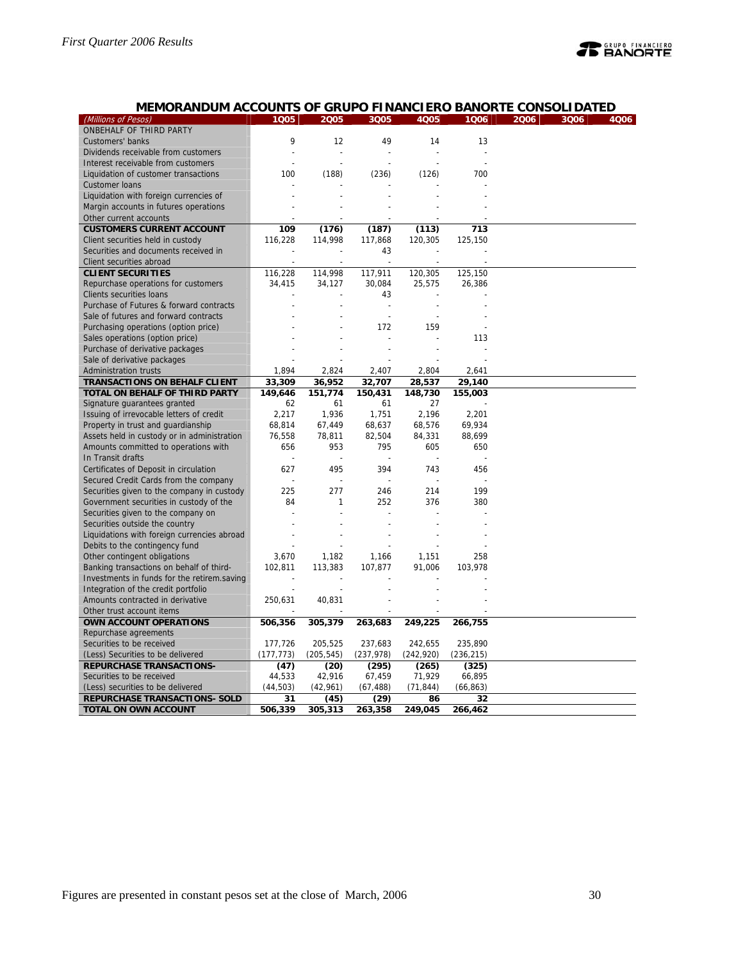# **PEANORTE**

# **MEMORANDUM ACCOUNTS OF GRUPO FINANCIERO BANORTE CONSOLIDATED**

| (Millions of Pesos)                         | 1005       | 2005       | 3Q05                     | 4Q05       | 1006       | 2006 | 3Q06 | 4Q06 |
|---------------------------------------------|------------|------------|--------------------------|------------|------------|------|------|------|
| ONBEHALF OF THIRD PARTY                     |            |            |                          |            |            |      |      |      |
| Customers' banks                            | 9          | 12         | 49                       | 14         | 13         |      |      |      |
| Dividends receivable from customers         | ż          | L,         |                          |            | ÷.         |      |      |      |
| Interest receivable from customers          |            |            |                          |            |            |      |      |      |
| Liquidation of customer transactions        | 100        | (188)      | (236)                    | (126)      | 700        |      |      |      |
| <b>Customer loans</b>                       |            |            |                          |            |            |      |      |      |
| Liquidation with foreign currencies of      |            |            |                          |            |            |      |      |      |
| Margin accounts in futures operations       |            |            |                          |            |            |      |      |      |
| Other current accounts                      |            |            |                          |            |            |      |      |      |
| <b>CUSTOMERS CURRENT ACCOUNT</b>            | 109        | (176)      | (187)                    | (113)      | 713        |      |      |      |
| Client securities held in custody           | 116,228    | 114,998    | 117,868                  | 120,305    | 125,150    |      |      |      |
| Securities and documents received in        |            |            | 43                       |            |            |      |      |      |
| Client securities abroad                    |            |            | Ĭ.                       |            |            |      |      |      |
| <b>CLIENT SECURITIES</b>                    | 116,228    | 114,998    | 117,911                  | 120,305    | 125,150    |      |      |      |
| Repurchase operations for customers         | 34,415     | 34,127     | 30,084                   | 25,575     | 26,386     |      |      |      |
| Clients securities loans                    |            |            | 43                       |            |            |      |      |      |
| Purchase of Futures & forward contracts     |            |            | ÷,                       |            |            |      |      |      |
| Sale of futures and forward contracts       |            |            | $\overline{\phantom{a}}$ |            |            |      |      |      |
| Purchasing operations (option price)        |            |            | 172                      | 159        |            |      |      |      |
| Sales operations (option price)             |            |            |                          |            | 113        |      |      |      |
| Purchase of derivative packages             |            |            |                          |            |            |      |      |      |
| Sale of derivative packages                 |            |            |                          |            |            |      |      |      |
| <b>Administration trusts</b>                | 1,894      | 2,824      | 2,407                    | 2,804      | 2,641      |      |      |      |
| <b>TRANSACTIONS ON BEHALF CLIENT</b>        | 33,309     | 36,952     | 32,707                   | 28,537     | 29,140     |      |      |      |
| TOTAL ON BEHALF OF THIRD PARTY              | 149,646    | 151,774    | 150,431                  | 148,730    | 155,003    |      |      |      |
| Signature guarantees granted                | 62         | 61         | 61                       | 27         |            |      |      |      |
| Issuing of irrevocable letters of credit    | 2,217      | 1,936      | 1,751                    | 2,196      | 2,201      |      |      |      |
| Property in trust and guardianship          | 68,814     | 67,449     | 68,637                   | 68,576     | 69,934     |      |      |      |
| Assets held in custody or in administration | 76,558     | 78,811     | 82,504                   | 84,331     | 88,699     |      |      |      |
| Amounts committed to operations with        | 656        | 953        | 795                      | 605        | 650        |      |      |      |
| In Transit drafts                           |            |            |                          |            |            |      |      |      |
| Certificates of Deposit in circulation      | 627        | 495        | 394                      | 743        | 456        |      |      |      |
| Secured Credit Cards from the company       |            |            |                          |            |            |      |      |      |
| Securities given to the company in custody  | 225        | 277        | 246                      | 214        | 199        |      |      |      |
| Government securities in custody of the     | 84         | 1          | 252                      | 376        | 380        |      |      |      |
| Securities given to the company on          |            | Ĭ.         |                          |            |            |      |      |      |
| Securities outside the country              |            |            |                          |            |            |      |      |      |
| Liquidations with foreign currencies abroad |            |            |                          |            |            |      |      |      |
| Debits to the contingency fund              |            |            |                          |            |            |      |      |      |
| Other contingent obligations                | 3,670      | 1,182      | 1,166                    | 1,151      | 258        |      |      |      |
| Banking transactions on behalf of third-    | 102,811    | 113,383    | 107,877                  | 91,006     | 103,978    |      |      |      |
| Investments in funds for the retirem.saving |            |            |                          |            |            |      |      |      |
| Integration of the credit portfolio         |            |            |                          |            |            |      |      |      |
| Amounts contracted in derivative            | 250,631    | 40,831     |                          |            |            |      |      |      |
| Other trust account items                   |            |            |                          |            |            |      |      |      |
| OWN ACCOUNT OPERATIONS                      | 506,356    | 305,379    | 263,683                  | 249,225    | 266,755    |      |      |      |
| Repurchase agreements                       |            |            |                          |            |            |      |      |      |
| Securities to be received                   | 177,726    | 205,525    | 237,683                  | 242,655    | 235,890    |      |      |      |
| (Less) Securities to be delivered           | (177, 773) | (205, 545) | (237, 978)               | (242, 920) | (236, 215) |      |      |      |
| <b>REPURCHASE TRANSACTIONS-</b>             | (47)       | (20)       | (295)                    | (265)      | (325)      |      |      |      |
| Securities to be received                   | 44,533     | 42,916     | 67,459                   | 71,929     | 66,895     |      |      |      |
| (Less) securities to be delivered           | (44, 503)  | (42,961)   | (67, 488)                | (71, 844)  | (66, 863)  |      |      |      |
| REPURCHASE TRANSACTIONS- SOLD               | 31         | (45)       | (29)                     | 86         | 32         |      |      |      |
| <b>TOTAL ON OWN ACCOUNT</b>                 | 506,339    | 305,313    | 263,358                  | 249,045    | 266,462    |      |      |      |
|                                             |            |            |                          |            |            |      |      |      |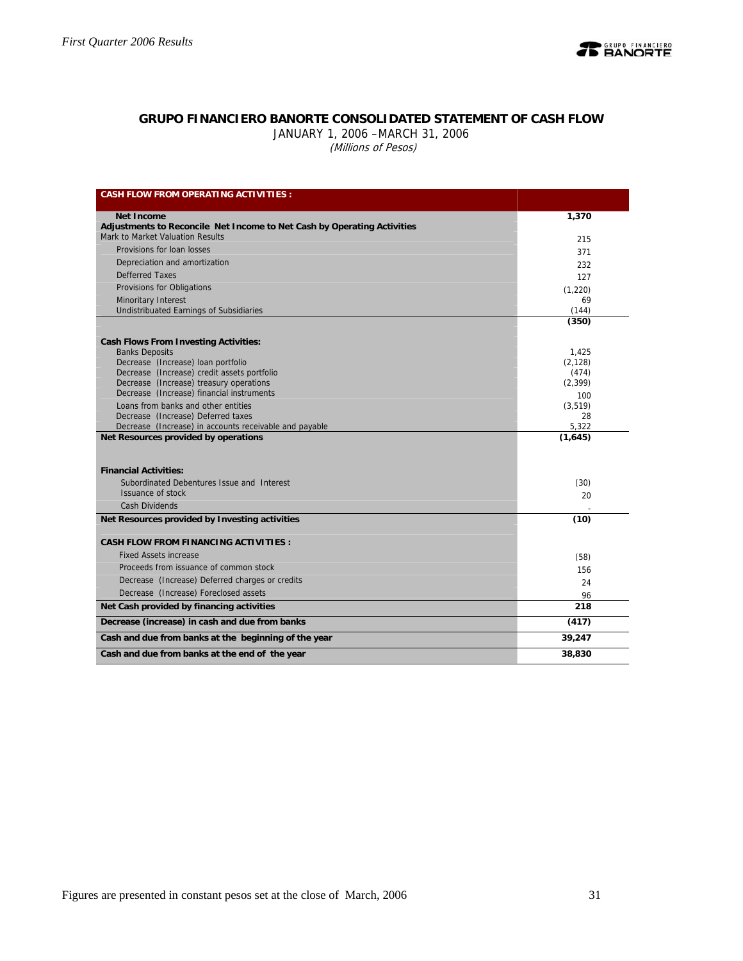

# **GRUPO FINANCIERO BANORTE CONSOLIDATED STATEMENT OF CASH FLOW**

JANUARY 1, 2006 –MARCH 31, 2006 (Millions of Pesos)

| <b>CASH FLOW FROM OPERATING ACTIVITIES:</b>                                                  |                 |
|----------------------------------------------------------------------------------------------|-----------------|
|                                                                                              |                 |
| <b>Net Income</b><br>Adjustments to Reconcile Net Income to Net Cash by Operating Activities | 1,370           |
| Mark to Market Valuation Results                                                             | 215             |
| Provisions for loan losses                                                                   | 371             |
| Depreciation and amortization                                                                | 232             |
| <b>Defferred Taxes</b>                                                                       | 127             |
| Provisions for Obligations                                                                   | (1,220)         |
| Minoritary Interest                                                                          | 69              |
| <b>Undistribuated Earnings of Subsidiaries</b>                                               | (144)           |
|                                                                                              | (350)           |
| <b>Cash Flows From Investing Activities:</b>                                                 |                 |
| <b>Banks Deposits</b>                                                                        | 1.425           |
| Decrease (Increase) loan portfolio                                                           | (2, 128)        |
| Decrease (Increase) credit assets portfolio                                                  | (474)           |
| Decrease (Increase) treasury operations<br>Decrease (Increase) financial instruments         | (2, 399)        |
| Loans from banks and other entities                                                          | 100<br>(3, 519) |
| Decrease (Increase) Deferred taxes                                                           | 28              |
| Decrease (Increase) in accounts receivable and payable                                       | 5,322           |
| Net Resources provided by operations                                                         | (1,645)         |
|                                                                                              |                 |
| <b>Financial Activities:</b>                                                                 |                 |
| Subordinated Debentures Issue and Interest                                                   | (30)            |
| Issuance of stock                                                                            | 20              |
| <b>Cash Dividends</b>                                                                        |                 |
| Net Resources provided by Investing activities                                               | (10)            |
|                                                                                              |                 |
| <b>CASH FLOW FROM FINANCING ACTIVITIES:</b>                                                  |                 |
| <b>Fixed Assets increase</b>                                                                 | (58)            |
| Proceeds from issuance of common stock                                                       | 156             |
| Decrease (Increase) Deferred charges or credits                                              | 24              |
| Decrease (Increase) Foreclosed assets                                                        | 96              |
| Net Cash provided by financing activities                                                    | 218             |
| Decrease (increase) in cash and due from banks                                               | (417)           |
| Cash and due from banks at the beginning of the year                                         | 39,247          |
| Cash and due from banks at the end of the year                                               | 38,830          |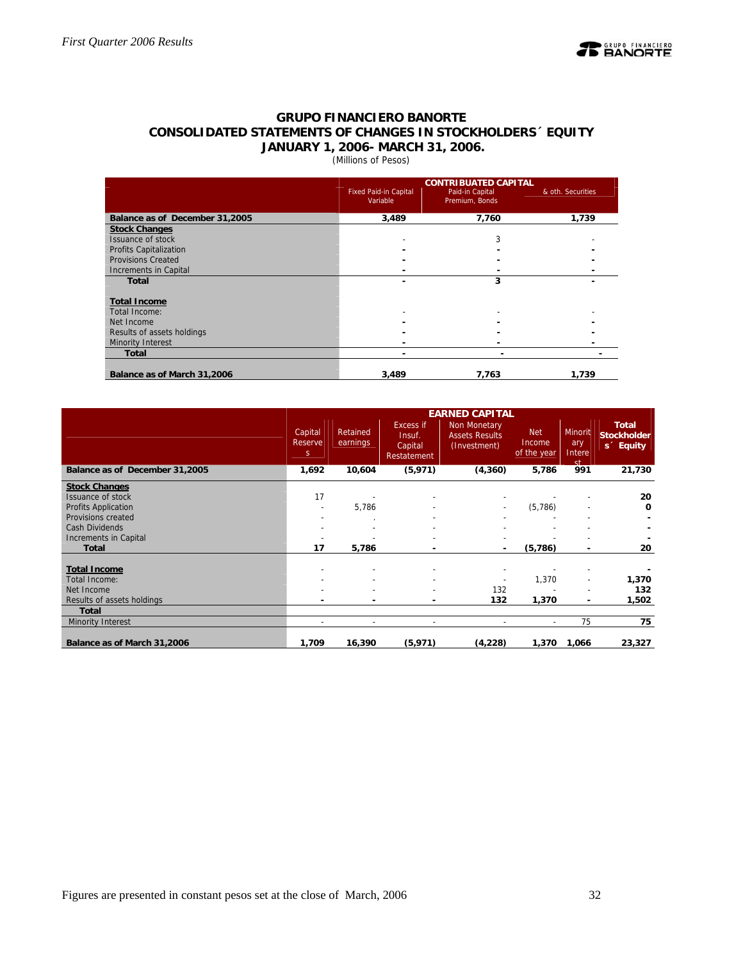

# **GRUPO FINANCIERO BANORTE CONSOLIDATED STATEMENTS OF CHANGES IN STOCKHOLDERS´ EQUITY JANUARY 1, 2006- MARCH 31, 2006.**

# (Millions of Pesos)

|                                |                                          | <b>CONTRIBUATED CAPITAL</b>       |                   |
|--------------------------------|------------------------------------------|-----------------------------------|-------------------|
|                                | <b>Fixed Paid-in Capital</b><br>Variable | Paid-in Capital<br>Premium, Bonds | & oth. Securities |
| Balance as of December 31,2005 | 3,489                                    | 7,760                             | 1,739             |
| <b>Stock Changes</b>           |                                          |                                   |                   |
| Issuance of stock              |                                          | 3                                 |                   |
| <b>Profits Capitalization</b>  |                                          |                                   |                   |
| <b>Provisions Created</b>      |                                          |                                   |                   |
| Increments in Capital          |                                          |                                   |                   |
| <b>Total</b>                   |                                          | 3                                 |                   |
| <b>Total Income</b>            |                                          |                                   |                   |
| Total Income:                  |                                          |                                   |                   |
| Net Income                     |                                          |                                   |                   |
| Results of assets holdings     |                                          |                                   |                   |
| Minority Interest              |                                          |                                   |                   |
| <b>Total</b>                   |                                          |                                   |                   |
| Balance as of March 31,2006    | 3,489                                    | 7,763                             | 1,739             |

|                                | <b>EARNED CAPITAL</b>    |                          |                                               |                                                              |                                     |                                       |                                                             |  |  |  |
|--------------------------------|--------------------------|--------------------------|-----------------------------------------------|--------------------------------------------------------------|-------------------------------------|---------------------------------------|-------------------------------------------------------------|--|--|--|
|                                | Capital<br>Reserve<br>S. | Retained<br>earnings     | Excess if<br>Insuf.<br>Capital<br>Restatement | <b>Non Monetary</b><br><b>Assets Results</b><br>(Investment) | <b>Net</b><br>Income<br>of the year | Minorit<br>ary<br>Intere<br><b>st</b> | <b>Total</b><br><b>Stockholder</b><br>s <sup>2</sup> Equity |  |  |  |
| Balance as of December 31,2005 | 1,692                    | 10,604                   | (5, 971)                                      | (4, 360)                                                     | 5,786                               | 991                                   | 21,730                                                      |  |  |  |
| <b>Stock Changes</b>           |                          |                          |                                               |                                                              |                                     |                                       |                                                             |  |  |  |
| Issuance of stock              | 17                       |                          |                                               |                                                              |                                     |                                       | 20                                                          |  |  |  |
| <b>Profits Application</b>     |                          | 5,786                    |                                               |                                                              | (5,786)                             |                                       | 0                                                           |  |  |  |
| Provisions created             |                          |                          |                                               |                                                              |                                     |                                       |                                                             |  |  |  |
| <b>Cash Dividends</b>          |                          |                          |                                               |                                                              |                                     |                                       |                                                             |  |  |  |
| Increments in Capital          |                          |                          |                                               |                                                              |                                     |                                       |                                                             |  |  |  |
| <b>Total</b>                   | 17                       | 5,786                    |                                               |                                                              | (5,786)                             | ۰                                     | 20                                                          |  |  |  |
| <b>Total Income</b>            |                          |                          |                                               |                                                              |                                     |                                       |                                                             |  |  |  |
| Total Income:                  |                          |                          |                                               |                                                              | 1,370                               | $\overline{\phantom{a}}$              | 1,370                                                       |  |  |  |
| Net Income                     |                          |                          |                                               | 132                                                          |                                     |                                       | 132                                                         |  |  |  |
| Results of assets holdings     |                          |                          |                                               | 132                                                          | 1,370                               | ۰                                     | 1,502                                                       |  |  |  |
| <b>Total</b>                   |                          |                          |                                               |                                                              |                                     |                                       |                                                             |  |  |  |
| <b>Minority Interest</b>       | $\overline{\phantom{a}}$ | $\overline{\phantom{a}}$ | $\overline{\phantom{a}}$                      | $\blacksquare$                                               | $\sim$                              | 75                                    | 75                                                          |  |  |  |
| Balance as of March 31,2006    | 1,709                    | 16,390                   | (5, 971)                                      | (4,228)                                                      | 1,370                               | 1,066                                 | 23,327                                                      |  |  |  |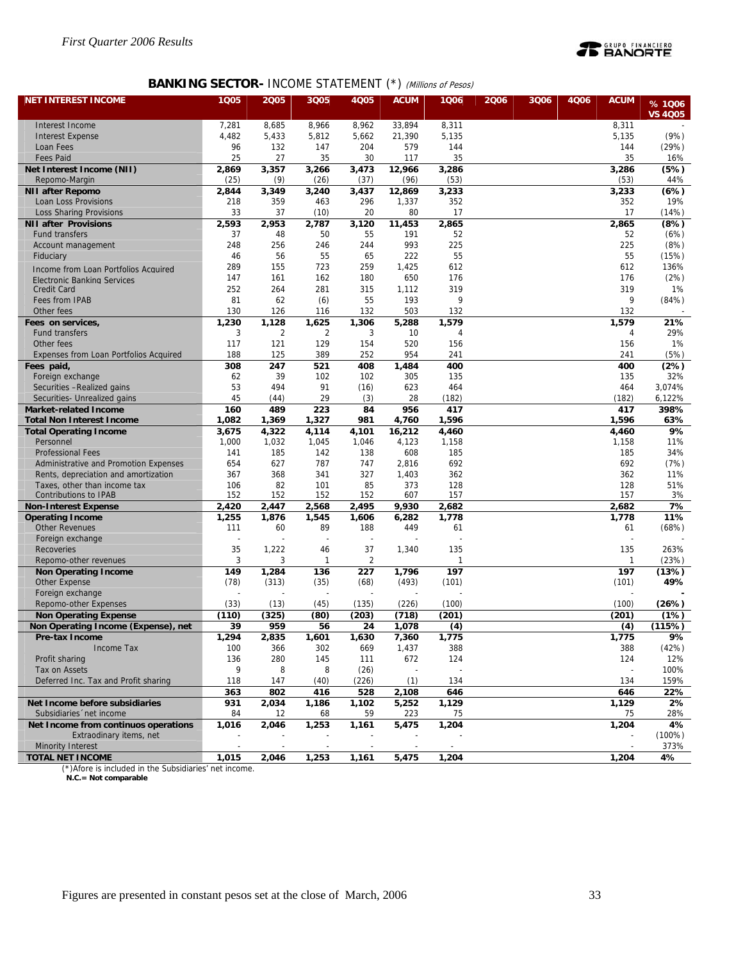

# **BANKING SECTOR- INCOME STATEMENT (\*) (Millions of Pesos)**

| <b>NET INTEREST INCOME</b>                                 | 1Q05           | 2005           | 3Q05           | 4Q05                 | <b>ACUM</b>     | 1006                | 2006 | 3Q06 | 4Q06 | <b>ACUM</b>         | % 1006         |
|------------------------------------------------------------|----------------|----------------|----------------|----------------------|-----------------|---------------------|------|------|------|---------------------|----------------|
|                                                            |                |                |                |                      |                 |                     |      |      |      |                     | <b>VS 4005</b> |
| Interest Income                                            | 7,281          | 8,685          | 8,966          | 8,962                | 33,894          | 8,311               |      |      |      | 8,311               |                |
| <b>Interest Expense</b>                                    | 4,482          | 5,433          | 5,812          | 5,662                | 21,390          | 5,135               |      |      |      | 5,135               | (9%)           |
| Loan Fees                                                  | 96             | 132            | 147            | 204                  | 579             | 144                 |      |      |      | 144                 | (29%)          |
| <b>Fees Paid</b><br>Net Interest Income (NII)              | 25<br>2,869    | 27<br>3,357    | 35<br>3,266    | 30<br>3,473          | 117<br>12,966   | 35<br>3,286         |      |      |      | 35<br>3,286         | 16%<br>(5%)    |
| Repomo-Margin                                              | (25)           | (9)            | (26)           | (37)                 | (96)            | (53)                |      |      |      | (53)                | 44%            |
| <b>NII after Repomo</b>                                    | 2,844          | 3,349          | 3,240          | 3,437                | 12,869          | 3,233               |      |      |      | 3,233               | (6%)           |
| Loan Loss Provisions                                       | 218            | 359            | 463            | 296                  | 1,337           | 352                 |      |      |      | 352                 | 19%            |
| <b>Loss Sharing Provisions</b>                             | 33             | 37             | (10)           | 20                   | 80              | 17                  |      |      |      | 17                  | (14%)          |
| <b>NII after Provisions</b>                                | 2,593          | 2,953          | 2,787          | 3,120                | 11,453          | 2,865               |      |      |      | 2,865               | (8%)           |
| <b>Fund transfers</b>                                      | 37             | 48             | 50             | 55                   | 191             | 52                  |      |      |      | 52                  | (6%)           |
| Account management                                         | 248            | 256            | 246            | 244                  | 993             | 225                 |      |      |      | 225                 | (8%)           |
| Fiduciary                                                  | 46             | 56             | 55             | 65                   | 222             | 55                  |      |      |      | 55                  | (15%)          |
| Income from Loan Portfolios Acquired                       | 289            | 155            | 723            | 259                  | 1,425           | 612                 |      |      |      | 612                 | 136%           |
| <b>Electronic Banking Services</b>                         | 147<br>252     | 161<br>264     | 162<br>281     | 180                  | 650             | 176<br>319          |      |      |      | 176<br>319          | (2%)<br>1%     |
| <b>Credit Card</b><br>Fees from IPAB                       | 81             | 62             | (6)            | 315<br>55            | 1,112<br>193    | 9                   |      |      |      | 9                   | (84%)          |
| Other fees                                                 | 130            | 126            | 116            | 132                  | 503             | 132                 |      |      |      | 132                 |                |
| Fees on services,                                          | 1,230          | 1,128          | 1,625          | 1,306                | 5,288           | 1,579               |      |      |      | 1,579               | 21%            |
| <b>Fund transfers</b>                                      | 3              | $\overline{2}$ | $\overline{2}$ | 3                    | 10              | 4                   |      |      |      | 4                   | 29%            |
| Other fees                                                 | 117            | 121            | 129            | 154                  | 520             | 156                 |      |      |      | 156                 | 1%             |
| Expenses from Loan Portfolios Acquired                     | 188            | 125            | 389            | 252                  | 954             | 241                 |      |      |      | 241                 | (5%)           |
| Fees paid,                                                 | 308            | 247            | 521            | 408                  | 1,484           | 400                 |      |      |      | 400                 | (2%)           |
| Foreign exchange                                           | 62             | 39             | 102            | 102                  | 305             | 135                 |      |      |      | 135                 | 32%            |
| Securities -Realized gains                                 | 53             | 494            | 91             | (16)                 | 623             | 464                 |      |      |      | 464                 | 3,074%         |
| Securities- Unrealized gains                               | 45             | (44)           | 29             | (3)                  | 28              | (182)               |      |      |      | (182)               | 6,122%         |
| <b>Market-related Income</b>                               | 160            | 489            | 223            | 84                   | 956             | 417                 |      |      |      | 417                 | 398%           |
| <b>Total Non Interest Income</b>                           | 1,082          | 1,369          | 1,327          | 981                  | 4,760           | 1,596               |      |      |      | 1,596               | 63%            |
| <b>Total Operating Income</b><br>Personnel                 | 3,675<br>1,000 | 4,322<br>1,032 | 4,114<br>1,045 | 4,101<br>1,046       | 16,212<br>4,123 | 4,460<br>1,158      |      |      |      | 4,460<br>1,158      | 9%<br>11%      |
| <b>Professional Fees</b>                                   | 141            | 185            | 142            | 138                  | 608             | 185                 |      |      |      | 185                 | 34%            |
| Administrative and Promotion Expenses                      | 654            | 627            | 787            | 747                  | 2,816           | 692                 |      |      |      | 692                 | (7%)           |
| Rents, depreciation and amortization                       | 367            | 368            | 341            | 327                  | 1,403           | 362                 |      |      |      | 362                 | 11%            |
| Taxes, other than income tax                               | 106            | 82             | 101            | 85                   | 373             | 128                 |      |      |      | 128                 | 51%            |
| <b>Contributions to IPAB</b>                               | 152            | 152            | 152            | 152                  | 607             | 157                 |      |      |      | 157                 | 3%             |
| <b>Non-Interest Expense</b>                                | 2,420          | 2,447          | 2,568          | 2,495                | 9,930           | 2,682               |      |      |      | 2,682               | 7%             |
| <b>Operating Income</b>                                    | 1,255          | 1,876          | 1,545          | 1,606                | 6,282           | 1,778               |      |      |      | 1,778               | 11%            |
| <b>Other Revenues</b>                                      | 111            | 60             | 89             | 188                  | 449             | 61                  |      |      |      | 61                  | (68%)          |
| Foreign exchange                                           |                |                |                |                      |                 |                     |      |      |      |                     |                |
| Recoveries<br>Repomo-other revenues                        | 35<br>3        | 1,222<br>3     | 46<br>1        | 37<br>$\overline{2}$ | 1,340           | 135<br>$\mathbf{1}$ |      |      |      | 135<br>$\mathbf{1}$ | 263%<br>(23%)  |
| <b>Non Operating Income</b>                                | 149            | 1,284          | 136            | 227                  | 1,796           | 197                 |      |      |      | 197                 | (13%)          |
| Other Expense                                              | (78)           | (313)          | (35)           | (68)                 | (493)           | (101)               |      |      |      | (101)               | 49%            |
| Foreign exchange                                           |                |                |                |                      |                 |                     |      |      |      |                     |                |
| Repomo-other Expenses                                      | (33)           | (13)           | (45)           | (135)                | (226)           | (100)               |      |      |      | (100)               | (26%)          |
| <b>Non Operating Expense</b>                               | (110)          | (325)          | (80)           | (203)                | (718)           | (201)               |      |      |      | (201)               | (1%)           |
| Non Operating Income (Expense), net                        | 39             | 959            | 56             | 24                   | 1,078           | (4)                 |      |      |      | (4)                 | (115%)         |
| Pre-tax Income                                             | 1,294          | 2,835          | 1,601          | 1,630                | 7,360           | 1,775               |      |      |      | 1,775               | 9%             |
| Income Tax                                                 | 100            | 366            | 302            | 669                  | 1,437           | 388                 |      |      |      | 388                 | (42%)          |
| Profit sharing                                             | 136            | 280            | 145            | 111                  | 672             | 124                 |      |      |      | 124                 | 12%            |
| Tax on Assets                                              | 9              | 8              | 8              | (26)                 |                 |                     |      |      |      |                     | 100%           |
| Deferred Inc. Tax and Profit sharing                       | 118            | 147            | (40)           | (226)                | (1)             | 134                 |      |      |      | 134                 | 159%           |
|                                                            | 363            | 802            | 416            | 528                  | 2,108           | 646                 |      |      |      | 646                 | 22%            |
| Net Income before subsidiaries<br>Subsidiaries 'net income | 931<br>84      | 2,034<br>12    | 1,186<br>68    | 1,102<br>59          | 5,252<br>223    | 1,129<br>75         |      |      |      | 1,129<br>75         | 2%<br>28%      |
| Net Income from continuos operations                       | 1,016          | 2,046          | 1,253          | 1,161                | 5,475           | 1,204               |      |      |      | 1,204               | 4%             |
| Extraodinary items, net                                    |                |                |                |                      |                 |                     |      |      |      |                     | $(100\%)$      |
| <b>Minority Interest</b>                                   |                |                |                |                      |                 |                     |      |      |      |                     | 373%           |
| <b>TOTAL NET INCOME</b>                                    | 1,015          | 2,046          | 1,253          | 1,161                | 5,475           | 1,204               |      |      |      | 1,204               | 4%             |

(\*)Afore is included in the Subsidiaries' net income.  **N.C.= Not comparable**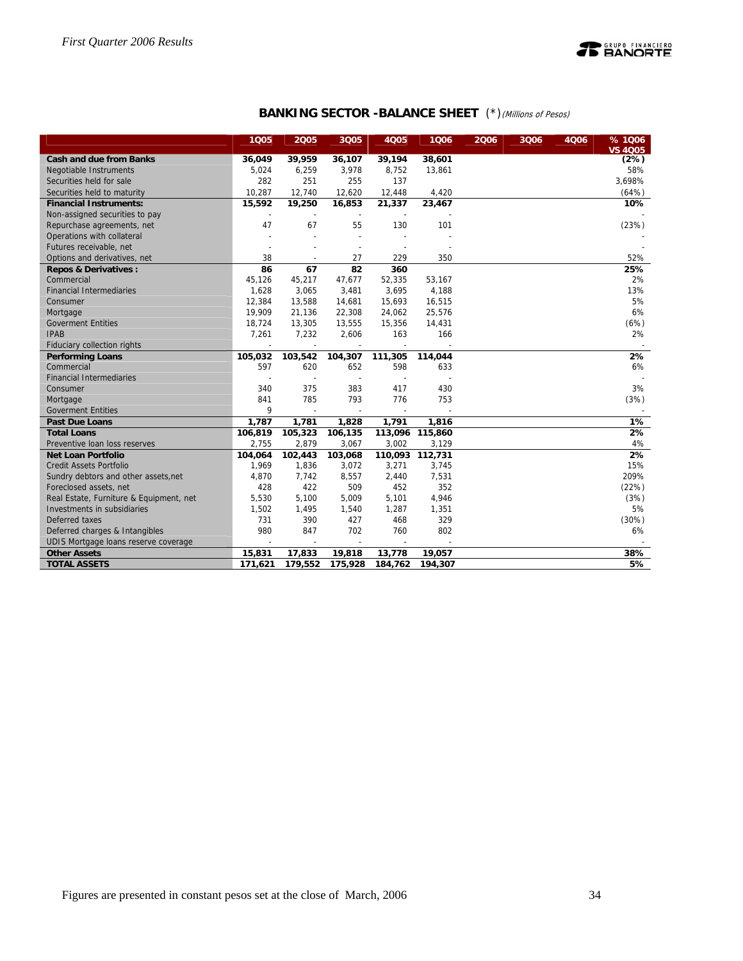

# **BANKING SECTOR -BALANCE SHEET** (\*) (Millions of Pesos)

|                                         | 1005                     | 2005                     | 3Q05                     | 4Q05                     | 1006            | 2006 | 3Q06 | 4006 | % 1006<br><b>VS 4005</b> |
|-----------------------------------------|--------------------------|--------------------------|--------------------------|--------------------------|-----------------|------|------|------|--------------------------|
| <b>Cash and due from Banks</b>          | 36,049                   | 39,959                   | 36,107                   | 39,194                   | 38,601          |      |      |      | (2%)                     |
| Negotiable Instruments                  | 5,024                    | 6,259                    | 3,978                    | 8,752                    | 13,861          |      |      |      | 58%                      |
| Securities held for sale                | 282                      | 251                      | 255                      | 137                      |                 |      |      |      | 3,698%                   |
| Securities held to maturity             | 10,287                   | 12,740                   | 12,620                   | 12,448                   | 4,420           |      |      |      | (64%)                    |
| <b>Financial Instruments:</b>           | 15,592                   | 19,250                   | 16,853                   | 21,337                   | 23,467          |      |      |      | 10%                      |
| Non-assigned securities to pay          |                          |                          |                          |                          |                 |      |      |      |                          |
| Repurchase agreements, net              | 47                       | 67                       | 55                       | 130                      | 101             |      |      |      | (23%)                    |
| Operations with collateral              |                          |                          | $\overline{a}$           |                          |                 |      |      |      |                          |
| Futures receivable, net                 |                          |                          | $\overline{\phantom{a}}$ |                          |                 |      |      |      |                          |
| Options and derivatives, net            | 38                       | $\overline{\phantom{a}}$ | 27                       | 229                      | 350             |      |      |      | 52%                      |
| <b>Repos &amp; Derivatives:</b>         | 86                       | 67                       | 82                       | 360                      |                 |      |      |      | 25%                      |
| Commercial                              | 45,126                   | 45,217                   | 47,677                   | 52,335                   | 53,167          |      |      |      | 2%                       |
| <b>Financial Intermediaries</b>         | 1,628                    | 3,065                    | 3,481                    | 3,695                    | 4,188           |      |      |      | 13%                      |
| Consumer                                | 12,384                   | 13,588                   | 14,681                   | 15,693                   | 16,515          |      |      |      | 5%                       |
| Mortgage                                | 19,909                   | 21,136                   | 22,308                   | 24,062                   | 25,576          |      |      |      | 6%                       |
| <b>Goverment Entities</b>               | 18,724                   | 13,305                   | 13,555                   | 15,356                   | 14,431          |      |      |      | (6%)                     |
| <b>IPAB</b>                             | 7,261                    | 7,232                    | 2,606                    | 163                      | 166             |      |      |      | 2%                       |
| Fiduciary collection rights             |                          | $\overline{a}$           |                          |                          |                 |      |      |      |                          |
| <b>Performing Loans</b>                 | 105,032                  | 103,542                  | 104,307                  | 111,305                  | 114,044         |      |      |      | 2%                       |
| Commercial                              | 597                      | 620                      | 652                      | 598                      | 633             |      |      |      | 6%                       |
| <b>Financial Intermediaries</b>         |                          |                          |                          |                          |                 |      |      |      |                          |
| Consumer                                | 340                      | 375                      | 383                      | 417                      | 430             |      |      |      | 3%                       |
| Mortgage                                | 841                      | 785                      | 793                      | 776                      | 753             |      |      |      | (3%)                     |
| <b>Goverment Entities</b>               | 9                        | $\overline{a}$           | $\overline{\phantom{a}}$ | $\overline{\phantom{a}}$ |                 |      |      |      |                          |
| <b>Past Due Loans</b>                   | 1,787                    | 1,781                    | 1,828                    | 1,791                    | 1,816           |      |      |      | 1%                       |
| <b>Total Loans</b>                      | 106,819                  | 105,323                  | 106,135                  |                          | 113,096 115,860 |      |      |      | 2%                       |
| Preventive Ioan loss reserves           | 2,755                    | 2,879                    | 3,067                    | 3,002                    | 3,129           |      |      |      | 4%                       |
| <b>Net Loan Portfolio</b>               | 104,064                  | 102,443                  | 103,068                  | 110,093                  | 112,731         |      |      |      | 2%                       |
| <b>Credit Assets Portfolio</b>          | 1,969                    | 1,836                    | 3,072                    | 3,271                    | 3,745           |      |      |      | 15%                      |
| Sundry debtors and other assets, net    | 4,870                    | 7,742                    | 8,557                    | 2,440                    | 7,531           |      |      |      | 209%                     |
| Foreclosed assets, net                  | 428                      | 422                      | 509                      | 452                      | 352             |      |      |      | (22%)                    |
| Real Estate, Furniture & Equipment, net | 5,530                    | 5,100                    | 5,009                    | 5,101                    | 4,946           |      |      |      | (3%)                     |
| Investments in subsidiaries             | 1,502                    | 1,495                    | 1,540                    | 1,287                    | 1,351           |      |      |      | 5%                       |
| Deferred taxes                          | 731                      | 390                      | 427                      | 468                      | 329             |      |      |      | (30%)                    |
| Deferred charges & Intangibles          | 980                      | 847                      | 702                      | 760                      | 802             |      |      |      | 6%                       |
| UDIS Mortgage loans reserve coverage    | $\overline{\phantom{a}}$ | $\overline{\phantom{a}}$ | $\overline{a}$           | $\overline{\phantom{a}}$ |                 |      |      |      |                          |
| <b>Other Assets</b>                     | 15,831                   | 17,833                   | 19,818                   | 13,778                   | 19,057          |      |      |      | 38%                      |
| <b>TOTAL ASSETS</b>                     | 171,621                  | 179,552                  | 175,928                  | 184,762                  | 194,307         |      |      |      | 5%                       |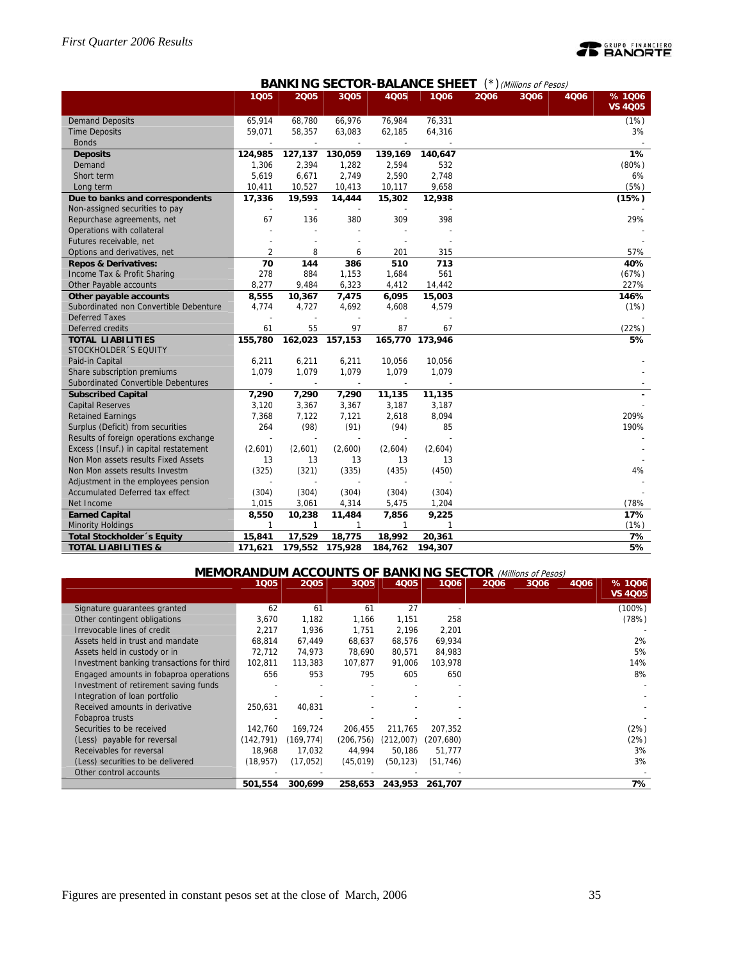# **PEANORTE**

# **BANKING SECTOR-BALANCE SHEET** (\*)(Millions of Pesos)

|                                        | 1005           | 2005    | 3Q05    | 4Q05                     | 1006            | 2006 | 3Q06 | 4006 | %1006          |
|----------------------------------------|----------------|---------|---------|--------------------------|-----------------|------|------|------|----------------|
|                                        |                |         |         |                          |                 |      |      |      | <b>VS 4Q05</b> |
| <b>Demand Deposits</b>                 | 65,914         | 68,780  | 66,976  | 76,984                   | 76,331          |      |      |      | (1%)           |
| <b>Time Deposits</b>                   | 59,071         | 58,357  | 63,083  | 62,185                   | 64,316          |      |      |      | 3%             |
| <b>Bonds</b>                           |                |         |         | $\overline{\phantom{a}}$ |                 |      |      |      |                |
| <b>Deposits</b>                        | 124,985        | 127,137 | 130,059 | 139,169                  | 140,647         |      |      |      | 1%             |
| Demand                                 | 1,306          | 2,394   | 1,282   | 2,594                    | 532             |      |      |      | (80%)          |
| Short term                             | 5,619          | 6,671   | 2,749   | 2,590                    | 2,748           |      |      |      | 6%             |
| Long term                              | 10,411         | 10,527  | 10,413  | 10,117                   | 9,658           |      |      |      | (5%)           |
| Due to banks and correspondents        | 17,336         | 19,593  | 14,444  | 15,302                   | 12,938          |      |      |      | (15%)          |
| Non-assigned securities to pay         |                |         |         |                          |                 |      |      |      |                |
| Repurchase agreements, net             | 67             | 136     | 380     | 309                      | 398             |      |      |      | 29%            |
| Operations with collateral             |                |         |         |                          |                 |      |      |      |                |
| Futures receivable, net                |                |         |         |                          |                 |      |      |      |                |
| Options and derivatives, net           | $\overline{2}$ | 8       | 6       | 201                      | 315             |      |      |      | 57%            |
| <b>Repos &amp; Derivatives:</b>        | 70             | 144     | 386     | 510                      | 713             |      |      |      | 40%            |
| Income Tax & Profit Sharing            | 278            | 884     | 1,153   | 1,684                    | 561             |      |      |      | (67%)          |
| Other Payable accounts                 | 8,277          | 9,484   | 6,323   | 4,412                    | 14,442          |      |      |      | 227%           |
| Other payable accounts                 | 8,555          | 10,367  | 7,475   | 6,095                    | 15,003          |      |      |      | 146%           |
| Subordinated non Convertible Debenture | 4.774          | 4,727   | 4,692   | 4,608                    | 4,579           |      |      |      | (1%)           |
| <b>Deferred Taxes</b>                  |                |         |         |                          |                 |      |      |      |                |
| Deferred credits                       | 61             | 55      | 97      | 87                       | 67              |      |      |      | (22%)          |
| <b>TOTAL LIABILITIES</b>               | 155,780        | 162,023 | 157,153 |                          | 165,770 173,946 |      |      |      | 5%             |
| STOCKHOLDER 'S EQUITY                  |                |         |         |                          |                 |      |      |      |                |
| Paid-in Capital                        | 6,211          | 6,211   | 6,211   | 10,056                   | 10,056          |      |      |      |                |
| Share subscription premiums            | 1,079          | 1,079   | 1,079   | 1,079                    | 1,079           |      |      |      |                |
| Subordinated Convertible Debentures    |                |         |         |                          |                 |      |      |      |                |
| <b>Subscribed Capital</b>              | 7,290          | 7,290   | 7,290   | 11,135                   | 11,135          |      |      |      |                |
| <b>Capital Reserves</b>                | 3,120          | 3,367   | 3,367   | 3,187                    | 3,187           |      |      |      |                |
| <b>Retained Earnings</b>               | 7,368          | 7,122   | 7,121   | 2,618                    | 8,094           |      |      |      | 209%           |
| Surplus (Deficit) from securities      | 264            | (98)    | (91)    | (94)                     | 85              |      |      |      | 190%           |
| Results of foreign operations exchange | $\overline{a}$ |         |         |                          |                 |      |      |      |                |
| Excess (Insuf.) in capital restatement | (2,601)        | (2,601) | (2,600) | (2,604)                  | (2,604)         |      |      |      |                |
| Non Mon assets results Fixed Assets    | 13             | 13      | 13      | 13                       | 13              |      |      |      |                |
| Non Mon assets results Investm         | (325)          | (321)   | (335)   | (435)                    | (450)           |      |      |      | 4%             |
| Adjustment in the employees pension    |                |         |         |                          |                 |      |      |      |                |
| Accumulated Deferred tax effect        | (304)          | (304)   | (304)   | (304)                    | (304)           |      |      |      |                |
| Net Income                             | 1,015          | 3,061   | 4,314   | 5,475                    | 1,204           |      |      |      | (78%           |
| <b>Earned Capital</b>                  | 8,550          | 10,238  | 11,484  | 7,856                    | 9,225           |      |      |      | 17%            |
| <b>Minority Holdings</b>               | 1              | 1       | 1       | 1                        | 1               |      |      |      | (1%)           |
| Total Stockholder 's Equity            | 15,841         | 17,529  | 18,775  | 18,992                   | 20,361          |      |      |      | 7%             |
| <b>TOTAL LIABILITIES &amp;</b>         | 171,621        | 179,552 | 175,928 | 184,762                  | 194,307         |      |      |      | 5%             |

# **MEMORANDUM ACCOUNTS OF BANKING SECTOR** (Millions of Pesos)

|                                           | 1005       | 2005      | 3Q05       | 4005      | 1006       | 2006 | 3006 | 4006 | % 1006<br><b>VS 4005</b> |
|-------------------------------------------|------------|-----------|------------|-----------|------------|------|------|------|--------------------------|
| Signature quarantees granted              | 62         | 61        | 61         | 27        |            |      |      |      | $(100\%)$                |
| Other contingent obligations              | 3,670      | 1,182     | 1,166      | 1,151     | 258        |      |      |      | (78%)                    |
| Irrevocable lines of credit               | 2,217      | 1.936     | 1,751      | 2,196     | 2,201      |      |      |      |                          |
| Assets held in trust and mandate          | 68,814     | 67,449    | 68,637     | 68,576    | 69,934     |      |      |      | 2%                       |
| Assets held in custody or in              | 72,712     | 74,973    | 78.690     | 80,571    | 84,983     |      |      |      | 5%                       |
| Investment banking transactions for third | 102,811    | 113,383   | 107.877    | 91,006    | 103,978    |      |      |      | 14%                      |
| Engaged amounts in fobaproa operations    | 656        | 953       | 795        | 605       | 650        |      |      |      | 8%                       |
| Investment of retirement saving funds     |            |           |            |           |            |      |      |      |                          |
| Integration of loan portfolio             |            |           |            |           |            |      |      |      |                          |
| Received amounts in derivative            | 250,631    | 40,831    |            |           |            |      |      |      |                          |
| Fobaproa trusts                           |            |           |            |           |            |      |      |      |                          |
| Securities to be received                 | 142.760    | 169.724   | 206.455    | 211.765   | 207.352    |      |      |      | (2%)                     |
| (Less) payable for reversal               | (142, 791) | (169,774) | (206, 756) | (212,007) | (207, 680) |      |      |      | (2%)                     |
| Receivables for reversal                  | 18,968     | 17,032    | 44,994     | 50,186    | 51,777     |      |      |      | 3%                       |
| (Less) securities to be delivered         | (18, 957)  | (17,052)  | (45, 019)  | (50, 123) | (51, 746)  |      |      |      | 3%                       |
| Other control accounts                    |            |           |            |           |            |      |      |      |                          |
|                                           | 501,554    | 300,699   | 258,653    | 243,953   | 261,707    |      |      |      | 7%                       |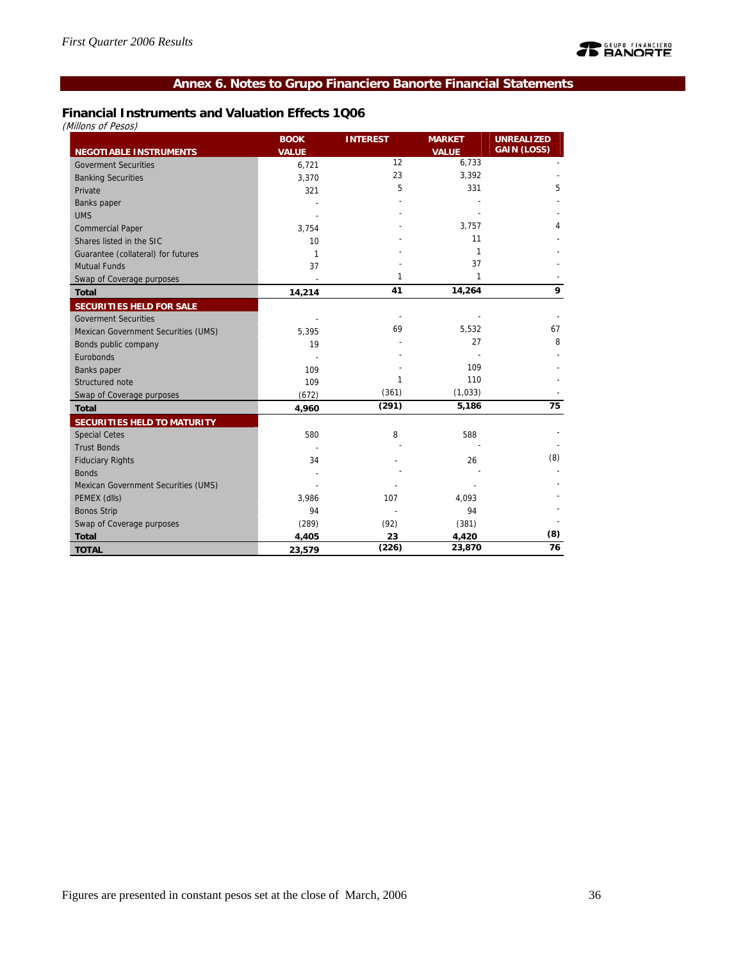# **Annex 6. Notes to Grupo Financiero Banorte Financial Statements**

# **Financial Instruments and Valuation Effects 1Q06**

(Millons of Pesos)

|                                     | <b>BOOK</b>  | <b>INTEREST</b> | <b>MARKET</b> | <b>UNREALIZED</b>  |
|-------------------------------------|--------------|-----------------|---------------|--------------------|
| <b>NEGOTIABLE INSTRUMENTS</b>       | <b>VALUE</b> |                 | <b>VALUE</b>  | <b>GAIN (LOSS)</b> |
| <b>Goverment Securities</b>         | 6,721        | 12              | 6,733         |                    |
| <b>Banking Securities</b>           | 3,370        | 23              | 3,392         |                    |
| Private                             | 321          | 5               | 331           | 5                  |
| Banks paper                         |              |                 |               |                    |
| <b>UMS</b>                          |              |                 |               |                    |
| <b>Commercial Paper</b>             | 3,754        |                 | 3,757         | 4                  |
| Shares listed in the SIC            | 10           |                 | 11            |                    |
| Guarantee (collateral) for futures  | 1            |                 | 1             |                    |
| <b>Mutual Funds</b>                 | 37           |                 | 37            |                    |
| Swap of Coverage purposes           |              | 1               | 1             |                    |
| <b>Total</b>                        | 14,214       | 41              | 14,264        | 9                  |
| <b>SECURITIES HELD FOR SALE</b>     |              |                 |               |                    |
| <b>Goverment Securities</b>         |              |                 |               |                    |
| Mexican Government Securities (UMS) | 5.395        | 69              | 5,532         | 67                 |
| Bonds public company                | 19           |                 | 27            | 8                  |
| Eurobonds                           |              |                 |               |                    |
| Banks paper                         | 109          |                 | 109           |                    |
| Structured note                     | 109          | 1               | 110           |                    |
| Swap of Coverage purposes           | (672)        | (361)           | (1,033)       |                    |
| <b>Total</b>                        | 4,960        | (291)           | 5,186         | 75                 |
| SECURITIES HELD TO MATURITY         |              |                 |               |                    |
| <b>Special Cetes</b>                | 580          | 8               | 588           |                    |
| <b>Trust Bonds</b>                  |              |                 |               |                    |
| <b>Fiduciary Rights</b>             | 34           |                 | 26            | (8)                |
| <b>Bonds</b>                        |              |                 |               |                    |
| Mexican Government Securities (UMS) |              |                 |               |                    |
| PEMEX (dlls)                        | 3,986        | 107             | 4,093         |                    |
| <b>Bonos Strip</b>                  | 94           |                 | 94            |                    |
| Swap of Coverage purposes           | (289)        | (92)            | (381)         |                    |
| <b>Total</b>                        | 4,405        | 23              | 4,420         | (8)                |
| <b>TOTAL</b>                        | 23,579       | (226)           | 23,870        | 76                 |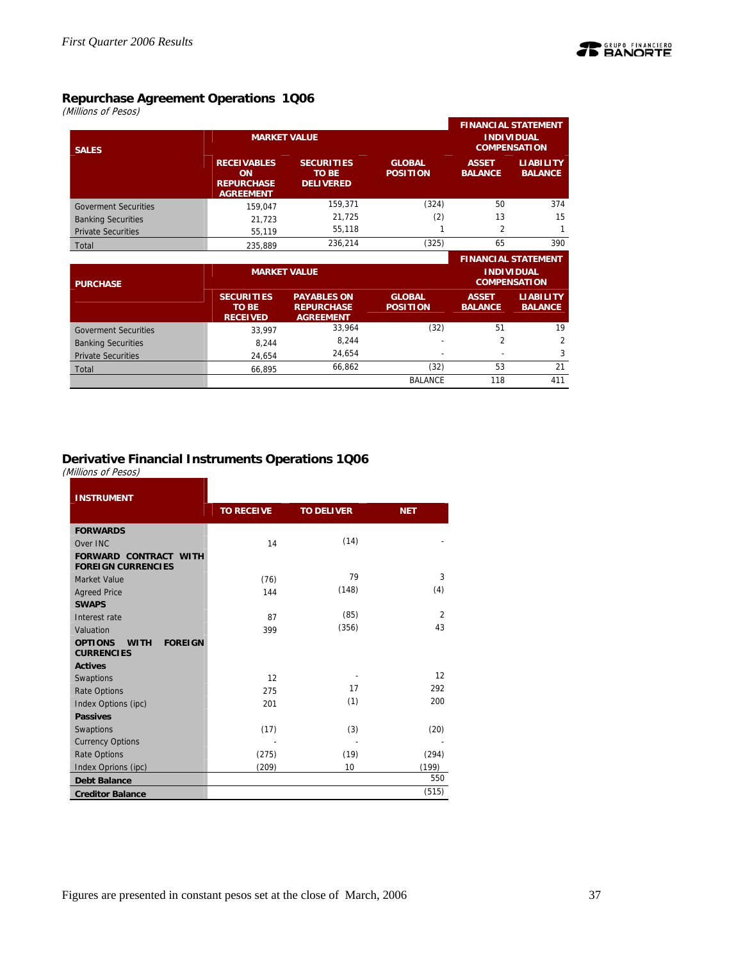

(Millions of Pesos)

| <b>SALES</b>                | <b>MARKET VALUE</b>                                                      |                                                       |                                  | <b>FINANCIAL STATEMENT</b><br><b>INDIVIDUAL</b><br><b>COMPENSATION</b> |                                    |  |
|-----------------------------|--------------------------------------------------------------------------|-------------------------------------------------------|----------------------------------|------------------------------------------------------------------------|------------------------------------|--|
|                             | <b>RECEIVABLES</b><br><b>ON</b><br><b>REPURCHASE</b><br><b>AGREEMENT</b> | <b>SECURITIES</b><br><b>TO BE</b><br><b>DELIVERED</b> | <b>GLOBAL</b><br><b>POSITION</b> | <b>ASSET</b><br><b>BALANCE</b>                                         | <b>LIABILITY</b><br><b>BALANCE</b> |  |
| <b>Goverment Securities</b> | 159,047                                                                  | 159.371                                               | (324)                            | 50                                                                     | 374                                |  |
| <b>Banking Securities</b>   | 21.723                                                                   | 21,725                                                | (2)                              | 13                                                                     | 15                                 |  |
| <b>Private Securities</b>   | 55,119                                                                   | 55,118                                                |                                  |                                                                        |                                    |  |
| Total                       | 235.889                                                                  | 236.214                                               | (325)                            | 65                                                                     | 390                                |  |
|                             |                                                                          |                                                       |                                  |                                                                        |                                    |  |

|                             |                                               |                                                             |                                  |                                          | <b>FINANCIAL STATEMENT</b>         |
|-----------------------------|-----------------------------------------------|-------------------------------------------------------------|----------------------------------|------------------------------------------|------------------------------------|
| <b>PURCHASE</b>             |                                               | <b>MARKET VALUE</b>                                         |                                  | <b>INDIVIDUAL</b><br><b>COMPENSATION</b> |                                    |
|                             | <b>SECURITIES</b><br>TO BE<br><b>RECEIVED</b> | <b>PAYABLES ON</b><br><b>REPURCHASE</b><br><b>AGREEMENT</b> | <b>GLOBAL</b><br><b>POSITION</b> | <b>ASSET</b><br><b>BALANCE</b>           | <b>LIABILITY</b><br><b>BALANCE</b> |
| <b>Goverment Securities</b> | 33.997                                        | 33,964                                                      | (32)                             | 51                                       | 19                                 |
| <b>Banking Securities</b>   | 8.244                                         | 8.244                                                       |                                  | 2                                        | 2                                  |
| <b>Private Securities</b>   | 24.654                                        | 24.654                                                      |                                  |                                          | 3                                  |
| Total                       | 66.895                                        | 66.862                                                      | (32)                             | 53                                       | 21                                 |
|                             |                                               |                                                             | <b>BALANCE</b>                   | 118                                      | 411                                |

# **Derivative Financial Instruments Operations 1Q06**

(Millions of Pesos)

| <b>INSTRUMENT</b>                                                    |                   |                   |                |
|----------------------------------------------------------------------|-------------------|-------------------|----------------|
|                                                                      | <b>TO RECEIVE</b> | <b>TO DELIVER</b> | <b>NET</b>     |
| <b>FORWARDS</b>                                                      |                   |                   |                |
| Over INC                                                             | 14                | (14)              |                |
| <b>FORWARD CONTRACT WITH</b><br><b>FOREIGN CURRENCIES</b>            |                   |                   |                |
| Market Value                                                         | (76)              | 79                | 3              |
| <b>Agreed Price</b>                                                  | 144               | (148)             | (4)            |
| <b>SWAPS</b>                                                         |                   |                   |                |
| Interest rate                                                        | 87                | (85)              | $\overline{2}$ |
| Valuation                                                            | 399               | (356)             | 43             |
| <b>OPTIONS</b><br><b>FOREIGN</b><br><b>WITH</b><br><b>CURRENCIES</b> |                   |                   |                |
| <b>Actives</b>                                                       |                   |                   |                |
| Swaptions                                                            | 12                |                   | 12             |
| <b>Rate Options</b>                                                  | 275               | 17                | 292            |
| Index Options (ipc)                                                  | 201               | (1)               | 200            |
| <b>Passives</b>                                                      |                   |                   |                |
| Swaptions                                                            | (17)              | (3)               | (20)           |
| <b>Currency Options</b>                                              |                   |                   |                |
| <b>Rate Options</b>                                                  | (275)             | (19)              | (294)          |
| Index Oprions (ipc)                                                  | (209)             | 10                | (199)          |
| <b>Debt Balance</b>                                                  |                   |                   | 550            |
| <b>Creditor Balance</b>                                              |                   |                   | (515)          |

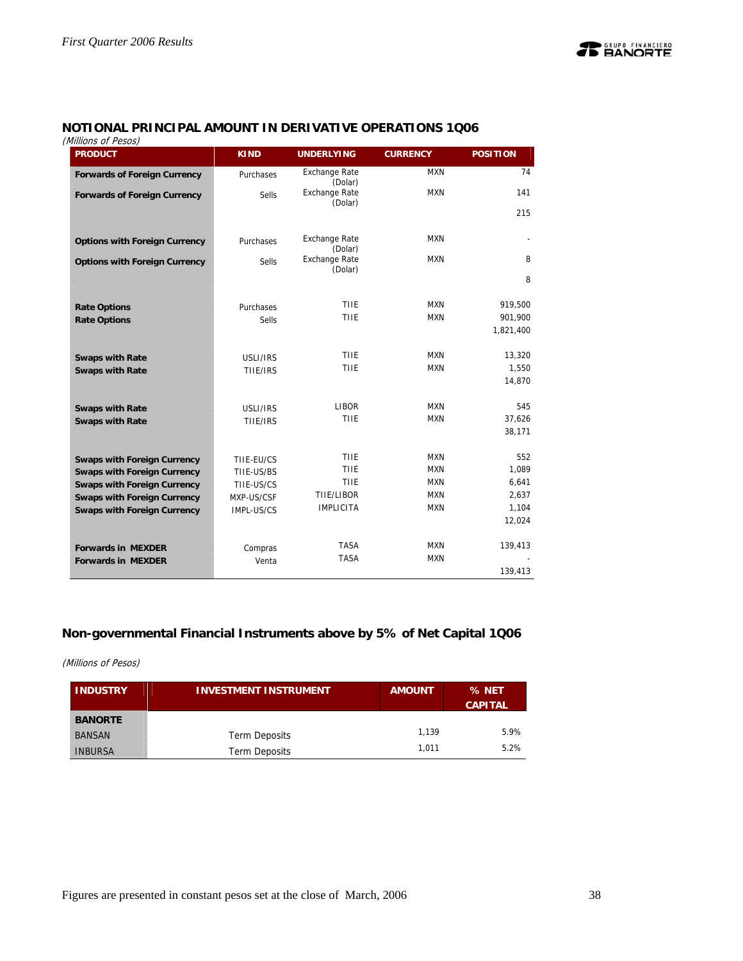

# **NOTIONAL PRINCIPAL AMOUNT IN DERIVATIVE OPERATIONS 1Q06**

(Millions of Pesos)

| נטנס ו וט נווווווווווווווווווו<br><b>PRODUCT</b> | <b>KIND</b> | <b>UNDERLYING</b>               | <b>CURRENCY</b> | <b>POSITION</b> |
|--------------------------------------------------|-------------|---------------------------------|-----------------|-----------------|
| <b>Forwards of Foreign Currency</b>              | Purchases   | <b>Exchange Rate</b><br>(Dolar) | <b>MXN</b>      | 74              |
| <b>Forwards of Foreign Currency</b>              | Sells       | <b>Exchange Rate</b>            | <b>MXN</b>      | 141             |
|                                                  |             | (Dolar)                         |                 | 215             |
|                                                  |             | <b>Exchange Rate</b>            | <b>MXN</b>      |                 |
| <b>Options with Foreign Currency</b>             | Purchases   | (Dolar)                         |                 |                 |
| <b>Options with Foreign Currency</b>             | Sells       | <b>Exchange Rate</b><br>(Dolar) | <b>MXN</b>      | 8               |
|                                                  |             |                                 |                 | 8               |
| <b>Rate Options</b>                              | Purchases   | TIIE                            | <b>MXN</b>      | 919,500         |
| <b>Rate Options</b>                              | Sells       | TIIE                            | <b>MXN</b>      | 901,900         |
|                                                  |             |                                 |                 | 1,821,400       |
| <b>Swaps with Rate</b>                           | USLI/IRS    | TIIE                            | MXN             | 13,320          |
| <b>Swaps with Rate</b>                           | TIIE/IRS    | TIIE                            | <b>MXN</b>      | 1,550           |
|                                                  |             |                                 |                 | 14,870          |
| <b>Swaps with Rate</b>                           | USLI/IRS    | <b>LIBOR</b>                    | MXN             | 545             |
| <b>Swaps with Rate</b>                           | TIIE/IRS    | TIIE                            | <b>MXN</b>      | 37,626          |
|                                                  |             |                                 |                 | 38,171          |
| <b>Swaps with Foreign Currency</b>               | TIIE-EU/CS  | TIIE                            | <b>MXN</b>      | 552             |
| <b>Swaps with Foreign Currency</b>               | TIIE-US/BS  | TIIE                            | <b>MXN</b>      | 1,089           |
| <b>Swaps with Foreign Currency</b>               | TIIE-US/CS  | TIIE                            | <b>MXN</b>      | 6,641           |
| <b>Swaps with Foreign Currency</b>               | MXP-US/CSF  | TIIE/LIBOR                      | <b>MXN</b>      | 2,637           |
| <b>Swaps with Foreign Currency</b>               | IMPL-US/CS  | <b>IMPLICITA</b>                | <b>MXN</b>      | 1,104           |
|                                                  |             |                                 |                 | 12,024          |
| <b>Forwards in MEXDER</b>                        | Compras     | <b>TASA</b>                     | <b>MXN</b>      | 139,413         |
| <b>Forwards in MEXDER</b>                        | Venta       | <b>TASA</b>                     | <b>MXN</b>      |                 |
|                                                  |             |                                 |                 | 139,413         |

# **Non-governmental Financial Instruments above by 5% of Net Capital 1Q06**

### (Millions of Pesos)

| <b>INDUSTRY</b> | <b>INVESTMENT INSTRUMENT</b> | <b>AMOUNT</b> | % NET<br><b>CAPITAL</b> |
|-----------------|------------------------------|---------------|-------------------------|
| <b>BANORTE</b>  |                              |               |                         |
| <b>BANSAN</b>   | Term Deposits                | 1.139         | 5.9%                    |
| <b>INBURSA</b>  | <b>Term Deposits</b>         | 1.011         | 5.2%                    |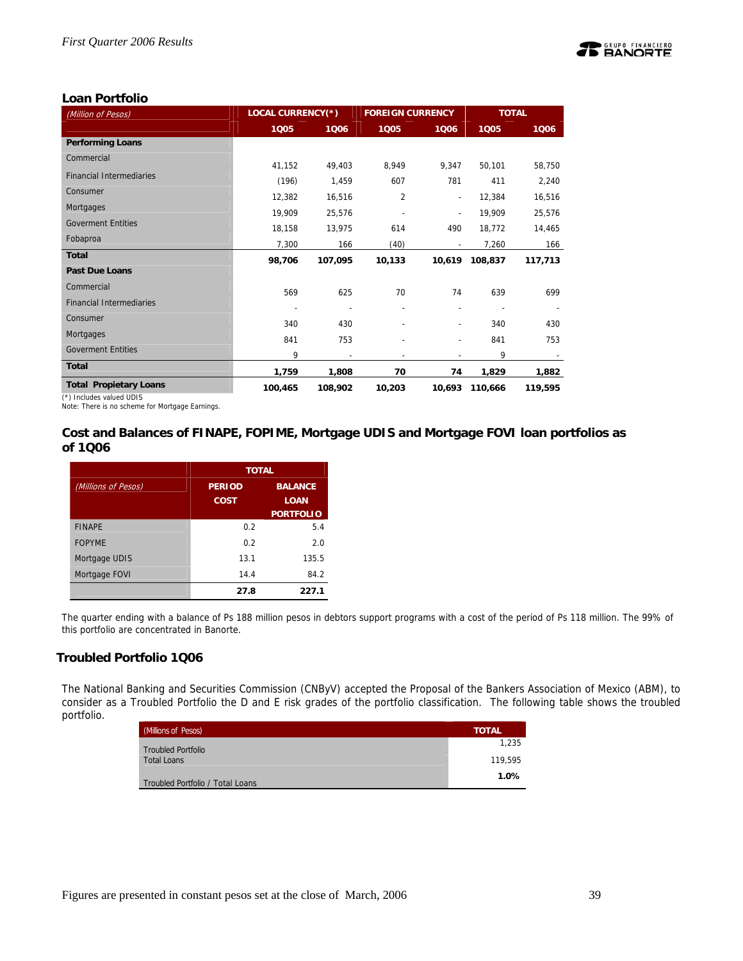

# **Loan Portfolio**

| (Million of Pesos)              | LOCAL CURRENCY(*) |         | <b>FOREIGN CURRENCY</b> |                          | <b>TOTAL</b> |         |
|---------------------------------|-------------------|---------|-------------------------|--------------------------|--------------|---------|
|                                 | 1005              | 1006    | 1005                    | 1006                     | 1005         | 1006    |
| <b>Performing Loans</b>         |                   |         |                         |                          |              |         |
| Commercial                      | 41,152            | 49,403  | 8,949                   | 9.347                    | 50,101       | 58,750  |
| <b>Financial Intermediaries</b> | (196)             | 1,459   | 607                     | 781                      | 411          | 2,240   |
| Consumer                        | 12,382            | 16,516  | $\overline{2}$          | $\overline{\phantom{a}}$ | 12,384       | 16,516  |
| Mortgages                       | 19,909            | 25,576  |                         | $\overline{\phantom{a}}$ | 19,909       | 25,576  |
| <b>Goverment Entities</b>       | 18,158            | 13,975  | 614                     | 490                      | 18,772       | 14,465  |
| Fobaproa                        | 7,300             | 166     | (40)                    |                          | 7,260        | 166     |
| <b>Total</b>                    | 98,706            | 107,095 | 10,133                  | 10,619                   | 108,837      | 117,713 |
| <b>Past Due Loans</b>           |                   |         |                         |                          |              |         |
| Commercial                      | 569               | 625     | 70                      | 74                       | 639          | 699     |
| <b>Financial Intermediaries</b> |                   |         |                         | $\overline{a}$           |              |         |
| Consumer                        | 340               | 430     |                         |                          | 340          | 430     |
| Mortgages                       | 841               | 753     |                         |                          | 841          | 753     |
| <b>Goverment Entities</b>       | 9                 |         |                         |                          | 9            |         |
| <b>Total</b>                    | 1,759             | 1,808   | 70                      | 74                       | 1,829        | 1,882   |
| <b>Total Propietary Loans</b>   | 100,465           | 108,902 | 10,203                  | 10,693                   | 110,666      | 119,595 |

(\*) Includes valued UDIS

Note: There is no scheme for Mortgage Earnings.

# **Cost and Balances of FINAPE, FOPIME, Mortgage UDIS and Mortgage FOVI loan portfolios as of 1Q06**

|                     |                              | <b>TOTAL</b>                  |  |  |  |
|---------------------|------------------------------|-------------------------------|--|--|--|
| (Millions of Pesos) | <b>PERIOD</b><br><b>COST</b> | <b>BALANCE</b><br><b>LOAN</b> |  |  |  |
|                     |                              | <b>PORTFOLIO</b>              |  |  |  |
| <b>FINAPE</b>       | 0.2                          | 5.4                           |  |  |  |
| <b>FOPYME</b>       | 0.2                          | 2.0                           |  |  |  |
| Mortgage UDIS       | 13.1                         | 135.5                         |  |  |  |
| Mortgage FOVI       | 14.4                         | 84.2                          |  |  |  |
|                     | 27.8                         | 227.1                         |  |  |  |

The quarter ending with a balance of Ps 188 million pesos in debtors support programs with a cost of the period of Ps 118 million. The 99% of this portfolio are concentrated in Banorte.

# **Troubled Portfolio 1Q06**

The National Banking and Securities Commission (CNByV) accepted the Proposal of the Bankers Association of Mexico (ABM), to consider as a Troubled Portfolio the D and E risk grades of the portfolio classification. The following table shows the troubled portfolio.

| <b>Millions of Pesos)</b>        | <b>TOTAL</b> |
|----------------------------------|--------------|
| <b>Troubled Portfolio</b>        | 1.235        |
| <b>Total Loans</b>               | 119,595      |
| Troubled Portfolio / Total Loans | 1.0%         |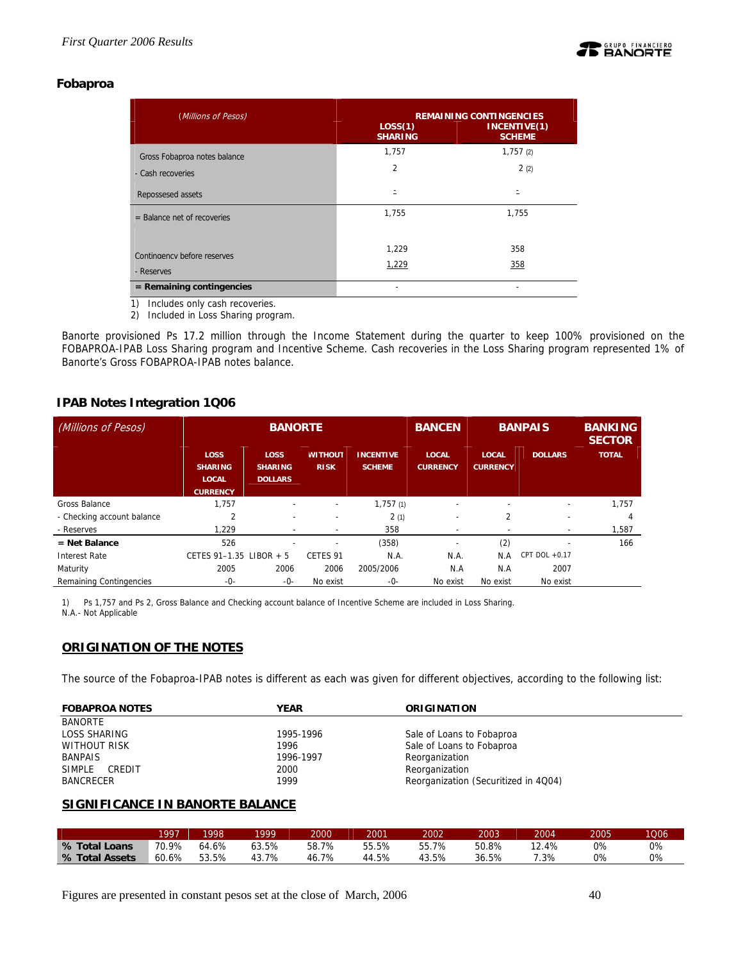

# **Fobaproa**

| (Millions of Pesos)           | LOS(1)<br><b>SHARING</b> | <b>REMAINING CONTINGENCIES</b><br>INCENTIVE(1)<br><b>SCHEME</b> |
|-------------------------------|--------------------------|-----------------------------------------------------------------|
| Gross Fobaproa notes balance  | 1,757                    | 1,757(2)                                                        |
| - Cash recoveries             | $\overline{2}$           | 2(2)                                                            |
| Repossesed assets             | $\equiv$                 |                                                                 |
| $=$ Balance net of recoveries | 1,755                    | 1,755                                                           |
|                               |                          |                                                                 |
| Contingency before reserves   | 1,229                    | 358                                                             |
| - Reserves                    | 1,229                    | 358                                                             |
| $=$ Remaining contingencies   |                          |                                                                 |

1) Includes only cash recoveries.

2) Included in Loss Sharing program.

Banorte provisioned Ps 17.2 million through the Income Statement during the quarter to keep 100% provisioned on the FOBAPROA-IPAB Loss Sharing program and Incentive Scheme. Cash recoveries in the Loss Sharing program represented 1% of Banorte's Gross FOBAPROA-IPAB notes balance.

# **IPAB Notes Integration 1Q06**

| (Millions of Pesos)        |                                                                  |                                                 | <b>BANORTE</b>                                                     |           | <b>BANCEN</b>                   | <b>BANPAIS</b>                  | <b>BANKING</b><br><b>SECTOR</b> |              |
|----------------------------|------------------------------------------------------------------|-------------------------------------------------|--------------------------------------------------------------------|-----------|---------------------------------|---------------------------------|---------------------------------|--------------|
|                            | <b>LOSS</b><br><b>SHARING</b><br><b>LOCAL</b><br><b>CURRENCY</b> | <b>LOSS</b><br><b>SHARING</b><br><b>DOLLARS</b> | <b>WITHOUT</b><br><b>INCENTIVE</b><br><b>RISK</b><br><b>SCHEME</b> |           | <b>LOCAL</b><br><b>CURRENCY</b> | <b>LOCAL</b><br><b>CURRENCY</b> | <b>DOLLARS</b>                  | <b>TOTAL</b> |
| Gross Balance              | 1.757                                                            |                                                 |                                                                    | 1,757(1)  |                                 |                                 | $\overline{\phantom{a}}$        | 1.757        |
| - Checking account balance | $\overline{2}$                                                   |                                                 |                                                                    | 2(1)      | $\overline{\phantom{0}}$        | 2                               | $\overline{\phantom{a}}$        | 4            |
| - Reserves                 | 1.229                                                            |                                                 |                                                                    | 358       |                                 |                                 | $\overline{\phantom{a}}$        | 1,587        |
| $=$ Net Balance            | 526                                                              | $\overline{\phantom{a}}$                        |                                                                    | (358)     |                                 | (2)                             | $\overline{\phantom{a}}$        | 166          |
| <b>Interest Rate</b>       | CETES 91-1.35 LIBOR + 5                                          |                                                 | CETES 91                                                           | N.A.      | N.A.                            | N.A                             | CPT DOL +0.17                   |              |
| Maturity                   | 2005                                                             | 2006                                            | 2006                                                               | 2005/2006 | N.A                             | N.A                             | 2007                            |              |
| Remaining Contingencies    | -0-                                                              | -0-                                             | No exist                                                           | -0-       | No exist                        | No exist                        | No exist                        |              |

1) Ps 1,757 and Ps 2, Gross Balance and Checking account balance of Incentive Scheme are included in Loss Sharing. N.A.- Not Applicable

# **ORIGINATION OF THE NOTES**

The source of the Fobaproa-IPAB notes is different as each was given for different objectives, according to the following list:

| <b>FOBAPROA NOTES</b> | YEAR      | <b>ORIGINATION</b>                   |  |
|-----------------------|-----------|--------------------------------------|--|
| <b>BANORTE</b>        |           |                                      |  |
| LOSS SHARING          | 1995-1996 | Sale of Loans to Fobaproa            |  |
| <b>WITHOUT RISK</b>   | 1996      | Sale of Loans to Fobaproa            |  |
| <b>BANPAIS</b>        | 1996-1997 | Reorganization                       |  |
| SIMPLE CREDIT         | 2000      | Reorganization                       |  |
| <b>BANCRECER</b>      | 1999      | Reorganization (Securitized in 4Q04) |  |

# **SIGNIFICANCE IN BANORTE BALANCE**

|                | 1997  | 1998  | 1999'     | 2000  | 2001  | 2002  | 2003  | 2004  | 2005 | 1006 <sub>1</sub> |
|----------------|-------|-------|-----------|-------|-------|-------|-------|-------|------|-------------------|
| % Total Loans  | 70.9% | 64.6% | 63.5%     | 58.7% | 55.5% | 55.7% | 50.8% | 12.4% | 0%   | 0%                |
| % Total Assets | 60.6% | 53.5% | 7%<br>43. | 46.7% | 44.5% | 43.5% | 36.5% | 7.3%  | 0%   | 0%                |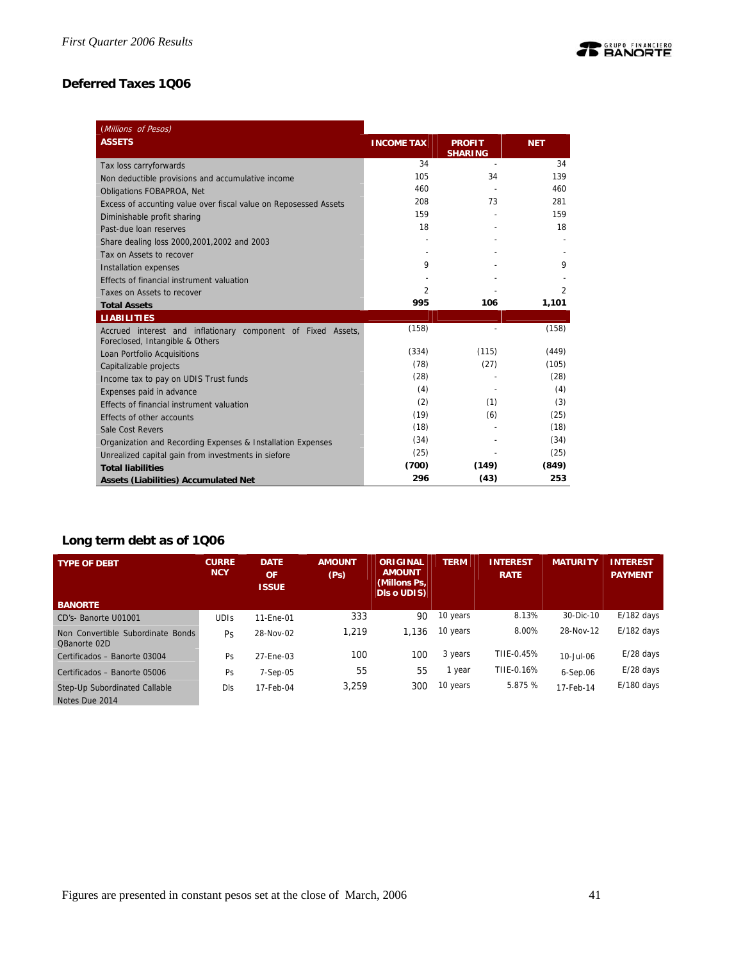# **Deferred Taxes 1Q06**

| (Millions of Pesos)                                                                             |                   |                                 |                |
|-------------------------------------------------------------------------------------------------|-------------------|---------------------------------|----------------|
| <b>ASSETS</b>                                                                                   | <b>INCOME TAX</b> | <b>PROFIT</b><br><b>SHARING</b> | <b>NET</b>     |
| Tax loss carryforwards                                                                          | 34                |                                 | 34             |
| Non deductible provisions and accumulative income                                               | 105               | 34                              | 139            |
| Obligations FOBAPROA, Net                                                                       | 460               |                                 | 460            |
| Excess of accunting value over fiscal value on Reposessed Assets                                | 208               | 73                              | 281            |
| Diminishable profit sharing                                                                     | 159               |                                 | 159            |
| Past-due loan reserves                                                                          | 18                |                                 | 18             |
| Share dealing loss 2000, 2001, 2002 and 2003                                                    |                   |                                 |                |
| Tax on Assets to recover                                                                        |                   |                                 |                |
| <b>Installation expenses</b>                                                                    | 9                 |                                 | 9              |
| Effects of financial instrument valuation                                                       |                   |                                 |                |
| Taxes on Assets to recover                                                                      | 2                 |                                 | $\overline{2}$ |
| <b>Total Assets</b>                                                                             | 995               | 106                             | 1,101          |
| <b>LIABILITIES</b>                                                                              |                   |                                 |                |
| Accrued interest and inflationary component of Fixed Assets,<br>Foreclosed, Intangible & Others | (158)             |                                 | (158)          |
| Loan Portfolio Acquisitions                                                                     | (334)             | (115)                           | (449)          |
| Capitalizable projects                                                                          | (78)              | (27)                            | (105)          |
| Income tax to pay on UDIS Trust funds                                                           | (28)              |                                 | (28)           |
| Expenses paid in advance                                                                        | (4)               |                                 | (4)            |
| Effects of financial instrument valuation                                                       | (2)               | (1)                             | (3)            |
| Effects of other accounts                                                                       | (19)              | (6)                             | (25)           |
| Sale Cost Revers                                                                                | (18)              |                                 | (18)           |
| Organization and Recording Expenses & Installation Expenses                                     | (34)              |                                 | (34)           |
| Unrealized capital gain from investments in siefore                                             | (25)              |                                 | (25)           |
| <b>Total liabilities</b>                                                                        | (700)             | (149)                           | (849)          |
| <b>Assets (Liabilities) Accumulated Net</b>                                                     | 296               | (43)                            | 253            |

# **Long term debt as of 1Q06**

| <b>TYPE OF DEBT</b>                               | <b>CURRE</b><br><b>NCY</b> | <b>DATE</b><br><b>OF</b><br><b>ISSUE</b> | <b>AMOUNT</b><br>(Ps) | ORIGINAL<br><b>AMOUNT</b><br>(Millons Ps,<br><b>DIS o UDIS)</b> | <b>TERM</b> | <b>INTEREST</b><br><b>RATE</b> | <b>MATURITY</b> | <b>INTEREST</b><br><b>PAYMENT</b> |
|---------------------------------------------------|----------------------------|------------------------------------------|-----------------------|-----------------------------------------------------------------|-------------|--------------------------------|-----------------|-----------------------------------|
| <b>BANORTE</b>                                    |                            |                                          |                       |                                                                 |             |                                |                 |                                   |
| CD's-Banorte U01001                               | <b>UDIS</b>                | 11-Ene-01                                | 333                   | 90                                                              | 10 years    | 8.13%                          | 30-Dic-10       | $E/182$ days                      |
| Non Convertible Subordinate Bonds<br>QBanorte 02D | Ps                         | 28-Nov-02                                | 1.219                 | 1.136                                                           | 10 years    | 8.00%                          | 28-Nov-12       | $E/182$ days                      |
| Certificados - Banorte 03004                      | Ps                         | 27-Ene-03                                | 100                   | 100                                                             | 3 years     | TIIE-0.45%                     | 10-Jul-06       | $E/28$ days                       |
| Certificados - Banorte 05006                      | Ps                         | $7-Sep-05$                               | 55                    | 55                                                              | 1 year      | TIIE-0.16%                     | $6-Sep.06$      | $E/28$ days                       |
| Step-Up Subordinated Callable<br>Notes Due 2014   | <b>DIs</b>                 | 17-Feb-04                                | 3.259                 | 300                                                             | 10 years    | 5.875 %                        | 17-Feb-14       | $E/180$ days                      |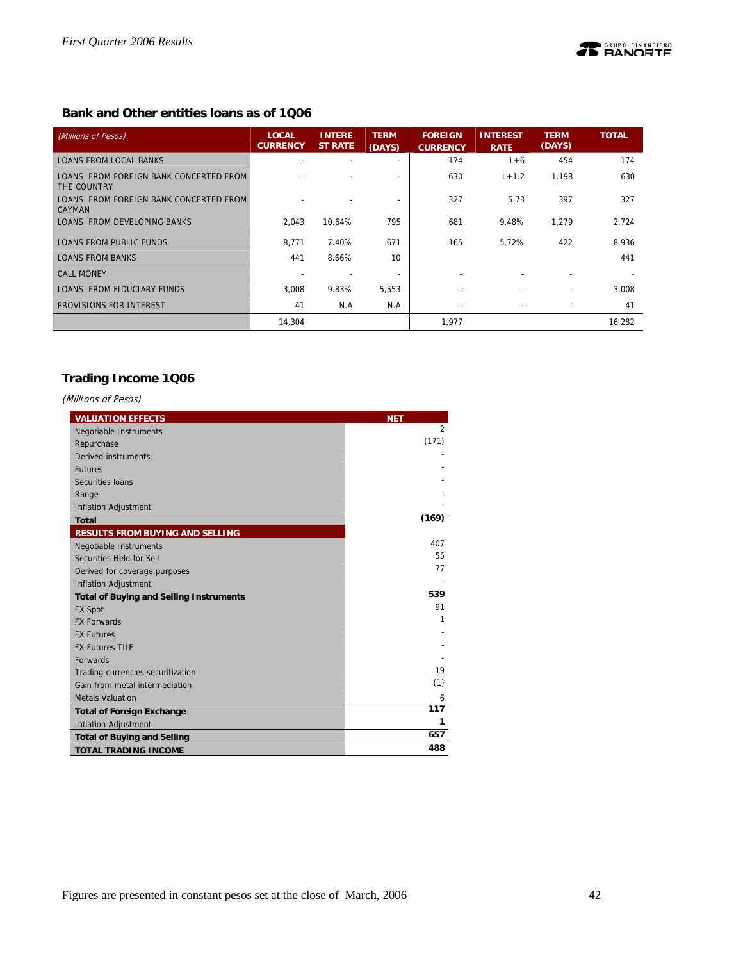# **Bank and Other entities loans as of 1Q06**

| (Millions of Pesos)                                   | <b>LOCAL</b><br><b>CURRENCY</b> | <b>INTERE</b><br><b>ST RATE</b> | <b>TERM</b><br>(DAYS)    | <b>FOREIGN</b><br><b>CURRENCY</b> | <b>INTEREST</b><br><b>RATE</b> | <b>TERM</b><br>(DAYS)    | <b>TOTAL</b> |
|-------------------------------------------------------|---------------------------------|---------------------------------|--------------------------|-----------------------------------|--------------------------------|--------------------------|--------------|
| <b>LOANS FROM LOCAL BANKS</b>                         | $\overline{\phantom{0}}$        | $\overline{\phantom{0}}$        |                          | 174                               | $L+6$                          | 454                      | 174          |
| LOANS FROM FOREIGN BANK CONCERTED FROM<br>THE COUNTRY |                                 |                                 |                          | 630                               | $L + 1.2$                      | 1,198                    | 630          |
| LOANS FROM FOREIGN BANK CONCERTED FROM<br>CAYMAN      |                                 |                                 |                          | 327                               | 5.73                           | 397                      | 327          |
| LOANS FROM DEVELOPING BANKS                           | 2.043                           | 10.64%                          | 795                      | 681                               | 9.48%                          | 1.279                    | 2.724        |
| LOANS FROM PUBLIC FUNDS                               | 8.771                           | 7.40%                           | 671                      | 165                               | 5.72%                          | 422                      | 8,936        |
| <b>LOANS FROM BANKS</b>                               | 441                             | 8.66%                           | 10                       |                                   |                                |                          | 441          |
| <b>CALL MONEY</b>                                     |                                 |                                 | $\overline{\phantom{0}}$ |                                   |                                |                          |              |
| LOANS FROM FIDUCIARY FUNDS                            | 3,008                           | 9.83%                           | 5,553                    | $\overline{\phantom{a}}$          | $\overline{\phantom{a}}$       | $\overline{\phantom{a}}$ | 3.008        |
| PROVISIONS FOR INTEREST                               | 41                              | N.A                             | N.A                      | $\overline{\phantom{0}}$          |                                |                          | 41           |
|                                                       | 14.304                          |                                 |                          | 1,977                             |                                |                          | 16,282       |

# **Trading Income 1Q06**

# (MillIons of Pesos)

| <b>VALUATION EFFECTS</b>                       | <b>NET</b>     |
|------------------------------------------------|----------------|
| <b>Negotiable Instruments</b>                  | $\overline{2}$ |
| Repurchase                                     | (171)          |
| Derived instruments                            |                |
| <b>Futures</b>                                 |                |
| Securities Ioans                               |                |
| Range                                          |                |
| <b>Inflation Adjustment</b>                    |                |
| <b>Total</b>                                   | (169)          |
| <b>RESULTS FROM BUYING AND SELLING</b>         |                |
| Negotiable Instruments                         | 407            |
| Securities Held for Sell                       | 55             |
| Derived for coverage purposes                  | 77             |
| <b>Inflation Adjustment</b>                    |                |
| <b>Total of Buying and Selling Instruments</b> | 539            |
| <b>FX Spot</b>                                 | 91             |
| <b>FX Forwards</b>                             | 1              |
| <b>FX Futures</b>                              |                |
| <b>FX Futures TIIE</b>                         |                |
| <b>Forwards</b>                                |                |
| Trading currencies securitization              | 19             |
| Gain from metal intermediation                 | (1)            |
| <b>Metals Valuation</b>                        | 6              |
| <b>Total of Foreign Exchange</b>               | 117            |
| <b>Inflation Adjustment</b>                    | 1              |
| <b>Total of Buying and Selling</b>             | 657            |
| <b>TOTAL TRADING INCOME</b>                    | 488            |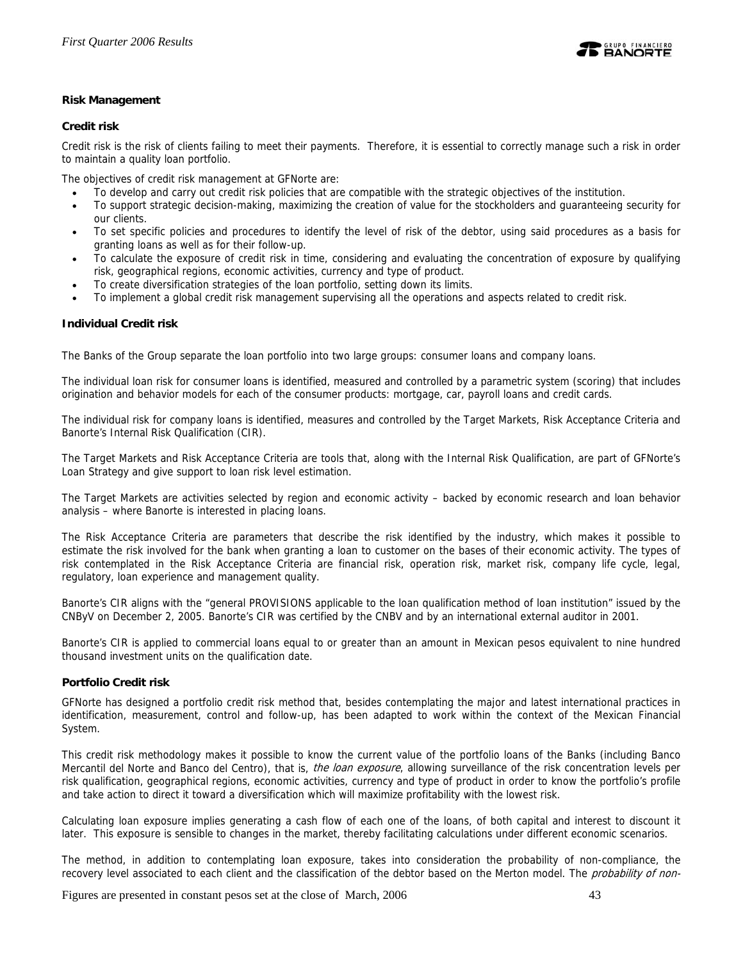

# **Risk Management**

### **Credit risk**

Credit risk is the risk of clients failing to meet their payments. Therefore, it is essential to correctly manage such a risk in order to maintain a quality loan portfolio.

The objectives of credit risk management at GFNorte are:

- To develop and carry out credit risk policies that are compatible with the strategic objectives of the institution.
- To support strategic decision-making, maximizing the creation of value for the stockholders and guaranteeing security for our clients.
- To set specific policies and procedures to identify the level of risk of the debtor, using said procedures as a basis for granting loans as well as for their follow-up.
- To calculate the exposure of credit risk in time, considering and evaluating the concentration of exposure by qualifying risk, geographical regions, economic activities, currency and type of product.
- To create diversification strategies of the loan portfolio, setting down its limits.
- To implement a global credit risk management supervising all the operations and aspects related to credit risk.

### **Individual Credit risk**

The Banks of the Group separate the loan portfolio into two large groups: consumer loans and company loans.

The individual loan risk for consumer loans is identified, measured and controlled by a parametric system (scoring) that includes origination and behavior models for each of the consumer products: mortgage, car, payroll loans and credit cards.

The individual risk for company loans is identified, measures and controlled by the Target Markets, Risk Acceptance Criteria and Banorte's Internal Risk Qualification (CIR).

The Target Markets and Risk Acceptance Criteria are tools that, along with the Internal Risk Qualification, are part of GFNorte's Loan Strategy and give support to loan risk level estimation.

The Target Markets are activities selected by region and economic activity – backed by economic research and loan behavior analysis – where Banorte is interested in placing loans.

The Risk Acceptance Criteria are parameters that describe the risk identified by the industry, which makes it possible to estimate the risk involved for the bank when granting a loan to customer on the bases of their economic activity. The types of risk contemplated in the Risk Acceptance Criteria are financial risk, operation risk, market risk, company life cycle, legal, regulatory, loan experience and management quality.

Banorte's CIR aligns with the "general PROVISIONS applicable to the loan qualification method of loan institution" issued by the CNByV on December 2, 2005. Banorte's CIR was certified by the CNBV and by an international external auditor in 2001.

Banorte's CIR is applied to commercial loans equal to or greater than an amount in Mexican pesos equivalent to nine hundred thousand investment units on the qualification date.

### **Portfolio Credit risk**

GFNorte has designed a portfolio credit risk method that, besides contemplating the major and latest international practices in identification, measurement, control and follow-up, has been adapted to work within the context of the Mexican Financial System.

This credit risk methodology makes it possible to know the current value of the portfolio loans of the Banks (including Banco Mercantil del Norte and Banco del Centro), that is, the loan exposure, allowing surveillance of the risk concentration levels per risk qualification, geographical regions, economic activities, currency and type of product in order to know the portfolio's profile and take action to direct it toward a diversification which will maximize profitability with the lowest risk.

Calculating loan exposure implies generating a cash flow of each one of the loans, of both capital and interest to discount it later. This exposure is sensible to changes in the market, thereby facilitating calculations under different economic scenarios.

The method, in addition to contemplating loan exposure, takes into consideration the probability of non-compliance, the recovery level associated to each client and the classification of the debtor based on the Merton model. The probability of non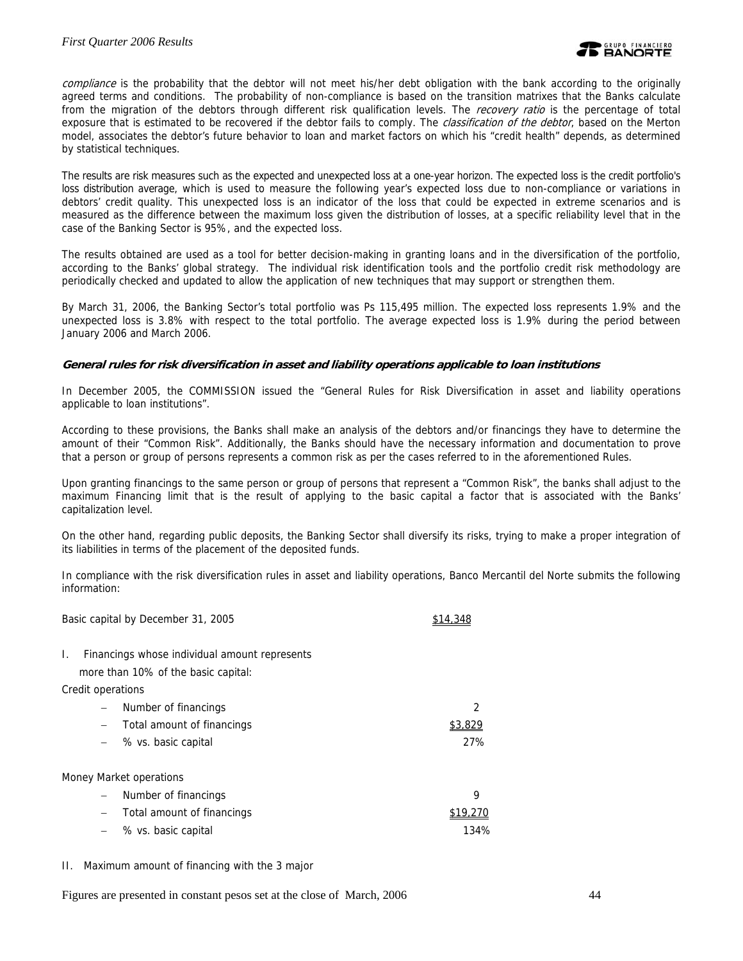compliance is the probability that the debtor will not meet his/her debt obligation with the bank according to the originally agreed terms and conditions. The probability of non-compliance is based on the transition matrixes that the Banks calculate from the migration of the debtors through different risk qualification levels. The recovery ratio is the percentage of total exposure that is estimated to be recovered if the debtor fails to comply. The *classification of the debtor*, based on the Merton model, associates the debtor's future behavior to loan and market factors on which his "credit health" depends, as determined by statistical techniques.

The results are risk measures such as the expected and unexpected loss at a one-year horizon. The expected loss is the credit portfolio's loss distribution average, which is used to measure the following year's expected loss due to non-compliance or variations in debtors' credit quality. This unexpected loss is an indicator of the loss that could be expected in extreme scenarios and is measured as the difference between the maximum loss given the distribution of losses, at a specific reliability level that in the case of the Banking Sector is 95%, and the expected loss.

The results obtained are used as a tool for better decision-making in granting loans and in the diversification of the portfolio, according to the Banks' global strategy. The individual risk identification tools and the portfolio credit risk methodology are periodically checked and updated to allow the application of new techniques that may support or strengthen them.

By March 31, 2006, the Banking Sector's total portfolio was Ps 115,495 million. The expected loss represents 1.9% and the unexpected loss is 3.8% with respect to the total portfolio. The average expected loss is 1.9% during the period between January 2006 and March 2006.

### **General rules for risk diversification in asset and liability operations applicable to loan institutions**

In December 2005, the COMMISSION issued the "General Rules for Risk Diversification in asset and liability operations applicable to loan institutions".

According to these provisions, the Banks shall make an analysis of the debtors and/or financings they have to determine the amount of their "Common Risk". Additionally, the Banks should have the necessary information and documentation to prove that a person or group of persons represents a common risk as per the cases referred to in the aforementioned Rules.

Upon granting financings to the same person or group of persons that represent a "Common Risk", the banks shall adjust to the maximum Financing limit that is the result of applying to the basic capital a factor that is associated with the Banks' capitalization level.

On the other hand, regarding public deposits, the Banking Sector shall diversify its risks, trying to make a proper integration of its liabilities in terms of the placement of the deposited funds.

In compliance with the risk diversification rules in asset and liability operations, Banco Mercantil del Norte submits the following information:

Basic capital by December 31, 2005 \$14,348

I. Financings whose individual amount represents

more than 10% of the basic capital:

Credit operations

| $\overline{\phantom{0}}$ | Number of financings       |         |
|--------------------------|----------------------------|---------|
| $-$                      | Total amount of financings | \$3.829 |
|                          | $-$ % vs. basic capital    | 27%     |
|                          |                            |         |
|                          | Money Market operations    |         |
| $\overline{\phantom{m}}$ | Number of financings       | q       |
| $\qquad \qquad -$        | Total amount of financings |         |
|                          |                            |         |

- − % vs. basic capital 134%
- II. Maximum amount of financing with the 3 major

Figures are presented in constant pesos set at the close of March, 2006 44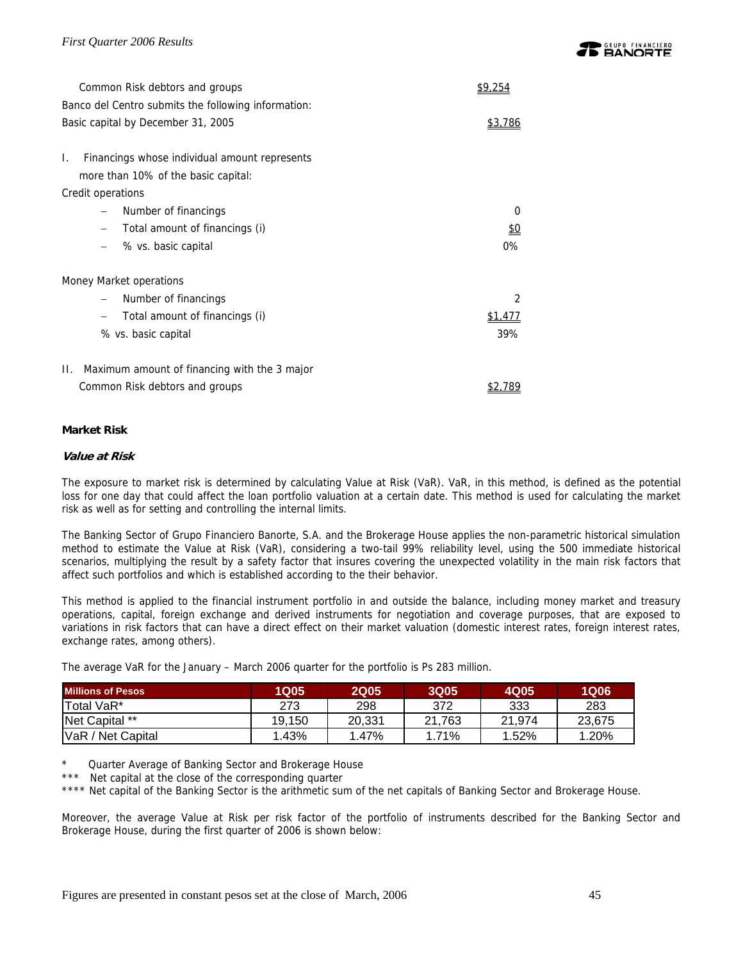| Common Risk debtors and groups                      | \$9.254       |
|-----------------------------------------------------|---------------|
| Banco del Centro submits the following information: |               |
| Basic capital by December 31, 2005                  | \$3.786       |
|                                                     |               |
| Financings whose individual amount represents<br>L. |               |
| more than 10% of the basic capital:                 |               |
| Credit operations                                   |               |
| Number of financings                                | 0             |
| Total amount of financings (i)                      | <u>ହ</u>      |
| % vs. basic capital                                 | 0%            |
| Money Market operations                             |               |
| Number of financings                                | $\mathcal{P}$ |
| Total amount of financings (i)                      | \$1.411       |
| % vs. basic capital                                 | 39%           |
|                                                     |               |
| Maximum amount of financing with the 3 major<br>Н.  |               |
| Common Risk debtors and groups                      | \$2.789       |

# **Market Risk**

# **Value at Risk**

The exposure to market risk is determined by calculating Value at Risk (VaR). VaR, in this method, is defined as the potential loss for one day that could affect the loan portfolio valuation at a certain date. This method is used for calculating the market risk as well as for setting and controlling the internal limits.

The Banking Sector of Grupo Financiero Banorte, S.A. and the Brokerage House applies the non-parametric historical simulation method to estimate the Value at Risk (VaR), considering a two-tail 99% reliability level, using the 500 immediate historical scenarios, multiplying the result by a safety factor that insures covering the unexpected volatility in the main risk factors that affect such portfolios and which is established according to the their behavior.

This method is applied to the financial instrument portfolio in and outside the balance, including money market and treasury operations, capital, foreign exchange and derived instruments for negotiation and coverage purposes, that are exposed to variations in risk factors that can have a direct effect on their market valuation (domestic interest rates, foreign interest rates, exchange rates, among others).

The average VaR for the January – March 2006 quarter for the portfolio is Ps 283 million.

| <b>Millions of Pesos</b> | <b>1Q05</b> | <b>2Q05</b> | <b>3Q05</b> | 4Q05   | <b>1Q06</b> |
|--------------------------|-------------|-------------|-------------|--------|-------------|
| Total VaR*               | 273         | 298         | 372         | 333    | 283         |
| Net Capital **           | 19.150      | 20.331      | 21.763      | 21.974 | 23,675      |
| VaR / Net Capital        | 1.43%       | 1.47%       | 1.71%       | 1.52%  | 1.20%       |

Quarter Average of Banking Sector and Brokerage House

\*\*\* Net capital at the close of the corresponding quarter

\*\*\*\* Net capital of the Banking Sector is the arithmetic sum of the net capitals of Banking Sector and Brokerage House.

Moreover, the average Value at Risk per risk factor of the portfolio of instruments described for the Banking Sector and Brokerage House, during the first quarter of 2006 is shown below: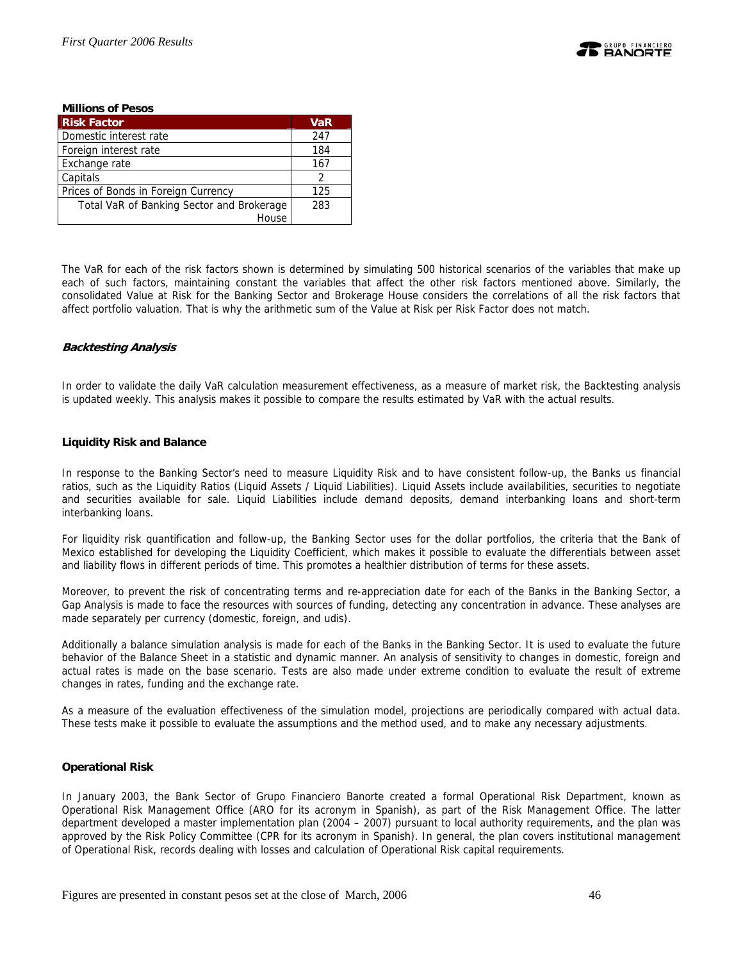

#### **Millions of Pesos Risk Factor VaR All Strategies (WaR**  $\sim$  VaR Domestic interest rate 247 Foreign interest rate 184 Exchange rate 167 Capitals 2 Prices of Bonds in Foreign Currency 125 Total VaR of Banking Sector and Brokerage House 283

The VaR for each of the risk factors shown is determined by simulating 500 historical scenarios of the variables that make up each of such factors, maintaining constant the variables that affect the other risk factors mentioned above. Similarly, the consolidated Value at Risk for the Banking Sector and Brokerage House considers the correlations of all the risk factors that affect portfolio valuation. That is why the arithmetic sum of the Value at Risk per Risk Factor does not match.

# **Backtesting Analysis**

In order to validate the daily VaR calculation measurement effectiveness, as a measure of market risk, the Backtesting analysis is updated weekly. This analysis makes it possible to compare the results estimated by VaR with the actual results.

# **Liquidity Risk and Balance**

In response to the Banking Sector's need to measure Liquidity Risk and to have consistent follow-up, the Banks us financial ratios, such as the Liquidity Ratios (Liquid Assets / Liquid Liabilities). Liquid Assets include availabilities, securities to negotiate and securities available for sale. Liquid Liabilities include demand deposits, demand interbanking loans and short-term interbanking loans.

For liquidity risk quantification and follow-up, the Banking Sector uses for the dollar portfolios, the criteria that the Bank of Mexico established for developing the Liquidity Coefficient, which makes it possible to evaluate the differentials between asset and liability flows in different periods of time. This promotes a healthier distribution of terms for these assets.

Moreover, to prevent the risk of concentrating terms and re-appreciation date for each of the Banks in the Banking Sector, a Gap Analysis is made to face the resources with sources of funding, detecting any concentration in advance. These analyses are made separately per currency (domestic, foreign, and udis).

Additionally a balance simulation analysis is made for each of the Banks in the Banking Sector. It is used to evaluate the future behavior of the Balance Sheet in a statistic and dynamic manner. An analysis of sensitivity to changes in domestic, foreign and actual rates is made on the base scenario. Tests are also made under extreme condition to evaluate the result of extreme changes in rates, funding and the exchange rate.

As a measure of the evaluation effectiveness of the simulation model, projections are periodically compared with actual data. These tests make it possible to evaluate the assumptions and the method used, and to make any necessary adjustments.

# **Operational Risk**

In January 2003, the Bank Sector of Grupo Financiero Banorte created a formal Operational Risk Department, known as Operational Risk Management Office (ARO for its acronym in Spanish), as part of the Risk Management Office. The latter department developed a master implementation plan (2004 – 2007) pursuant to local authority requirements, and the plan was approved by the Risk Policy Committee (CPR for its acronym in Spanish). In general, the plan covers institutional management of Operational Risk, records dealing with losses and calculation of Operational Risk capital requirements.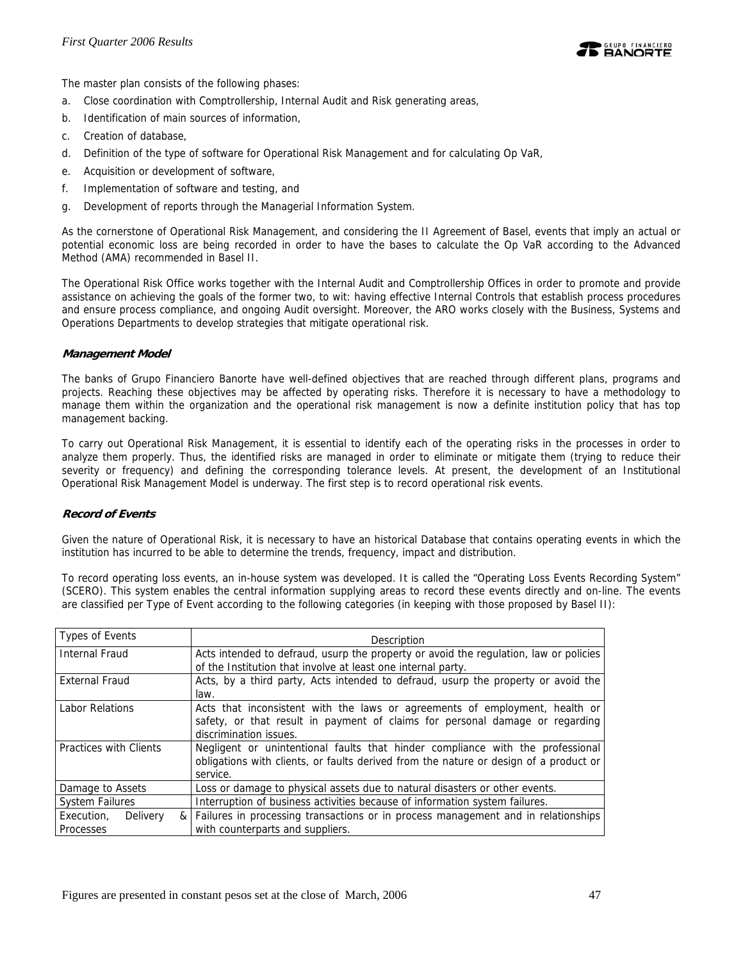

The master plan consists of the following phases:

- a. Close coordination with Comptrollership, Internal Audit and Risk generating areas,
- b. Identification of main sources of information,
- c. Creation of database,
- d. Definition of the type of software for Operational Risk Management and for calculating Op VaR,
- e. Acquisition or development of software,
- f. Implementation of software and testing, and
- g. Development of reports through the Managerial Information System.

As the cornerstone of Operational Risk Management, and considering the II Agreement of Basel, events that imply an actual or potential economic loss are being recorded in order to have the bases to calculate the Op VaR according to the Advanced Method (AMA) recommended in Basel II.

The Operational Risk Office works together with the Internal Audit and Comptrollership Offices in order to promote and provide assistance on achieving the goals of the former two, to wit: having effective Internal Controls that establish process procedures and ensure process compliance, and ongoing Audit oversight. Moreover, the ARO works closely with the Business, Systems and Operations Departments to develop strategies that mitigate operational risk.

### **Management Model**

The banks of Grupo Financiero Banorte have well-defined objectives that are reached through different plans, programs and projects. Reaching these objectives may be affected by operating risks. Therefore it is necessary to have a methodology to manage them within the organization and the operational risk management is now a definite institution policy that has top management backing.

To carry out Operational Risk Management, it is essential to identify each of the operating risks in the processes in order to analyze them properly. Thus, the identified risks are managed in order to eliminate or mitigate them (trying to reduce their severity or frequency) and defining the corresponding tolerance levels. At present, the development of an Institutional Operational Risk Management Model is underway. The first step is to record operational risk events.

# **Record of Events**

Given the nature of Operational Risk, it is necessary to have an historical Database that contains operating events in which the institution has incurred to be able to determine the trends, frequency, impact and distribution.

To record operating loss events, an in-house system was developed. It is called the "Operating Loss Events Recording System" (SCERO). This system enables the central information supplying areas to record these events directly and on-line. The events are classified per Type of Event according to the following categories (in keeping with those proposed by Basel II):

| <b>Types of Events</b> | Description                                                                           |  |  |  |  |  |
|------------------------|---------------------------------------------------------------------------------------|--|--|--|--|--|
| Internal Fraud         | Acts intended to defraud, usurp the property or avoid the regulation, law or policies |  |  |  |  |  |
|                        | of the Institution that involve at least one internal party.                          |  |  |  |  |  |
| <b>External Fraud</b>  | Acts, by a third party, Acts intended to defraud, usurp the property or avoid the     |  |  |  |  |  |
|                        | law.                                                                                  |  |  |  |  |  |
| <b>Labor Relations</b> | Acts that inconsistent with the laws or agreements of employment, health or           |  |  |  |  |  |
|                        | safety, or that result in payment of claims for personal damage or regarding          |  |  |  |  |  |
|                        | discrimination issues.                                                                |  |  |  |  |  |
| Practices with Clients | Negligent or unintentional faults that hinder compliance with the professional        |  |  |  |  |  |
|                        | obligations with clients, or faults derived from the nature or design of a product or |  |  |  |  |  |
|                        | service.                                                                              |  |  |  |  |  |
| Damage to Assets       | Loss or damage to physical assets due to natural disasters or other events.           |  |  |  |  |  |
| <b>System Failures</b> | Interruption of business activities because of information system failures.           |  |  |  |  |  |
| Execution,<br>Delivery | Failures in processing transactions or in process management and in relationships     |  |  |  |  |  |
| Processes              | with counterparts and suppliers.                                                      |  |  |  |  |  |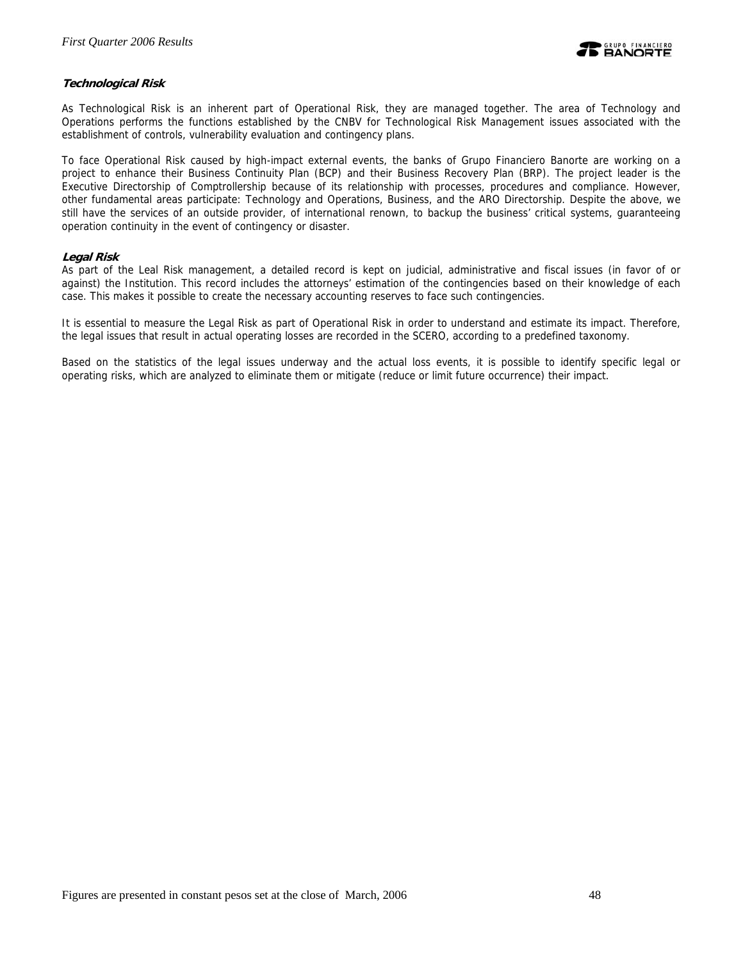

# **Technological Risk**

As Technological Risk is an inherent part of Operational Risk, they are managed together. The area of Technology and Operations performs the functions established by the CNBV for Technological Risk Management issues associated with the establishment of controls, vulnerability evaluation and contingency plans.

To face Operational Risk caused by high-impact external events, the banks of Grupo Financiero Banorte are working on a project to enhance their Business Continuity Plan (BCP) and their Business Recovery Plan (BRP). The project leader is the Executive Directorship of Comptrollership because of its relationship with processes, procedures and compliance. However, other fundamental areas participate: Technology and Operations, Business, and the ARO Directorship. Despite the above, we still have the services of an outside provider, of international renown, to backup the business' critical systems, guaranteeing operation continuity in the event of contingency or disaster.

### **Legal Risk**

As part of the Leal Risk management, a detailed record is kept on judicial, administrative and fiscal issues (in favor of or against) the Institution. This record includes the attorneys' estimation of the contingencies based on their knowledge of each case. This makes it possible to create the necessary accounting reserves to face such contingencies.

It is essential to measure the Legal Risk as part of Operational Risk in order to understand and estimate its impact. Therefore, the legal issues that result in actual operating losses are recorded in the SCERO, according to a predefined taxonomy.

Based on the statistics of the legal issues underway and the actual loss events, it is possible to identify specific legal or operating risks, which are analyzed to eliminate them or mitigate (reduce or limit future occurrence) their impact.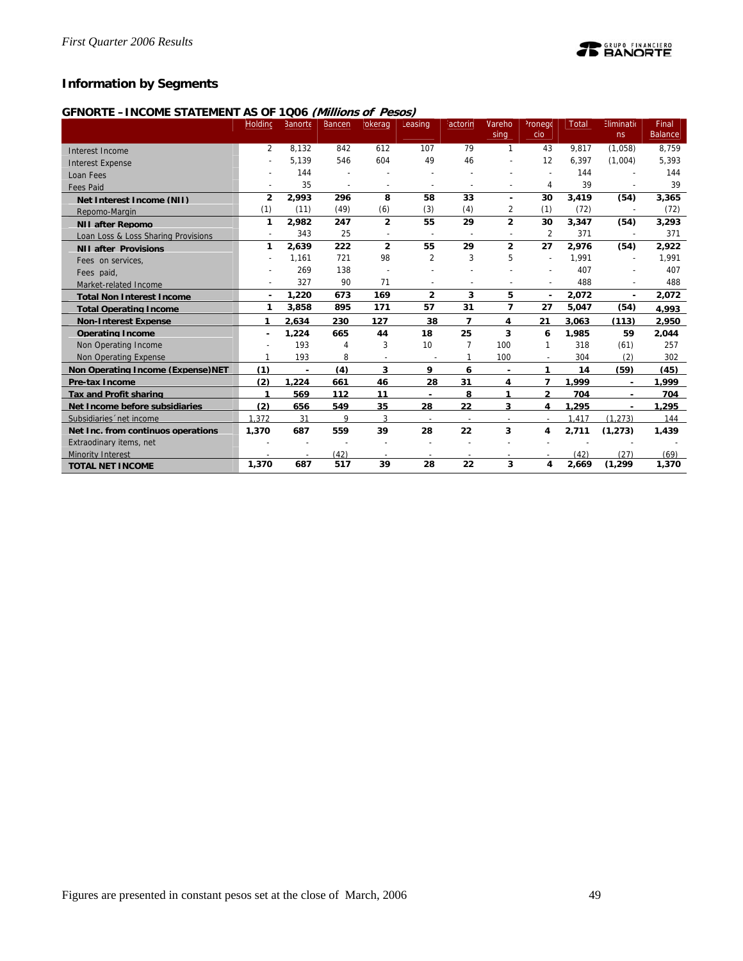# **Information by Segments**

# **GFNORTE –INCOME STATEMENT AS OF 1Q06 (Millions of Pesos)**

|                                          | Holding        | Banorte        | <b>Bancen</b>            | okerag         | Leasing                  | <sup>:</sup> actorin     | Vareho                   | <sup>2</sup> ronego<br>cio | <b>Total</b> | Eliminatio               | Final<br><b>Balance</b> |
|------------------------------------------|----------------|----------------|--------------------------|----------------|--------------------------|--------------------------|--------------------------|----------------------------|--------------|--------------------------|-------------------------|
|                                          |                |                |                          |                |                          |                          | sing                     |                            |              | ns                       |                         |
| Interest Income                          | $\overline{2}$ | 8.132          | 842                      | 612            | 107                      | 79                       | $\mathbf{1}$             | 43                         | 9.817        | (1,058)                  | 8,759                   |
| <b>Interest Expense</b>                  |                | 5.139          | 546                      | 604            | 49                       | 46                       |                          | 12                         | 6.397        | (1,004)                  | 5,393                   |
| Loan Fees                                |                | 144            |                          |                |                          |                          |                          |                            | 144          |                          | 144                     |
| <b>Fees Paid</b>                         |                | 35             | $\overline{\phantom{a}}$ | $\overline{a}$ | $\overline{a}$           |                          |                          | 4                          | 39           |                          | 39                      |
| Net Interest Income (NII)                | $\overline{2}$ | 2,993          | 296                      | 8              | 58                       | 33                       | $\blacksquare$           | 30                         | 3,419        | (54)                     | 3,365                   |
| Repomo-Margin                            | (1)            | (11)           | (49)                     | (6)            | (3)                      | (4)                      | 2                        | (1)                        | (72)         | $\overline{\phantom{a}}$ | (72)                    |
| <b>NII after Repomo</b>                  | 1              | 2,982          | 247                      | $\overline{2}$ | 55                       | 29                       | $\overline{2}$           | 30                         | 3,347        | (54)                     | 3,293                   |
| Loan Loss & Loss Sharing Provisions      |                | 343            | 25                       | $\sim$         | $\overline{\phantom{a}}$ | $\overline{\phantom{a}}$ |                          | $\overline{2}$             | 371          | ÷                        | 371                     |
| <b>NII after Provisions</b>              | 1              | 2,639          | 222                      | $\overline{2}$ | 55                       | 29                       | $\overline{2}$           | 27                         | 2.976        | (54)                     | 2,922                   |
| Fees on services,                        |                | 1,161          | 721                      | 98             | $\overline{2}$           | 3                        | 5                        | $\overline{a}$             | 1,991        | $\overline{\phantom{a}}$ | 1,991                   |
| Fees paid,                               |                | 269            | 138                      |                |                          |                          |                          | $\overline{\phantom{a}}$   | 407          | ÷                        | 407                     |
| Market-related Income                    |                | 327            | 90                       | 71             |                          |                          |                          |                            | 488          |                          | 488                     |
| <b>Total Non Interest Income</b>         | $\blacksquare$ | 1,220          | 673                      | 169            | $\overline{2}$           | 3                        | 5                        | $\blacksquare$             | 2,072        | ÷                        | 2,072                   |
| <b>Total Operating Income</b>            | 1              | 3,858          | 895                      | 171            | 57                       | 31                       | 7                        | 27                         | 5,047        | (54)                     | 4.993                   |
| <b>Non-Interest Expense</b>              | 1              | 2.634          | 230                      | 127            | 38                       | 7                        | 4                        | 21                         | 3.063        | (113)                    | 2.950                   |
| <b>Operating Income</b>                  | ٠              | 1,224          | 665                      | 44             | 18                       | 25                       | 3                        | 6                          | 1,985        | 59                       | 2,044                   |
| Non Operating Income                     |                | 193            | 4                        | 3              | 10                       |                          | 100                      | 1                          | 318          | (61)                     | 257                     |
| Non Operating Expense                    |                | 193            | 8                        |                |                          |                          | 100                      |                            | 304          | (2)                      | 302                     |
| <b>Non Operating Income (Expense)NET</b> | (1)            | $\blacksquare$ | (4)                      | 3              | 9                        | 6                        | $\blacksquare$           | 1                          | 14           | (59)                     | (45)                    |
| Pre-tax Income                           | (2)            | 1.224          | 661                      | 46             | 28                       | 31                       | 4                        | 7                          | 1.999        |                          | 1.999                   |
| <b>Tax and Profit sharing</b>            | 1              | 569            | 112                      | 11             |                          | 8                        | 1                        | $\overline{2}$             | 704          |                          | 704                     |
| Net Income before subsidiaries           | (2)            | 656            | 549                      | 35             | 28                       | 22                       | 3                        | 4                          | 1.295        |                          | 1.295                   |
| Subsidiaries 'net income                 | 1.372          | 31             | 9                        | 3              |                          | $\overline{\phantom{a}}$ | $\overline{\phantom{a}}$ | $\overline{\phantom{a}}$   | 1.417        | (1.273)                  | 144                     |
| Net Inc. from continuos operations       | 1,370          | 687            | 559                      | 39             | 28                       | 22                       | 3                        | 4                          | 2.711        | (1.273)                  | 1.439                   |
| Extraodinary items, net                  |                |                |                          |                |                          |                          |                          |                            |              |                          |                         |
| <b>Minority Interest</b>                 |                |                | (42)                     |                |                          |                          |                          |                            | (42)         | (27)                     | (69)                    |
| <b>TOTAL NET INCOME</b>                  | 1,370          | 687            | 517                      | 39             | 28                       | 22                       | 3                        | 4                          | 2,669        | (1, 299)                 | 1,370                   |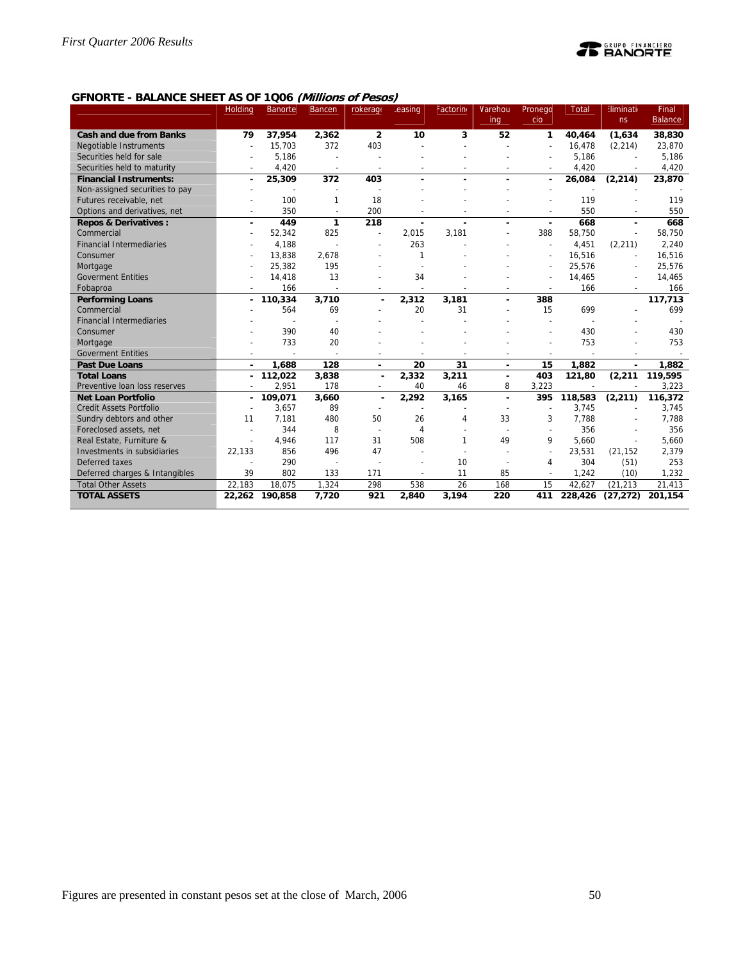

### **GFNORTE - BALANCE SHEET AS OF 1Q06 (Millions of Pesos)**

|                                 | Holding        | <b>Banorte</b> | <b>Bancen</b>  | rokerage                 | easing | Factorin       | Varehou        | Pronego                  | <b>Total</b> | <b>Eliminati</b> | <b>Final</b>   |
|---------------------------------|----------------|----------------|----------------|--------------------------|--------|----------------|----------------|--------------------------|--------------|------------------|----------------|
|                                 |                |                |                |                          |        |                | ing            | cio                      |              | ns               | <b>Balance</b> |
| <b>Cash and due from Banks</b>  | 79             | 37,954         | 2,362          | $\overline{2}$           | 10     | 3              | 52             | 1                        | 40.464       | (1,634)          | 38,830         |
| Negotiable Instruments          |                | 15,703         | 372            | 403                      |        |                |                |                          | 16,478       | (2, 214)         | 23,870         |
| Securities held for sale        |                | 5,186          |                |                          |        |                |                |                          | 5,186        |                  | 5,186          |
| Securities held to maturity     |                | 4,420          | $\overline{a}$ | $\overline{a}$           |        |                |                |                          | 4,420        | $\overline{a}$   | 4,420          |
| <b>Financial Instruments:</b>   | $\blacksquare$ | 25,309         | 372            | 403                      |        |                | $\blacksquare$ | ٠                        | 26,084       | (2, 214)         | 23,870         |
| Non-assigned securities to pay  |                |                |                |                          |        |                |                |                          |              |                  |                |
| Futures receivable, net         |                | 100            | 1              | 18                       |        |                |                |                          | 119          |                  | 119            |
| Options and derivatives, net    | $\overline{a}$ | 350            | $\sim$         | 200                      |        |                |                | $\overline{a}$           | 550          | $\overline{a}$   | 550            |
| <b>Repos &amp; Derivatives:</b> | ÷              | 449            | 1              | 218                      | ÷,     |                | ä,             | ٠                        | 668          | ä,               | 668            |
| Commercial                      |                | 52,342         | 825            | $\overline{a}$           | 2,015  | 3,181          |                | 388                      | 58,750       | $\overline{a}$   | 58,750         |
| <b>Financial Intermediaries</b> |                | 4,188          |                |                          | 263    |                |                |                          | 4,451        | (2,211)          | 2,240          |
| Consumer                        |                | 13,838         | 2,678          |                          | 1      |                |                |                          | 16,516       | ÷                | 16,516         |
| Mortgage                        |                | 25,382         | 195            |                          |        |                |                |                          | 25,576       | $\overline{a}$   | 25,576         |
| <b>Goverment Entities</b>       |                | 14,418         | 13             |                          | 34     |                |                |                          | 14,465       | $\overline{a}$   | 14,465         |
| Fobaproa                        |                | 166            |                |                          |        |                |                |                          | 166          |                  | 166            |
| <b>Performing Loans</b>         |                | 110,334        | 3,710          |                          | 2,312  | 3,181          |                | 388                      |              |                  | 117,713        |
| Commercial                      |                | 564            | 69             |                          | 20     | 31             |                | 15                       | 699          |                  | 699            |
| <b>Financial Intermediaries</b> |                |                |                |                          |        |                |                |                          |              |                  |                |
| Consumer                        |                | 390            | 40             |                          |        |                |                |                          | 430          |                  | 430            |
| Mortgage                        |                | 733            | 20             |                          |        |                |                |                          | 753          |                  | 753            |
| <b>Goverment Entities</b>       |                |                |                |                          |        |                |                |                          |              |                  |                |
| <b>Past Due Loans</b>           |                | 1,688          | 128            |                          | 20     | 31             | $\sim$         | 15                       | 1,882        | $\blacksquare$   | 1,882          |
| <b>Total Loans</b>              |                | 112,022        | 3,838          |                          | 2,332  | 3,211          |                | 403                      | 121,80       | (2, 211)         | 119,595        |
| Preventive loan loss reserves   |                | 2,951          | 178            |                          | 40     | 46             | 8              | 3,223                    |              |                  | 3,223          |
| <b>Net Loan Portfolio</b>       |                | 109,071        | 3,660          |                          | 2,292  | 3,165          | $\blacksquare$ | 395                      | 118,583      | (2, 211)         | 116,372        |
| <b>Credit Assets Portfolio</b>  |                | 3,657          | 89             |                          |        |                |                |                          | 3,745        |                  | 3,745          |
| Sundry debtors and other        | 11             | 7,181          | 480            | 50                       | 26     | $\overline{4}$ | 33             | 3                        | 7,788        |                  | 7,788          |
| Foreclosed assets, net          |                | 344            | 8              | $\overline{\phantom{a}}$ | 4      |                |                | $\overline{a}$           | 356          |                  | 356            |
| Real Estate, Furniture &        |                | 4,946          | 117            | 31                       | 508    | $\mathbf{1}$   | 49             | 9                        | 5.660        |                  | 5,660          |
| Investments in subsidiaries     | 22,133         | 856            | 496            | 47                       |        |                |                | $\overline{\phantom{a}}$ | 23,531       | (21, 152)        | 2,379          |
| Deferred taxes                  |                | 290            |                |                          |        | 10             |                | 4                        | 304          | (51)             | 253            |
| Deferred charges & Intangibles  | 39             | 802            | 133            | 171                      |        | 11             | 85             | $\overline{\phantom{a}}$ | 1,242        | (10)             | 1,232          |
| <b>Total Other Assets</b>       | 22.183         | 18.075         | 1.324          | 298                      | 538    | 26             | 168            | 15                       | 42.627       | (21.213)         | 21,413         |
| <b>TOTAL ASSETS</b>             |                | 22,262 190,858 | 7,720          | 921                      | 2,840  | 3,194          | 220            | 411                      | 228,426      | (27, 272)        | 201,154        |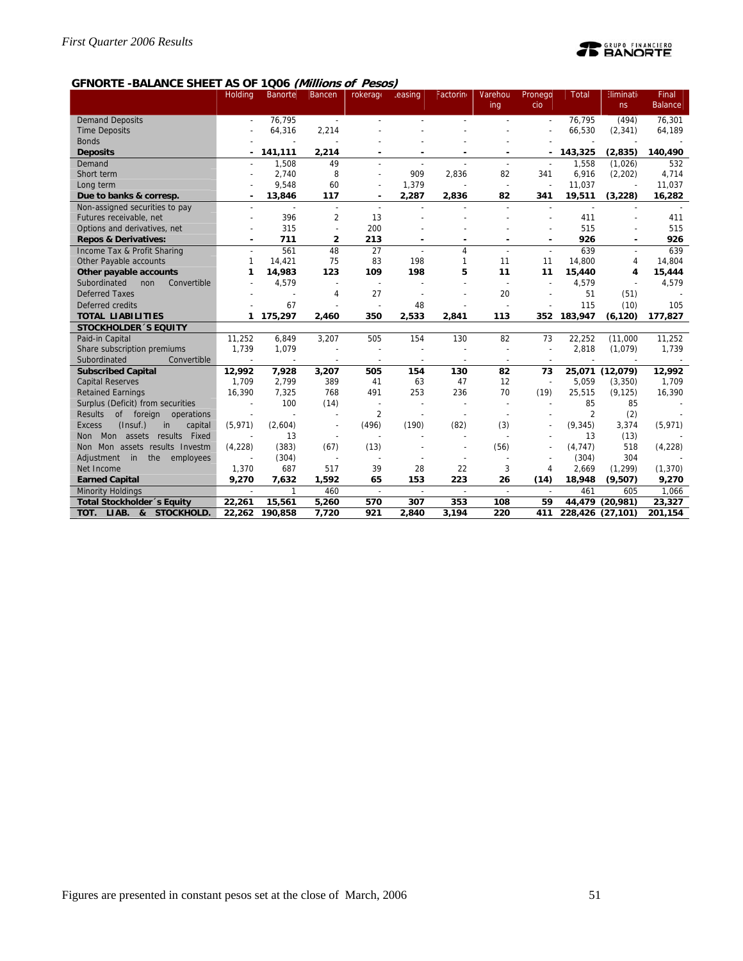

# **GFNORTE -BALANCE SHEET AS OF 1Q06 (Millions of Pesos)**

|                                            | Holding      | <b>Banorte</b>           | Bancen                   | rokerage                 | easing                   | Factorin                 | Varehou                  | Pronego                  | <b>Total</b>             | <b>Eliminati</b> | Final          |
|--------------------------------------------|--------------|--------------------------|--------------------------|--------------------------|--------------------------|--------------------------|--------------------------|--------------------------|--------------------------|------------------|----------------|
|                                            |              |                          |                          |                          |                          |                          | ing                      | cio                      |                          | ns               | <b>Balance</b> |
| <b>Demand Deposits</b>                     |              | 76.795                   | $\overline{\phantom{a}}$ |                          |                          |                          |                          |                          | 76.795                   | (494)            | 76,301         |
| <b>Time Deposits</b>                       |              | 64,316                   | 2,214                    |                          |                          |                          |                          |                          | 66,530                   | (2, 341)         | 64,189         |
| <b>Bonds</b>                               |              |                          |                          |                          |                          |                          |                          |                          |                          |                  |                |
| <b>Deposits</b>                            |              | 141,111                  | 2,214                    |                          |                          |                          |                          |                          | 143,325                  | (2, 835)         | 140,490        |
| Demand                                     |              | 1,508                    | 49                       |                          |                          |                          |                          |                          | 1,558                    | (1,026)          | 532            |
| Short term                                 |              | 2,740                    | 8                        |                          | 909                      | 2,836                    | 82                       | 341                      | 6,916                    | (2,202)          | 4,714          |
| Long term                                  |              | 9,548                    | 60                       |                          | 1,379                    | $\overline{\phantom{a}}$ | $\overline{\phantom{a}}$ | ÷,                       | 11,037                   |                  | 11,037         |
| Due to banks & corresp.                    |              | 13,846                   | 117                      |                          | 2,287                    | 2,836                    | 82                       | 341                      | 19,511                   | (3,228)          | 16,282         |
| Non-assigned securities to pay             |              | $\overline{\phantom{a}}$ | $\overline{\phantom{a}}$ | $\overline{\phantom{a}}$ |                          |                          |                          | $\overline{\phantom{a}}$ | $\overline{\phantom{a}}$ |                  |                |
| Futures receivable, net                    |              | 396                      | $\overline{2}$           | 13                       |                          |                          |                          |                          | 411                      |                  | 411            |
| Options and derivatives, net               |              | 315                      | ÷,                       | 200                      |                          |                          |                          |                          | 515                      |                  | 515            |
| <b>Repos &amp; Derivatives:</b>            |              | 711                      | $\overline{2}$           | 213                      | ٠                        |                          |                          | ٠                        | 926                      |                  | 926            |
| Income Tax & Profit Sharing                |              | 561                      | 48                       | 27                       | $\overline{\phantom{a}}$ | 4                        |                          | $\overline{a}$           | 639                      |                  | 639            |
| Other Payable accounts                     | $\mathbf{1}$ | 14.421                   | 75                       | 83                       | 198                      | 1                        | 11                       | 11                       | 14,800                   | 4                | 14,804         |
| Other payable accounts                     | 1            | 14,983                   | 123                      | 109                      | 198                      | 5                        | 11                       | 11                       | 15,440                   | 4                | 15,444         |
| Subordinated<br>Convertible<br>non         |              | 4,579                    | $\overline{\phantom{a}}$ | $\overline{a}$           |                          |                          |                          |                          | 4,579                    |                  | 4,579          |
| <b>Deferred Taxes</b>                      |              |                          | 4                        | 27                       |                          |                          | 20                       |                          | 51                       | (51)             |                |
| Deferred credits                           |              | 67                       |                          |                          | 48                       |                          |                          |                          | 115                      | (10)             | 105            |
| <b>TOTAL LIABILITIES</b>                   | $\mathbf{1}$ | 175,297                  | 2,460                    | 350                      | 2,533                    | 2,841                    | 113                      | 352                      | 183,947                  | (6, 120)         | 177,827        |
| <b>STOCKHOLDER 'S EQUITY</b>               |              |                          |                          |                          |                          |                          |                          |                          |                          |                  |                |
| Paid-in Capital                            | 11.252       | 6,849                    | 3,207                    | 505                      | 154                      | 130                      | 82                       | 73                       | 22,252                   | (11,000)         | 11,252         |
| Share subscription premiums                | 1,739        | 1,079                    |                          | $\overline{\phantom{a}}$ |                          |                          |                          | $\overline{\phantom{a}}$ | 2,818                    | (1,079)          | 1,739          |
| Subordinated<br>Convertible                |              |                          |                          |                          |                          |                          |                          |                          |                          |                  |                |
| <b>Subscribed Capital</b>                  | 12,992       | 7,928                    | 3,207                    | 505                      | 154                      | 130                      | 82                       | 73                       |                          | 25,071 (12,079)  | 12,992         |
| <b>Capital Reserves</b>                    | 1,709        | 2,799                    | 389                      | 41                       | 63                       | 47                       | 12                       | $\overline{\phantom{a}}$ | 5,059                    | (3,350)          | 1,709          |
| <b>Retained Earnings</b>                   | 16,390       | 7,325                    | 768                      | 491                      | 253                      | 236                      | 70                       | (19)                     | 25,515                   | (9, 125)         | 16,390         |
| Surplus (Deficit) from securities          |              | 100                      | (14)                     |                          | $\overline{a}$           | $\overline{\phantom{a}}$ |                          |                          | 85                       | 85               |                |
| <b>Results</b><br>of foreign operations    |              |                          | ÷                        | $\overline{2}$           |                          |                          |                          |                          | $\overline{2}$           | (2)              |                |
| (Insuf.)<br><b>Excess</b><br>in<br>capital | (5, 971)     | (2,604)                  |                          | (496)                    | (190)                    | (82)                     | (3)                      |                          | (9, 345)                 | 3,374            | (5, 971)       |
| Fixed<br>Mon assets<br>results<br>Non      |              | 13                       | ÷                        |                          |                          |                          |                          |                          | 13                       | (13)             |                |
| Non Mon assets results Investm             | (4,228)      | (383)                    | (67)                     | (13)                     |                          |                          | (56)                     |                          | (4, 747)                 | 518              | (4,228)        |
| Adjustment in<br>the<br>employees          |              | (304)                    | $\overline{\phantom{a}}$ | $\overline{\phantom{a}}$ |                          | $\overline{\phantom{a}}$ |                          |                          | (304)                    | 304              |                |
| Net Income                                 | 1,370        | 687                      | 517                      | 39                       | 28                       | 22                       | 3                        | 4                        | 2,669                    | (1, 299)         | (1, 370)       |
| <b>Earned Capital</b>                      | 9,270        | 7,632                    | 1,592                    | 65                       | 153                      | 223                      | 26                       | (14)                     | 18,948                   | (9,507)          | 9,270          |
| <b>Minority Holdings</b>                   |              |                          | 460                      | $\overline{\phantom{a}}$ | $\overline{a}$           | $\overline{a}$           | $\overline{\phantom{a}}$ |                          | 461                      | 605              | 1,066          |
| Total Stockholder's Equity                 | 22,261       | 15,561                   | 5,260                    | 570                      | 307                      | 353                      | 108                      | 59                       |                          | 44,479 (20,981)  | 23,327         |
| TOT.<br>LIAB. 8c<br>STOCKHOLD.             | 22,262       | 190.858                  | 7,720                    | 921                      | 2,840                    | 3.194                    | 220                      | 411                      | 228,426 (27,101)         |                  | 201,154        |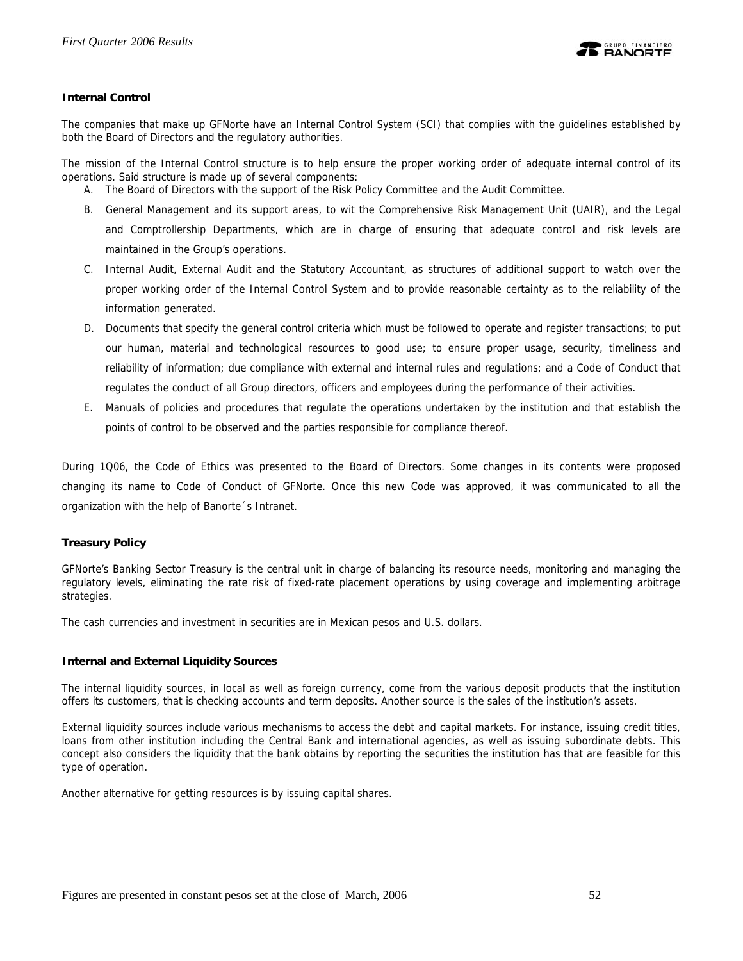

# **Internal Control**

The companies that make up GFNorte have an Internal Control System (SCI) that complies with the guidelines established by both the Board of Directors and the regulatory authorities.

The mission of the Internal Control structure is to help ensure the proper working order of adequate internal control of its operations. Said structure is made up of several components:

- A. The Board of Directors with the support of the Risk Policy Committee and the Audit Committee.
- B. General Management and its support areas, to wit the Comprehensive Risk Management Unit (UAIR), and the Legal and Comptrollership Departments, which are in charge of ensuring that adequate control and risk levels are maintained in the Group's operations.
- C. Internal Audit, External Audit and the Statutory Accountant, as structures of additional support to watch over the proper working order of the Internal Control System and to provide reasonable certainty as to the reliability of the information generated.
- D. Documents that specify the general control criteria which must be followed to operate and register transactions; to put our human, material and technological resources to good use; to ensure proper usage, security, timeliness and reliability of information; due compliance with external and internal rules and regulations; and a Code of Conduct that regulates the conduct of all Group directors, officers and employees during the performance of their activities.
- E. Manuals of policies and procedures that regulate the operations undertaken by the institution and that establish the points of control to be observed and the parties responsible for compliance thereof.

During 1Q06, the Code of Ethics was presented to the Board of Directors. Some changes in its contents were proposed changing its name to Code of Conduct of GFNorte. Once this new Code was approved, it was communicated to all the organization with the help of Banorte´s Intranet.

# **Treasury Policy**

GFNorte's Banking Sector Treasury is the central unit in charge of balancing its resource needs, monitoring and managing the regulatory levels, eliminating the rate risk of fixed-rate placement operations by using coverage and implementing arbitrage strategies.

The cash currencies and investment in securities are in Mexican pesos and U.S. dollars.

### **Internal and External Liquidity Sources**

The internal liquidity sources, in local as well as foreign currency, come from the various deposit products that the institution offers its customers, that is checking accounts and term deposits. Another source is the sales of the institution's assets.

External liquidity sources include various mechanisms to access the debt and capital markets. For instance, issuing credit titles, loans from other institution including the Central Bank and international agencies, as well as issuing subordinate debts. This concept also considers the liquidity that the bank obtains by reporting the securities the institution has that are feasible for this type of operation.

Another alternative for getting resources is by issuing capital shares.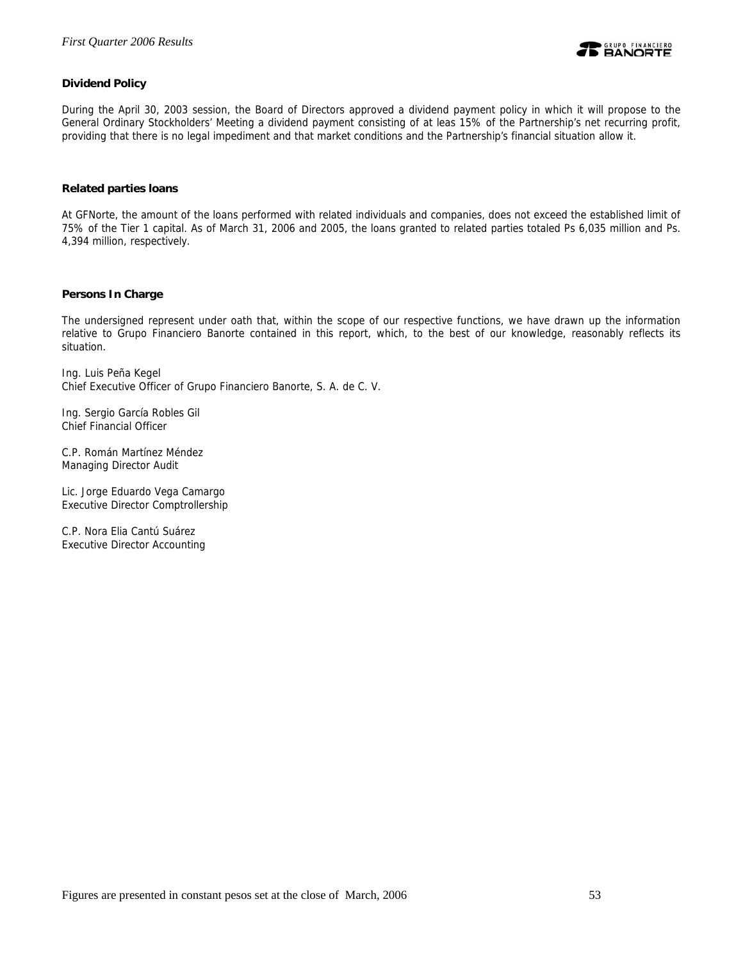

# **Dividend Policy**

During the April 30, 2003 session, the Board of Directors approved a dividend payment policy in which it will propose to the General Ordinary Stockholders' Meeting a dividend payment consisting of at leas 15% of the Partnership's net recurring profit, providing that there is no legal impediment and that market conditions and the Partnership's financial situation allow it.

### **Related parties loans**

At GFNorte, the amount of the loans performed with related individuals and companies, does not exceed the established limit of 75% of the Tier 1 capital. As of March 31, 2006 and 2005, the loans granted to related parties totaled Ps 6,035 million and Ps. 4,394 million, respectively.

### **Persons In Charge**

The undersigned represent under oath that, within the scope of our respective functions, we have drawn up the information relative to Grupo Financiero Banorte contained in this report, which, to the best of our knowledge, reasonably reflects its situation.

Ing. Luis Peña Kegel Chief Executive Officer of Grupo Financiero Banorte, S. A. de C. V.

Ing. Sergio García Robles Gil Chief Financial Officer

C.P. Román Martínez Méndez Managing Director Audit

Lic. Jorge Eduardo Vega Camargo Executive Director Comptrollership

C.P. Nora Elia Cantú Suárez Executive Director Accounting